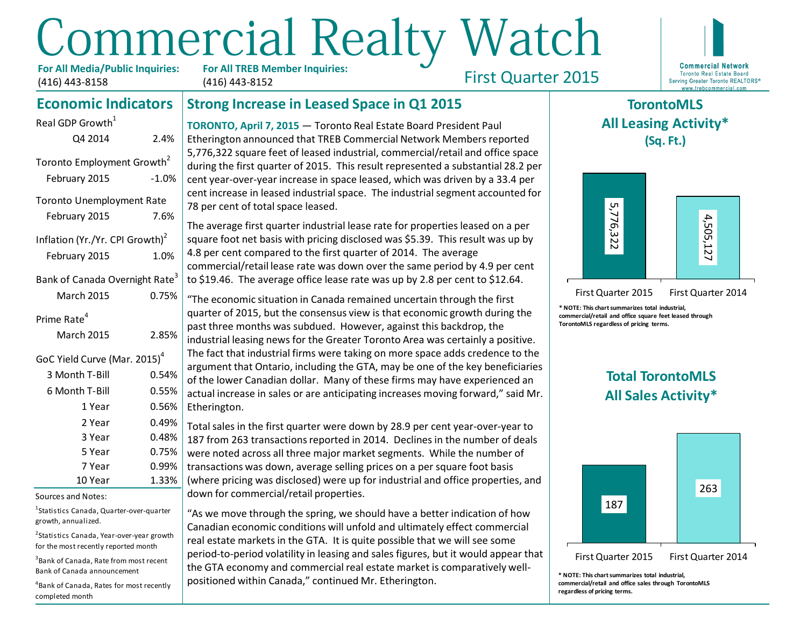# **Commercial Realty Watch**

**For All Media/Public Inquiries:** (416) 443-8158

Real GDP Growth<sup>1</sup>

**For All TREB Member Inquiries:** (416) 443-8152

First Quarter 2015



# **Strong Increase in Leased Space in Q1 2015**

**TORONTO, April 7, 2015** — Toronto Real Estate Board President Paul Etherington announced that TREB Commercial Network Members reported 5,776,322 square feet of leased industrial, commercial/retail and office space during the first quarter of 2015. This result represented a substantial 28.2 per cent year-over-year increase in space leased, which was driven by a 33.4 per cent increase in leased industrial space. The industrial segment accounted for 78 per cent of total space leased.

The average first quarter industrial lease rate for properties leased on a per square foot net basis with pricing disclosed was \$5.39. This result was up by 4.8 per cent compared to the first quarter of 2014. The average commercial/retail lease rate was down over the same period by 4.9 per cent to \$19.46. The average office lease rate was up by 2.8 per cent to \$12.64.

"The economic situation in Canada remained uncertain through the first quarter of 2015, but the consensus view is that economic growth during the past three months was subdued. However, against this backdrop, the industrial leasing news for the Greater Toronto Area was certainly a positive. The fact that industrial firms were taking on more space adds credence to the argument that Ontario, including the GTA, may be one of the key beneficiaries of the lower Canadian dollar. Many of these firms may have experienced an actual increase in sales or are anticipating increases moving forward," said Mr. Etherington. February 2015<br>
The recentre of the species cased.<br>
Inflation (Yr./Yr. CPI Growth)<br>
The average first quarter industrial lease rate for properties leased on a per<br>
Inflation (Yr./Yr. CPI Growth)<br>
Bauary 2015<br>
Bauary 2015<br>

Total sales in the first quarter were down by 28.9 per cent year-over-year to 187 from 263 transactions reported in 2014. Declines in the number of deals were noted across all three major market segments. While the number of transactions was down, average selling prices on a per square foot basis (where pricing was disclosed) were up for industrial and office properties, and down for commercial/retail properties.

"As we move through the spring, we should have a better indication of how Canadian economic conditions will unfold and ultimately effect commercial real estate markets in the GTA. It is quite possible that we will see some period-to-period volatility in leasing and sales figures, but it would appear that the GTA economy and commercial real estate market is comparatively wellpositioned within Canada," continued Mr. Etherington.

# **TorontoMLS All Leasing Activity\* (Sq. Ft.)**



First Quarter 2015 First Quarter 2014

**\* NOTE: This chart summarizes total industrial, commercial/retail and office square feet leased through TorontoMLS regardless of pricing terms.**

# **Total TorontoMLS All Sales Activity\***



**\* NOTE: This chart summarizes total industrial, commercial/retail and office sales through TorontoMLS regardless of pricing terms.**

# **Economic Indicators**

| 2.4%                                                |
|-----------------------------------------------------|
| Toronto Employment Growth <sup>2</sup><br>$-1.0%$   |
| <b>Toronto Unemployment Rate</b><br>7.6%            |
| Inflation (Yr./Yr. CPI Growth) <sup>2</sup><br>1.0% |
| Bank of Canada Overnight Rate <sup>3</sup><br>0.75% |
| 2.85%                                               |
| GoC Yield Curve (Mar. 2015) <sup>4</sup>            |
| 0.54%                                               |
| 0.55%                                               |
| 0.56%                                               |
| 0.49%                                               |
| 0.48%                                               |
| 0.75%                                               |
| 0.99%                                               |
| 1.33%                                               |
|                                                     |

Sources and Notes:

<sup>1</sup>Statistics Canada, Quarter-over-quarter growth, annualized.

<sup>2</sup>Statistics Canada, Year-over-year growth for the most recently reported month

3 Bank of Canada, Rate from most recent Bank of Canada announcement

4 Bank of Canada, Rates for most recently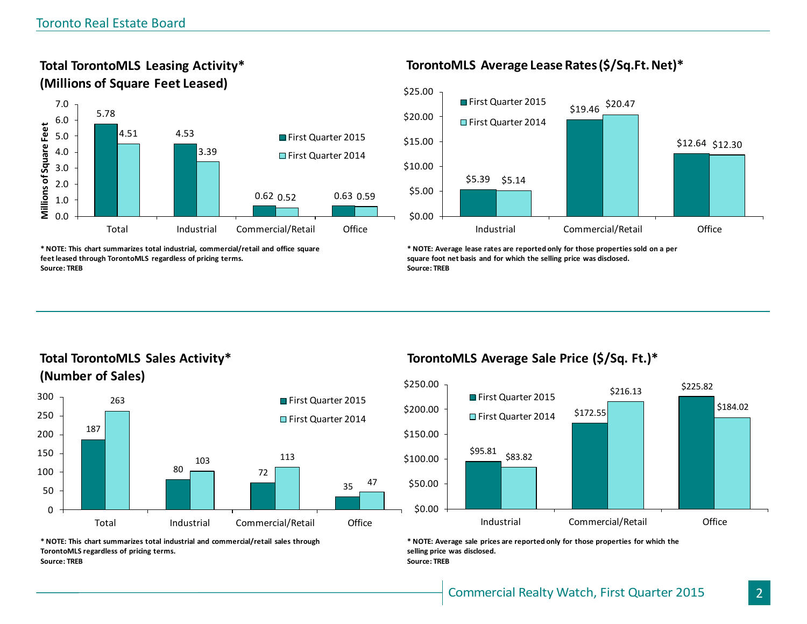**Total TorontoMLS Leasing Activity\***



**\* NOTE: This chart summarizes total industrial, commercial/retail and office square feet leased through TorontoMLS regardless of pricing terms. Source: TREB**

# **TorontoMLS Average Lease Rates (\$/Sq.Ft. Net)\***



**\* NOTE: Average lease rates are reported only for those properties sold on a per square foot net basis and for which the selling price was disclosed. Source: TREB**

**Total TorontoMLS Sales Activity\* (Number of Sales)**



**\* NOTE: This chart summarizes total industrial and commercial/retail sales through TorontoMLS regardless of pricing terms. Source: TREB**

# **TorontoMLS Average Sale Price (\$/Sq. Ft.)\***



**\* NOTE: Average sale prices are reported only for those properties for which the selling price was disclosed. Source: TREB**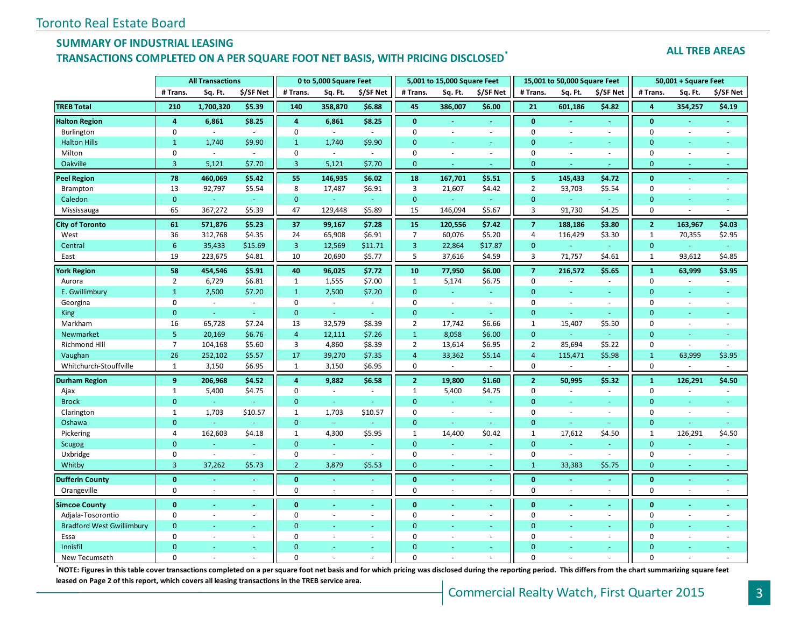#### **SUMMARY OF INDUSTRIAL LEASING**

# **TRANSACTIONS COMPLETED ON A PER SQUARE FOOT NET BASIS, WITH PRICING DISCLOSED\***

#### **ALL TREB AREAS**

|                                  | <b>All Transactions</b> |           |               |                | 0 to 5,000 Square Feet   |                |                | 5,001 to 15,000 Square Feet |                |                | 15,001 to 50,000 Square Feet |                          |                  | 50,001 + Square Feet     |                          |
|----------------------------------|-------------------------|-----------|---------------|----------------|--------------------------|----------------|----------------|-----------------------------|----------------|----------------|------------------------------|--------------------------|------------------|--------------------------|--------------------------|
|                                  | # Trans.                | Sq. Ft.   | \$/SF Net     | # Trans.       | Sq. Ft.                  | \$/SF Net      | # Trans.       | Sq. Ft.                     | \$/SF Net      | # Trans.       | Sq. Ft.                      | \$/SF Net                | # Trans.         | Sq. Ft.                  | \$/SF Net                |
| <b>TREB Total</b>                | 210                     | 1,700,320 | \$5.39        | 140            | 358,870                  | \$6.88         | 45             | 386,007                     | \$6.00         | 21             | 601,186                      | \$4.82                   | $\overline{4}$   | 354,257                  | \$4.19                   |
| <b>Halton Region</b>             | $\overline{4}$          | 6,861     | \$8.25        | $\overline{4}$ | 6,861                    | \$8.25         | $\mathbf{0}$   |                             |                | $\mathbf{0}$   |                              | $\blacksquare$           | $\mathbf{0}$     |                          |                          |
| Burlington                       | 0                       | $\sim$    | $\sim$        | $\mathbf 0$    | $\overline{\phantom{a}}$ | ÷.             | $\mathbf 0$    |                             | $\sim$         | $\mathbf 0$    |                              | $\overline{\phantom{a}}$ | $\mathbf 0$      | ÷.                       | $\sim$                   |
| <b>Halton Hills</b>              | $\mathbf{1}$            | 1,740     | \$9.90        | $\mathbf{1}$   | 1,740                    | \$9.90         | $\Omega$       | ÷.                          | a.             | $\overline{0}$ | ÷.                           | $\sim$                   | $\Omega$         | $\omega$                 | ÷                        |
| Milton                           | $\mathbf 0$             | $\omega$  | $\sim$        | $\mathbf 0$    | $\mathcal{L}$            | $\omega$       | $\Omega$       | $\sim$                      | $\omega$       | $\mathbf 0$    | $\overline{a}$               | $\mathcal{L}$            | $\mathbf 0$      | $\sim$                   | ÷.                       |
| Oakville                         | $\overline{3}$          | 5,121     | \$7.70        | $\overline{3}$ | 5,121                    | \$7.70         | $\mathbf{0}$   | ÷                           | ÷              | $\overline{0}$ |                              | ÷                        | $\mathbf{0}$     | $\sim$                   | i.                       |
| <b>Peel Region</b>               | 78                      | 460,069   | \$5.42        | 55             | 146,935                  | \$6.02         | 18             | 167,701                     | \$5.51         | 5              | 145,433                      | \$4.72                   | $\bf{0}$         | $\blacksquare$           | $\blacksquare$           |
| <b>Brampton</b>                  | 13                      | 92,797    | \$5.54        | 8              | 17,487                   | \$6.91         | $\overline{3}$ | 21,607                      | \$4.42         | $\overline{2}$ | 53,703                       | \$5.54                   | $\boldsymbol{0}$ | $\sim$                   | $\sim$                   |
| Caledon                          | $\mathbf{0}$            | ÷         | $\omega$      | $\mathbf{0}$   | $\omega$                 | $\omega$       | $\mathbf{0}$   | G.                          | ÷.             | $\overline{0}$ | ÷.                           | $\sim$                   | $\mathbf{0}$     | ٠                        | ÷                        |
| Mississauga                      | 65                      | 367,272   | \$5.39        | 47             | 129,448                  | \$5.89         | 15             | 146,094                     | \$5.67         | 3              | 91,730                       | \$4.25                   | $\mathbf 0$      | $\sim$                   | $\sim$                   |
| <b>City of Toronto</b>           | 61                      | 571,876   | \$5.23        | 37             | 99,167                   | \$7.28         | 15             | 120,556                     | \$7.42         | $\overline{7}$ | 188,186                      | \$3.80                   | $\overline{2}$   | 163,967                  | \$4.03                   |
| West                             | 36                      | 312,768   | \$4.35        | 24             | 65,908                   | \$6.91         | $\overline{7}$ | 60,076                      | \$5.20         | 4              | 116,429                      | \$3.30                   | $\mathbf{1}$     | 70,355                   | \$2.95                   |
| Central                          | 6                       | 35,433    | \$15.69       | 3              | 12,569                   | \$11.71        | 3              | 22,864                      | \$17.87        | $\overline{0}$ |                              | ÷,                       | $\mathbf{0}$     |                          | ÷                        |
| East                             | 19                      | 223,675   | \$4.81        | 10             | 20,690                   | \$5.77         | 5              | 37,616                      | \$4.59         | 3              | 71,757                       | \$4.61                   | $\mathbf{1}$     | 93,612                   | \$4.85                   |
| <b>York Region</b>               | 58                      | 454,546   | \$5.91        | 40             | 96,025                   | \$7.72         | 10             | 77,950                      | \$6.00         | $\overline{7}$ | 216,572                      | \$5.65                   | $\mathbf{1}$     | 63,999                   | \$3.95                   |
| Aurora                           | $\overline{2}$          | 6,729     | \$6.81        | $\mathbf{1}$   | 1,555                    | \$7.00         | $\mathbf{1}$   | 5,174                       | \$6.75         | $\mathbf 0$    | $\sim$                       | $\sim$                   | $\mathbf 0$      | $\sim$                   | $\overline{\phantom{a}}$ |
| E. Gwillimbury                   | $\mathbf{1}$            | 2,500     | \$7.20        | $\mathbf{1}$   | 2,500                    | \$7.20         | $\mathbf{0}$   |                             | u,             | $\mathbf{0}$   |                              |                          | $\mathbf{0}$     |                          |                          |
| Georgina                         | 0                       | $\sim$    | $\sim$        | $\pmb{0}$      | $\mathcal{L}$            | $\sim$         | $\mathbf 0$    | $\sim$                      | $\omega$       | $\mathbf 0$    | $\sim$                       | $\mathbf{r}$             | $\mathbf 0$      | $\sim$                   | $\sim$                   |
| <b>King</b>                      | $\mathbf{0}$            | ¥.        | u,            | $\mathbf{0}$   | $\omega$                 | ÷              | $\mathbf{0}$   | ÷.                          | ¥.             | $\overline{0}$ | ÷.                           | ÷.                       | $\mathbf{0}$     | ÷                        | Ξ                        |
| Markham                          | 16                      | 65,728    | \$7.24        | 13             | 32,579                   | \$8.39         | $\overline{2}$ | 17,742                      | \$6.66         | $\mathbf{1}$   | 15,407                       | \$5.50                   | $\mathbf 0$      | $\sim$                   | $\overline{a}$           |
| <b>Newmarket</b>                 | 5                       | 20,169    | \$6.76        | $\overline{4}$ | 12,111                   | \$7.26         | $\mathbf{1}$   | 8,058                       | \$6.00         | $\mathbf{0}$   | ÷.                           | $\omega$                 | $\mathbf{0}$     |                          |                          |
| Richmond Hill                    | $\overline{7}$          | 104,168   | \$5.60        | 3              | 4,860                    | \$8.39         | $\overline{2}$ | 13,614                      | \$6.95         | $\overline{2}$ | 85,694                       | \$5.22                   | $\mathbf 0$      | $\sim$                   | $\sim$                   |
| Vaughan                          | 26                      | 252,102   | \$5.57        | 17             | 39,270                   | \$7.35         | 4              | 33,362                      | \$5.14         | $\overline{4}$ | 115,471                      | \$5.98                   | $\mathbf{1}$     | 63,999                   | \$3.95                   |
| Whitchurch-Stouffville           | $\mathbf{1}$            | 3,150     | \$6.95        | 1              | 3,150                    | \$6.95         | 0              |                             |                | 0              |                              |                          | $\mathbf 0$      |                          |                          |
| <b>Durham Region</b>             | 9                       | 206,968   | \$4.52        | $\overline{4}$ | 9,882                    | \$6.58\$       | $\overline{2}$ | 19,800                      | \$1.60         | $\overline{2}$ | 50,995                       | \$5.32                   | $\mathbf{1}$     | 126,291                  | \$4.50                   |
| Ajax                             | $\mathbf{1}$            | 5,400     | \$4.75        | $\mathbf 0$    | $\sim$                   | ÷.             | $\mathbf{1}$   | 5,400                       | \$4.75         | $\mathbf 0$    |                              | $\sim$                   | $\mathbf 0$      |                          |                          |
| <b>Brock</b>                     | $\mathbf{0}$            | $\omega$  | $\omega$      | $\mathbf{0}$   | $\Box$                   |                | $\mathbf{0}$   | $\omega$                    | $\omega$       | $\mathbf{0}$   |                              | $\omega$                 | $\mathbf{0}$     | $\blacksquare$           |                          |
| Clarington                       | $\mathbf{1}$            | 1,703     | \$10.57       | $\mathbf{1}$   | 1,703                    | \$10.57        | $\mathbf 0$    | $\sim$                      | ÷.             | 0              | $\sim$                       | ÷.                       | $\mathbf 0$      | ÷.                       | $\sim$                   |
| Oshawa                           | $\mathbf{0}$            |           |               | $\mathbf{0}$   |                          |                | $\mathbf{0}$   |                             | a.             | $\overline{0}$ |                              |                          | $\mathbf{0}$     |                          |                          |
| Pickering                        | 4                       | 162,603   | \$4.18        | $\mathbf{1}$   | 4,300                    | \$5.95         | $\mathbf{1}$   | 14,400                      | \$0.42         | $\mathbf{1}$   | 17,612                       | \$4.50                   | $\mathbf{1}$     | 126,291                  | \$4.50                   |
| Scugog                           | $\mathbf{0}$            |           | ÷             | $\mathbf{0}$   | ä,                       |                | $\mathbf{0}$   | ä,                          | u,             | $\overline{0}$ |                              | $\overline{\phantom{a}}$ | $\mathbf{0}$     |                          |                          |
| Uxbridge                         | $\mathbf 0$             | $\sim$    | $\mathcal{L}$ | $\mathbf 0$    | $\bar{z}$                | $\sim$         | $\mathbf 0$    | $\sim$                      | $\omega$       | $\mathbf 0$    | $\sim$                       | ÷,                       | $\mathbf 0$      | $\overline{\phantom{a}}$ | $\sim$                   |
| Whitby                           | 3                       | 37,262    | \$5.73        | $\overline{2}$ | 3,879                    | \$5.53         | $\mathbf{0}$   | $\sim$                      | $\sim$         | $\mathbf{1}$   | 33,383                       | \$5.75                   | $\mathbf{0}$     | $\sim$                   | $\sim$                   |
| <b>Dufferin County</b>           | $\bf{0}$                |           | $\sim$        | $\bf{0}$       | $\blacksquare$           | $\sim$         | $\bf{0}$       | $\sim$                      | $\sim$         | $\bf{0}$       |                              | $\sim$                   | $\bf{0}$         | $\sim$                   | $\omega$                 |
| Orangeville                      | $\Omega$                | $\sim$    | $\sim$        | $\Omega$       | $\omega$                 | ÷.             | $\Omega$       | $\omega$                    | ÷.             | $\mathbf 0$    | $\sim$                       | $\sim$                   | $\mathbf 0$      | $\omega$                 | $\sim$                   |
| <b>Simcoe County</b>             | $\mathbf{0}$            |           | $\omega$      | $\mathbf{0}$   |                          | $\blacksquare$ | $\mathbf{0}$   |                             | $\blacksquare$ | $\mathbf{0}$   |                              | $\blacksquare$           | $\mathbf{0}$     |                          |                          |
| Adjala-Tosorontio                | $\pmb{0}$               | $\sim$    | $\sim$        | $\pmb{0}$      | $\bar{z}$                | $\sim$         | $\mathbf 0$    | $\sim$                      | $\omega$       | 0              | $\sim$                       | $\omega$                 | $\mathbf 0$      | $\overline{\phantom{a}}$ | $\sim$                   |
| <b>Bradford West Gwillimbury</b> | $\mathbf{0}$            |           | ÷             | $\Omega$       | u,                       | ÷.             | $\mathbf{0}$   |                             | ÷.             | $\mathbf{0}$   |                              | $\sim$                   | $\mathbf{0}$     | ٠                        | ÷.                       |
| Essa                             | $\Omega$                | ÷.        | $\sim$        | $\Omega$       | $\sim$                   | ÷.             | $\Omega$       |                             | $\sim$         | $\mathbf 0$    | $\sim$                       | ÷.                       | $\Omega$         | $\sim$                   |                          |
| Innisfil                         | $\Omega$                |           |               | $\Omega$       |                          |                | $\Omega$       |                             |                | $\Omega$       |                              | Ξ                        | $\Omega$         |                          |                          |
| New Tecumseth                    | $\Omega$                |           |               | $\Omega$       |                          |                | $\Omega$       |                             |                | $\Omega$       |                              |                          | $\Omega$         |                          |                          |

**\***<br>**NOTE: Figures in this table cover transactions completed on a per square foot net basis and for which pricing was disclosed during the reporting period. This differs from the chart summarizing square feet <b>incipally leased on Page 2 of this report, which covers all leasing transactions in the TREB service area.**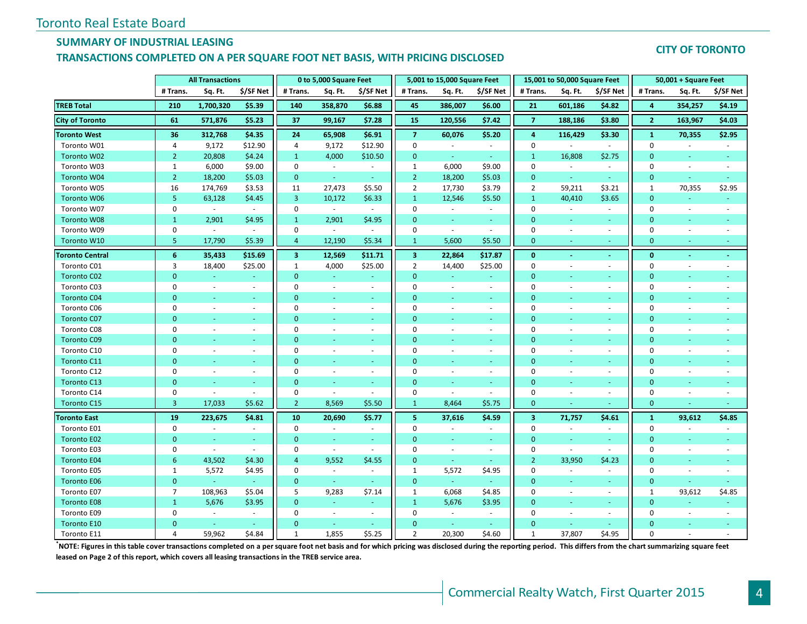# **SUMMARY OF INDUSTRIAL LEASING**

#### **TRANSACTIONS COMPLETED ON A PER SQUARE FOOT NET BASIS, WITH PRICING DISCLOSED**

#### **CITY OF TORONTO**

|                        | <b>All Transactions</b> |                |                          |                | 0 to 5,000 Square Feet   |                          |                         | 5,001 to 15,000 Square Feet |                |                         | 15,001 to 50,000 Square Feet |                          |                | 50,001 + Square Feet     |                          |
|------------------------|-------------------------|----------------|--------------------------|----------------|--------------------------|--------------------------|-------------------------|-----------------------------|----------------|-------------------------|------------------------------|--------------------------|----------------|--------------------------|--------------------------|
|                        | # Trans.                | Sq. Ft.        | \$/SF Net                | # Trans.       | Sq. Ft.                  | \$/SF Net                | # Trans.                | Sq. Ft.                     | \$/SF Net      | # Trans.                | Sq. Ft.                      | \$/SF Net                | # Trans.       | Sq. Ft.                  | \$/SF Net                |
| <b>TREB Total</b>      | 210                     | 1,700,320      | \$5.39                   | 140            | 358,870                  | \$6.88                   | 45                      | 386,007                     | \$6.00         | 21                      | 601,186                      | \$4.82                   | 4              | 354,257                  | \$4.19                   |
| <b>City of Toronto</b> | 61                      | 571,876        | \$5.23                   | 37             | 99,167                   | \$7.28                   | 15                      | 120,556                     | \$7.42         | $\overline{7}$          | 188,186                      | \$3.80                   | $\overline{2}$ | 163,967                  | \$4.03                   |
| <b>Toronto West</b>    | 36                      | 312,768        | \$4.35                   | 24             | 65,908                   | \$6.91                   | $\overline{7}$          | 60,076                      | \$5.20         | $\overline{a}$          | 116,429                      | \$3.30                   | $\mathbf{1}$   | 70,355                   | \$2.95                   |
| Toronto W01            | 4                       | 9,172          | \$12.90                  | 4              | 9,172                    | \$12.90                  | $\mathbf 0$             |                             | $\blacksquare$ | $\mathbf 0$             |                              |                          | $\mathbf 0$    |                          |                          |
| Toronto W02            | $\overline{2}$          | 20,808         | \$4.24                   | $\mathbf{1}$   | 4,000                    | \$10.50                  | $\mathbf{0}$            | $\sim$                      | $\sim$         | $\mathbf{1}$            | 16,808                       | \$2.75                   | $\mathbf{0}$   | ٠                        | ٠                        |
| Toronto W03            | 1                       | 6,000          | \$9.00                   | $\mathbf 0$    | $\blacksquare$           | $\sim$                   | 1                       | 6,000                       | \$9.00         | $\mathbf 0$             | $\overline{\phantom{a}}$     | $\sim$                   | $\mathbf 0$    | $\sim$                   | $\sim$                   |
| Toronto W04            | $\overline{2}$          | 18,200         | \$5.03                   | $\mathbf{0}$   | $\omega$                 | $\sim$                   | $\overline{2}$          | 18,200                      | \$5.03         | $\mathbf{0}$            | $\omega$                     | $\sim$                   | $\mathbf{0}$   | $\omega$                 | $\omega$                 |
| Toronto W05            | 16                      | 174,769        | \$3.53                   | 11             | 27,473                   | \$5.50                   | $\overline{2}$          | 17,730                      | \$3.79         | $\overline{2}$          | 59,211                       | \$3.21                   | $\mathbf{1}$   | 70,355                   | \$2.95                   |
| <b>Toronto W06</b>     | 5.                      | 63,128         | \$4.45                   | 3              | 10,172                   | \$6.33                   | $\mathbf{1}$            | 12,546                      | \$5.50         | $\mathbf{1}$            | 40,410                       | \$3.65                   | $\mathbf{0}$   |                          | ÷                        |
| Toronto W07            | $\mathbf 0$             | $\sim$         | $\sim$                   | $\mathbf 0$    | $\sim$                   | $\sim$                   | $\mathbf 0$             | $\sim$                      | $\sim$         | $\mathbf 0$             | $\sim$                       | $\sim$                   | $\mathbf 0$    | $\sim$                   | $\overline{a}$           |
| <b>Toronto W08</b>     | $\mathbf{1}$            | 2,901          | \$4.95                   | $\mathbf{1}$   | 2,901                    | \$4.95                   | $\mathbf{0}$            | $\sim$                      | $\sim$         | $\overline{0}$          | ÷.                           | $\sim$                   | $\mathbf{0}$   | $\sim$                   | ÷.                       |
| Toronto W09            | $\mathbf 0$             | $\omega$       | $\sim$                   | 0              | $\omega$                 | $\sim$                   | $\mathbf 0$             | $\sim$                      | $\sim$         | $\mathbf 0$             | $\overline{\phantom{a}}$     | $\sim$                   | $\mathbf 0$    | $\overline{\phantom{a}}$ | $\overline{\phantom{a}}$ |
| Toronto W10            | 5                       | 17,790         | \$5.39                   | 4              | 12,190                   | \$5.34                   | $\mathbf{1}$            | 5,600                       | \$5.50         | $\mathbf{0}$            |                              | $\overline{\phantom{a}}$ | $\mathbf{0}$   | $\omega$                 | ٠                        |
| <b>Toronto Central</b> | 6 <sup>1</sup>          | 35,433         | \$15.69                  | 3              | 12,569                   | \$11.71                  | $\overline{\mathbf{3}}$ | 22,864                      | \$17.87        | $\bf{0}$                | $\blacksquare$               | $\blacksquare$           | $\bf{0}$       | $\omega$                 | $\blacksquare$           |
| Toronto C01            | 3                       | 18,400         | \$25.00                  | 1              | 4,000                    | \$25.00                  | $\overline{2}$          | 14,400                      | \$25.00        | $\mathbf 0$             |                              | $\sim$                   | $\mathbf 0$    | $\sim$                   |                          |
| <b>Toronto C02</b>     | $\overline{0}$          | ÷.             | u,                       | $\mathbf{0}$   | $\omega$                 | $\blacksquare$           | $\mathbf{0}$            | $\omega_{\rm c}$            | $\omega$       | $\overline{0}$          |                              | ÷.                       | $\Omega$       | $\blacksquare$           | ÷                        |
| Toronto C03            | $\Omega$                | $\omega$       | $\sim$                   | $\mathbf{0}$   | $\sim$                   | $\sim$                   | $\Omega$                | $\sim$                      | $\sim$         | $\mathbf 0$             | $\sim$                       | $\sim$                   | 0              | $\sim$                   | ä,                       |
| <b>Toronto C04</b>     | $\Omega$                | ÷              | ÷.                       | $\mathbf{0}$   | ÷.                       | $\sim$                   | $\mathbf{0}$            | ÷                           | $\omega$       | $\overline{0}$          | $\sim$                       | $\sim$                   | $\Omega$       |                          |                          |
| Toronto C06            | $\Omega$                | $\sim$         | ÷.                       | $\mathbf{0}$   | ÷.                       | $\sim$                   | $\mathbf 0$             | $\sim$                      | $\sim$         | $\mathbf 0$             | $\sim$                       | $\sim$                   | $\Omega$       | $\sim$                   |                          |
| <b>Toronto C07</b>     | $\overline{0}$          |                | ٠                        | $\mathbf{0}$   |                          | $\overline{\phantom{a}}$ | $\mathbf{0}$            |                             | ÷.             | $\mathbf{0}$            |                              | Ξ                        | $\mathbf{0}$   |                          |                          |
| Toronto C08            | $\Omega$                | $\sim$         | $\sim$                   | $\mathbf{0}$   | ÷.                       | $\blacksquare$           | $\Omega$                | $\sim$                      | $\sim$         | $\mathbf 0$             | $\sim$                       | $\omega$                 | $\mathbf 0$    | $\overline{\phantom{a}}$ | ä,                       |
| <b>Toronto C09</b>     | $\overline{0}$          | ÷              | u,                       | $\mathbf{0}$   | ÷.                       | $\sim$                   | $\mathbf{0}$            | $\sim$                      | ÷.             | $\mathbf{0}$            |                              | $\omega$                 | $\bullet$      | $\sim$                   |                          |
| Toronto C10            | $\mathbf 0$             | $\sim$         | $\sim$                   | $\mathbf{0}$   | $\sim$                   | $\sim$                   | $\Omega$                | $\sim$                      | $\sim$         | $\mathbf 0$             | $\sim$                       | $\sim$                   | $\Omega$       | $\sim$                   |                          |
| <b>Toronto C11</b>     | $\overline{0}$          | $\blacksquare$ | $\omega$                 | $\mathbf{0}$   | $\sim$                   | $\sim$                   | $\mathbf{0}$            | $\sim$                      | $\sim$         | $\mathbf{0}$            | $\sim$                       | ÷                        | 0              | $\blacksquare$           |                          |
| Toronto C12            | $\mathbf 0$             | $\sim$         | $\overline{\phantom{a}}$ | $\mathbf{0}$   | $\overline{\phantom{a}}$ | ÷.                       | $\mathbf 0$             | $\sim$                      | $\sim$         | $\mathbf 0$             | $\sim$                       | $\sim$                   | $\mathbf 0$    | $\sim$                   |                          |
| <b>Toronto C13</b>     | $\overline{0}$          | $\omega$       | ÷.                       | $\mathbf{0}$   | $\sim$                   | $\blacksquare$           | $\mathbf{0}$            | ÷                           | $\omega$       | $\mathbf{0}$            |                              | $\sim$                   | 0              | $\blacksquare$           | ÷                        |
| Toronto C14            | $\mathbf 0$             | $\sim$         | ÷.                       | $\mathbf{0}$   | $\omega$                 | $\sim$                   | $\mathbf 0$             | $\sim$                      | $\omega$       | $\mathbf 0$             | $\sim$                       | $\sim$                   | $\mathbf 0$    | $\sim$                   | ÷,                       |
| <b>Toronto C15</b>     | 3                       | 17,033         | \$5.62                   | $\overline{2}$ | 8,569                    | \$5.50                   | $\mathbf{1}$            | 8,464                       | \$5.75         | $\mathbf{0}$            |                              | ÷                        | $\mathbf{0}$   | $\sim$                   |                          |
| <b>Toronto East</b>    | 19                      | 223,675        | \$4.81                   | 10             | 20,690                   | \$5.77                   | 5                       | 37,616                      | \$4.59         | $\overline{\mathbf{3}}$ | 71,757                       | \$4.61                   | $\mathbf{1}$   | 93,612                   | \$4.85                   |
| Toronto E01            | $\mathbf 0$             | $\omega$       | $\sim$                   | 0              | $\sim$                   | $\blacksquare$           | $\mathbf 0$             | $\sim$                      | $\blacksquare$ | $\mathbf 0$             | $\overline{\phantom{a}}$     | $\overline{\phantom{a}}$ | 0              | $\sim$                   | $\sim$                   |
| <b>Toronto E02</b>     | $\overline{0}$          | $\omega$       | $\omega$                 | $\mathbf{0}$   | $\omega$                 | $\omega$                 | $\mathbf{0}$            | $\omega$                    | $\omega$       | $\mathbf{0}$            | $\omega$                     | $\omega$                 | $\mathbf 0$    | $\omega$                 |                          |
| Toronto E03            | $\mathbf 0$             | $\omega$       | $\omega$                 | 0              | $\sim$                   | $\sim$                   | $\mathbf 0$             | $\sim$                      | $\sim$         | $\mathbf 0$             | $\sim$                       | $\sim$                   | 0              | $\sim$                   | ä,                       |
| <b>Toronto E04</b>     | 6                       | 43,502         | \$4.30                   | $\overline{4}$ | 9,552                    | \$4.55                   | $\mathbf{0}$            | $\sim$                      | $\sim$         | $\overline{2}$          | 33,950                       | \$4.23                   | 0              | $\blacksquare$           | $\blacksquare$           |
| Toronto E05            | 1                       | 5,572          | \$4.95                   | $\mathbf{0}$   | $\sim$                   | $\sim$                   | 1                       | 5,572                       | \$4.95         | $\mathbf 0$             | $\sim$                       | $\sim$                   | 0              | $\sim$                   | ÷.                       |
| <b>Toronto E06</b>     | $\mathbf{0}$            |                | $\omega$                 | $\mathbf{0}$   | $\omega$                 | $\sim$                   | $\mathbf{0}$            | $\sim$                      | $\sim$         | $\mathbf{0}$            | $\sim$                       | $\sim$                   | $\mathbf{0}$   | $\sim$                   | ÷.                       |
| Toronto E07            | $\overline{7}$          | 108,963        | \$5.04                   | 5              | 9,283                    | \$7.14                   | $\mathbf{1}$            | 6,068                       | \$4.85         | $\mathbf 0$             | $\overline{\phantom{a}}$     | $\sim$                   | $\mathbf{1}$   | 93,612                   | \$4.85                   |
| <b>Toronto E08</b>     | $\mathbf{1}$            | 5,676          | \$3.95                   | $\mathbf{0}$   | ÷.                       | ÷,                       | $\mathbf{1}$            | 5,676                       | \$3.95         | $\mathbf{0}$            |                              | $\omega$                 | $\mathbf{0}$   |                          |                          |
| Toronto E09            | $\mathbf 0$             | $\omega$       | $\omega$                 | $\mathbf{0}$   | ÷.                       | $\sim$                   | $\mathbf 0$             | $\sim$                      | $\omega$       | $\mathbf 0$             |                              | $\blacksquare$           | $\mathbf 0$    | $\sim$                   |                          |
| <b>Toronto E10</b>     | $\Omega$                | $\blacksquare$ | $\omega$                 | $\mathbf{0}$   | $\sim$                   | $\sim$                   | $\Omega$                | $\sim$                      | $\omega$       | $\overline{0}$          |                              | $\sim$                   | $\Omega$       |                          |                          |
| Toronto E11            | 4                       | 59,962         | \$4.84                   | $\mathbf{1}$   | 1,855                    | \$5.25                   | 2                       | 20,300                      | \$4.60         | $\mathbf{1}$            | 37,807                       | \$4.95                   | $\Omega$       |                          |                          |

**\*NOTE: Figures in this table cover transactions completed on a per square foot net basis and for which pricing was disclosed during the reporting period. This differs from the chart summarizing square feet leased on Page 2 of this report, which covers all leasing transactions in the TREB service area.**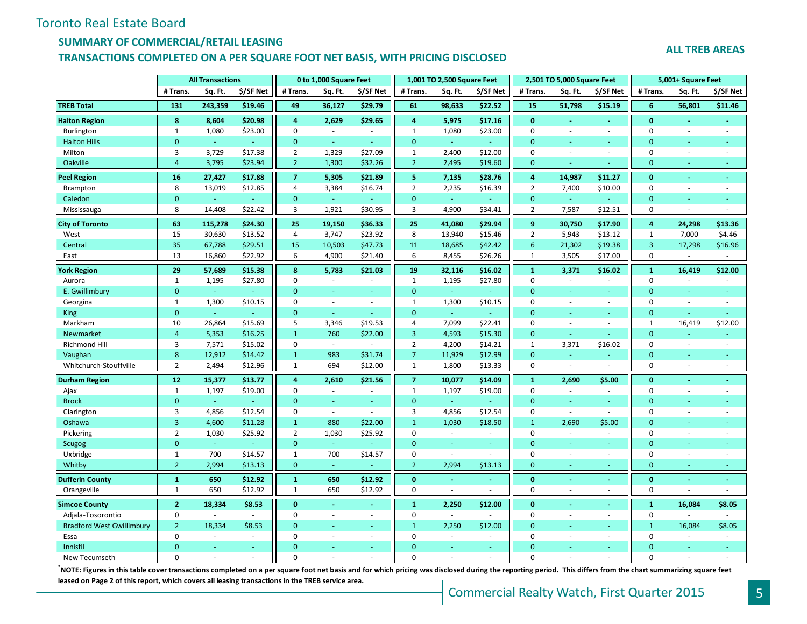# **SUMMARY OF COMMERCIAL/RETAIL LEASING**

## **TRANSACTIONS COMPLETED ON A PER SQUARE FOOT NET BASIS, WITH PRICING DISCLOSED**

#### **ALL TREB AREAS**

|                                  | <b>All Transactions</b> |                |                          |                | 0 to 1,000 Square Feet |                          |                | 1,001 TO 2,500 Square Feet |           |                 | 2,501 TO 5,000 Square Feet |                          |                | 5,001+ Square Feet       |                          |
|----------------------------------|-------------------------|----------------|--------------------------|----------------|------------------------|--------------------------|----------------|----------------------------|-----------|-----------------|----------------------------|--------------------------|----------------|--------------------------|--------------------------|
|                                  | # Trans.                | Sq. Ft.        | \$/SF Net                | # Trans.       | Sq. Ft.                | \$/SF Net                | # Trans.       | Sq. Ft.                    | \$/SF Net | # Trans.        | Sq. Ft.                    | \$/SF Net                | # Trans.       | Sq. Ft.                  | \$/SF Net                |
| <b>TREB Total</b>                | 131                     | 243,359        | \$19.46                  | 49             | 36,127                 | \$29.79                  | 61             | 98,633                     | \$22.52   | 15              | 51,798                     | \$15.19                  | 6              | 56,801                   | \$11.46                  |
| <b>Halton Region</b>             | 8                       | 8,604          | \$20.98                  | 4              | 2,629                  | \$29.65                  | $\overline{a}$ | 5,975                      | \$17.16   | $\mathbf{0}$    |                            |                          | $\mathbf{0}$   |                          |                          |
| Burlington                       | $\mathbf{1}$            | 1,080          | \$23.00                  | $\mathbf 0$    | $\bar{a}$              | $\overline{\phantom{a}}$ | $\mathbf{1}$   | 1,080                      | \$23.00   | $\mathbf 0$     | ÷,                         | $\overline{\phantom{a}}$ | $\mathbf 0$    | ä,                       | $\sim$                   |
| <b>Halton Hills</b>              | $\overline{0}$          | $\omega$       |                          | $\mathbf{0}$   | ÷.                     | ÷                        | $\mathbf{0}$   | ÷.                         | $\sim$    | $\mathbf{0}$    | ä,                         | $\omega$                 | $\mathbf{0}$   | $\blacksquare$           |                          |
| Milton                           | 3                       | 3,729          | \$17.38                  | $\overline{2}$ | 1,329                  | \$27.09                  | $\mathbf{1}$   | 2,400                      | \$12.00   | $\mathbf 0$     | ÷,                         | ÷.                       | $\mathbf 0$    | $\sim$                   | $\sim$                   |
| Oakville                         | $\overline{4}$          | 3,795          | \$23.94                  | $\overline{2}$ | 1,300                  | \$32.26                  | $\overline{2}$ | 2,495                      | \$19.60   | $\mathbf{0}$    | L.                         |                          | $\mathbf{0}$   | $\sim$                   | $\sim$                   |
| <b>Peel Region</b>               | 16                      | 27,427         | \$17.88                  | $\overline{7}$ | 5,305                  | \$21.89                  | 5              | 7,135                      | \$28.76   | 4               | 14,987                     | \$11.27                  | $\mathbf{0}$   | $\blacksquare$           | $\omega$                 |
| Brampton                         | 8                       | 13,019         | \$12.85                  | 4              | 3,384                  | \$16.74                  | $\overline{2}$ | 2,235                      | \$16.39   | $\overline{2}$  | 7,400                      | \$10.00                  | $\mathbf 0$    | $\overline{\phantom{a}}$ | $\overline{\phantom{a}}$ |
| Caledon                          | $\mathbf{0}$            | $\omega$       | $\omega$                 | $\mathbf{0}$   | $\omega$               |                          | $\mathbf{0}$   | $\omega$                   |           | $\mathbf{0}$    | ä,                         | $\omega$                 | $\mathbf{0}$   | ٠                        | ÷                        |
| Mississauga                      | 8                       | 14,408         | \$22.42                  | 3              | 1,921                  | \$30.95                  | 3              | 4,900                      | \$34.41   | $\overline{2}$  | 7,587                      | \$12.51                  | $\mathbf 0$    | ÷,                       | $\sim$                   |
| <b>City of Toronto</b>           | 63                      | 115,278        | \$24.30                  | 25             | 19,150                 | \$36.33                  | 25             | 41,080                     | \$29.94   | 9               | 30,750                     | \$17.90                  | 4              | 24,298                   | \$13.36                  |
| West                             | 15                      | 30,630         | \$13.52                  | 4              | 3,747                  | \$23.92                  | 8              | 13,940                     | \$15.46   | $\overline{2}$  | 5,943                      | \$13.12                  | $\mathbf{1}$   | 7,000                    | \$4.46                   |
| Central                          | 35                      | 67,788         | \$29.51                  | 15             | 10,503                 | \$47.73                  | 11             | 18,685                     | \$42.42   | $6\overline{6}$ | 21,302                     | \$19.38                  | $\overline{3}$ | 17,298                   | \$16.96                  |
| East                             | 13                      | 16,860         | \$22.92                  | 6              | 4,900                  | \$21.40                  | 6              | 8,455                      | \$26.26   | $\mathbf{1}$    | 3,505                      | \$17.00                  | $\mathsf 0$    | ÷,                       | $\overline{\phantom{a}}$ |
| York Region                      | 29                      | 57,689         | \$15.38                  | 8              | 5,783                  | \$21.03                  | 19             | 32,116                     | \$16.02   | $\mathbf{1}$    | 3,371                      | \$16.02                  | $\mathbf{1}$   | 16,419                   | \$12.00                  |
| Aurora                           | 1                       | 1,195          | \$27.80                  | $\mathbf 0$    | ÷.                     | $\sim$                   | $\mathbf{1}$   | 1,195                      | \$27.80   | 0               | ÷.                         | $\sim$                   | 0              | $\sim$                   | $\sim$                   |
| E. Gwillimbury                   | $\mathbf{0}$            | ÷.             |                          | $\overline{0}$ |                        |                          | $\mathbf{0}$   |                            |           | $\mathbf{0}$    |                            |                          | $\mathbf{0}$   |                          |                          |
| Georgina                         | $\mathbf{1}$            | 1,300          | \$10.15                  | $\mathbf 0$    | $\omega$               | $\omega$                 | $\mathbf{1}$   | 1,300                      | \$10.15   | $\mathbf 0$     | $\sim$                     | $\omega$                 | $\mathbf 0$    | ä,                       | $\sim$                   |
| King                             | $\overline{0}$          | ω,             |                          | $\mathbf{0}$   | ä,                     | ÷.                       | $\mathbf{0}$   | ÷.                         | G.        | $\mathbf{0}$    | ä,                         | ÷                        | $\mathbf{0}$   | ÷                        | ÷                        |
| Markham                          | 10                      | 26,864         | \$15.69                  | 5              | 3,346                  | \$19.53                  | $\overline{4}$ | 7,099                      | \$22.41   | $\Omega$        | $\overline{\phantom{a}}$   | $\overline{a}$           | $\mathbf{1}$   | 16,419                   | \$12.00                  |
| Newmarket                        | $\overline{4}$          | 5,353          | \$16.25                  | $\mathbf{1}$   | 760                    | \$22.00                  | $\overline{3}$ | 4,593                      | \$15.30   | $\mathbf{0}$    | ä,                         |                          | $\overline{0}$ |                          |                          |
| Richmond Hill                    | 3                       | 7,571          | \$15.02                  | $\mathbf 0$    | $\sim$                 | $\sim$                   | $\overline{2}$ | 4,200                      | \$14.21   | $\mathbf{1}$    | 3,371                      | \$16.02                  | $\mathbf 0$    | $\overline{\phantom{a}}$ | $\sim$                   |
| Vaughan                          | 8                       | 12,912         | \$14.42                  | $\mathbf{1}$   | 983                    | \$31.74                  | $\overline{7}$ | 11,929                     | \$12.99   | $\mathbf{0}$    | $\omega$                   | ÷                        | $\mathbf{0}$   | ٠                        | ÷.                       |
| Whitchurch-Stouffville           | $\overline{2}$          | 2,494          | \$12.96                  | $\mathbf{1}$   | 694                    | \$12.00                  | $\mathbf{1}$   | 1,800                      | \$13.33   | $\mathbf 0$     | ÷,                         |                          | 0              | $\overline{\phantom{a}}$ | $\sim$                   |
| <b>Durham Region</b>             | 12                      | 15,377         | \$13.77                  | $\overline{a}$ | 2,610                  | \$21.56                  | $\overline{7}$ | 10,077                     | \$14.09   | $\mathbf{1}$    | 2,690                      | \$5.00                   | $\mathbf 0$    |                          |                          |
| Ajax                             | $\mathbf{1}$            | 1,197          | \$19.00                  | $\mathbf 0$    | $\sim$                 |                          | $\mathbf{1}$   | 1,197                      | \$19.00   | $\mathbf 0$     | $\sim$                     | $\sim$                   | $\mathbf 0$    | $\ddot{\phantom{1}}$     |                          |
| <b>Brock</b>                     | $\overline{0}$          | $\omega$       |                          | $\mathbf{0}$   | ä,                     | $\omega$                 | $\mathbf{0}$   | $\omega$                   | $\omega$  | $\mathbf{0}$    | Ξ                          | $\omega$                 | $\mathbf{0}$   |                          |                          |
| Clarington                       | 3                       | 4,856          | \$12.54                  | $\mathbf 0$    | ÷.                     | $\sim$                   | 3              | 4,856                      | \$12.54   | $\mathbf 0$     | $\sim$                     | ÷.                       | $\mathbf 0$    | ÷.                       |                          |
| Oshawa                           | 3                       | 4,600          | \$11.28                  | $\mathbf{1}$   | 880                    | \$22.00                  | $\mathbf{1}$   | 1,030                      | \$18.50   | $\mathbf{1}$    | 2,690                      | \$5.00                   | $\overline{0}$ |                          |                          |
| Pickering                        | $\overline{2}$          | 1,030          | \$25.92                  | $\overline{2}$ | 1,030                  | \$25.92                  | $\mathbf 0$    | $\omega$                   | $\sim$    | $\mathbf 0$     | $\mathbf{r}$               | $\sim$                   | $\mathbf 0$    | ä,                       |                          |
| <b>Scugog</b>                    | $\overline{0}$          | $\omega$       |                          | $\mathbf{0}$   | ÷.                     |                          | $\mathbf{0}$   | $\omega$                   | $\sim$    | $\mathbf{0}$    | Ξ                          | $\omega$                 | $\mathbf{0}$   | $\blacksquare$           |                          |
| Uxbridge                         | $\mathbf{1}$            | 700            | \$14.57                  | 1              | 700                    | \$14.57                  | $\mathbf 0$    | $\omega$                   | $\sim$    | $\mathbf 0$     | ÷,                         | $\sim$                   | $\mathbf 0$    | $\sim$                   | $\sim$                   |
| Whitby                           | $\overline{2}$          | 2,994          | \$13.13                  | $\mathbf{0}$   | ÷                      |                          | $\overline{2}$ | 2,994                      | \$13.13   | $\mathbf{0}$    | ÷.                         |                          | $\mathbf{0}$   | ÷                        | ÷                        |
| <b>Dufferin County</b>           | $\mathbf{1}$            | 650            | \$12.92                  | $\mathbf{1}$   | 650                    | \$12.92                  | $\mathbf{0}$   | $\omega$                   | $\sim$    | $\mathbf{0}$    | $\sim$                     | $\sim$                   | $\mathbf{0}$   | $\blacksquare$           | $\omega$                 |
| Orangeville                      | $\mathbf{1}$            | 650            | \$12.92                  | $\mathbf{1}$   | 650                    | \$12.92                  | $\mathbf 0$    | ÷,                         |           | $\mathbf 0$     | ÷,                         | $\overline{\phantom{a}}$ | $\mathbf 0$    | $\overline{\phantom{a}}$ | $\sim$                   |
| <b>Simcoe County</b>             | $\mathbf{2}$            | 18,334         | \$8.53                   | $\bf{0}$       |                        | $\blacksquare$           | $\mathbf{1}$   | 2,250                      | \$12.00   | $\mathbf{0}$    |                            |                          | 1              | 16,084                   | \$8.05                   |
| Adjala-Tosorontio                | $\pmb{0}$               | $\overline{a}$ | $\sim$                   | $\pmb{0}$      | $\sim$                 | $\sim$                   | $\mathbf 0$    | $\sim$                     |           | $\mathbf 0$     | $\overline{\phantom{a}}$   | $\sim$                   | $\mathbf 0$    |                          | $\sim$                   |
| <b>Bradford West Gwillimbury</b> | $\overline{2}$          | 18,334         | \$8.53                   | $\Omega$       | u,                     | $\omega$                 | $\mathbf{1}$   | 2,250                      | \$12.00   | $\Omega$        | u                          | ÷                        | $\mathbf{1}$   | 16,084                   | \$8.05                   |
| Essa                             | $\Omega$                | ÷.             | $\overline{\phantom{a}}$ | $\Omega$       | ä,                     | $\sim$                   | $\mathbf 0$    | $\sim$                     |           | $\mathbf 0$     | ä,                         | ÷                        | $\mathbf 0$    | ä,                       | $\sim$                   |
| Innisfil                         | $\Omega$                |                |                          | $\Omega$       |                        |                          | $\Omega$       |                            |           | $\Omega$        |                            |                          | $\overline{0}$ |                          |                          |
| New Tecumseth                    | $\Omega$                |                |                          | $\Omega$       |                        |                          | $\Omega$       |                            |           | $\Omega$        |                            |                          | $\Omega$       |                          |                          |

**\***NOTE: Figures in this table cover transactions completed on a per square foot net basis and for which pricing was disclosed during the reporting period. This differs from the chart summarizing square feet **leased on Page 2 of this report, which covers all leasing transactions in the TREB service area.**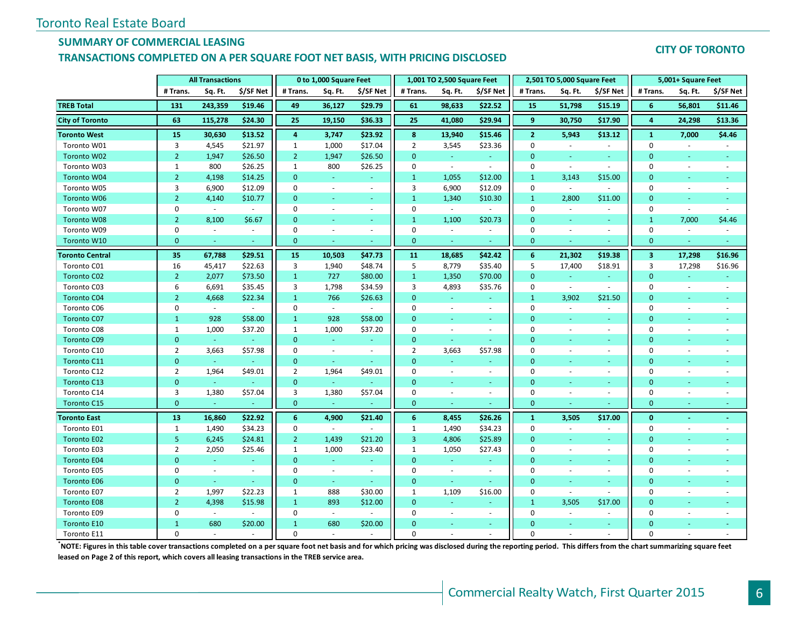## **SUMMARY OF COMMERCIAL LEASING**

#### **TRANSACTIONS COMPLETED ON A PER SQUARE FOOT NET BASIS, WITH PRICING DISCLOSED**

#### **CITY OF TORONTO**

|                        | <b>All Transactions</b> |            |           |                | 0 to 1,000 Square Feet |                          |                | 1,001 TO 2,500 Square Feet |                |                | 2,501 TO 5,000 Square Feet |                          |                         | 5,001+ Square Feet       |                          |
|------------------------|-------------------------|------------|-----------|----------------|------------------------|--------------------------|----------------|----------------------------|----------------|----------------|----------------------------|--------------------------|-------------------------|--------------------------|--------------------------|
|                        | # Trans.                | Sq. Ft.    | \$/SF Net | # Trans.       | Sq. Ft.                | \$/SF Net                | # Trans.       | Sq. Ft.                    | \$/SF Net      | # Trans.       | Sq. Ft.                    | \$/SF Net                | # Trans.                | Sq. Ft.                  | \$/SF Net                |
| <b>TREB Total</b>      | 131                     | 243,359    | \$19.46   | 49             | 36,127                 | \$29.79                  | 61             | 98,633                     | \$22.52        | 15             | 51,798                     | \$15.19                  | 6                       | 56,801                   | \$11.46                  |
| <b>City of Toronto</b> | 63                      | 115,278    | \$24.30   | 25             | 19,150                 | \$36.33                  | 25             | 41,080                     | \$29.94        | 9              | 30,750                     | \$17.90                  | 4                       | 24,298                   | \$13.36                  |
| <b>Toronto West</b>    | 15                      | 30,630     | \$13.52   | 4              | 3,747                  | \$23.92                  | 8              | 13,940                     | \$15.46        | $\overline{2}$ | 5,943                      | \$13.12                  | $\mathbf{1}$            | 7,000                    | \$4.46                   |
| Toronto W01            | 3                       | 4,545      | \$21.97   | $\mathbf{1}$   | 1,000                  | \$17.04                  | $\overline{2}$ | 3,545                      | \$23.36        | $\mathbf 0$    | $\sim$                     | $\sim$                   | $\mathbf 0$             | $\sim$                   | $\sim$                   |
| Toronto W02            | $\overline{2}$          | 1,947      | \$26.50   | $\overline{2}$ | 1,947                  | \$26.50                  | $\Omega$       | $\omega_{\rm c}$           | $\sim$         | $\Omega$       | ÷                          | ÷                        | $\Omega$                |                          |                          |
| Toronto W03            | $\mathbf{1}$            | 800        | \$26.25   | $\mathbf{1}$   | 800                    | \$26.25                  | $\mathbf 0$    | $\sim$                     | $\sim$         | $\mathbf 0$    | $\overline{\phantom{a}}$   | $\sim$                   | $\mathbf{0}$            | $\sim$                   | $\overline{\phantom{a}}$ |
| Toronto W04            | $2^{\circ}$             | 4,198      | \$14.25   | $\mathbf{0}$   | ÷                      | ÷                        | $\mathbf{1}$   | 1,055                      | \$12.00        | $\mathbf{1}$   | 3,143                      | \$15.00                  | $\mathbf{0}$            | $\sim$                   |                          |
| Toronto W05            | 3                       | 6,900      | \$12.09   | $\mathbf 0$    | $\omega$               | $\sim$                   | 3              | 6,900                      | \$12.09        | $\mathbf 0$    | $\sim$                     | $\omega$                 | $\mathbf{0}$            |                          |                          |
| Toronto W06            | $\overline{2}$          | 4,140      | \$10.77   | $\mathbf{0}$   | $\sim$                 | $\blacksquare$           | $\mathbf{1}$   | 1,340                      | \$10.30        | $\mathbf{1}$   | 2,800                      | \$11.00                  | $\mathbf{0}$            | $\overline{\phantom{a}}$ |                          |
| Toronto W07            | $\mathbf 0$             | $\sim$     | $\sim$    | $\mathbf 0$    | $\sim$                 | $\overline{\phantom{a}}$ | $\mathbf 0$    | $\sim$                     | $\sim$         | $\mathbf 0$    | $\sim$                     | $\sim$                   | $\mathbf{0}$            | ÷.                       |                          |
| <b>Toronto W08</b>     | $\overline{2}$          | 8,100      | \$6.67    | $\mathbf{0}$   |                        | $\blacksquare$           | $\mathbf{1}$   | 1,100                      | \$20.73        | $\mathbf{0}$   | $\omega$                   | $\sim$                   | $\mathbf{1}$            | 7,000                    | \$4.46                   |
| Toronto W09            | $\mathbf 0$             | $\omega$   | $\sim$    | $\mathbf 0$    | $\sim$                 | $\sim$                   | $\mathbf 0$    | $\sim$                     | $\sim$         | $\mathbf 0$    | $\sim$                     | $\sim$                   | 0                       | $\sim$                   | $\overline{a}$           |
| Toronto W10            | $\mathbf{0}$            | ÷          | <b>Co</b> | $\mathbf{0}$   | ÷                      | ÷                        | $\mathbf{0}$   | $\sim$                     | $\sim$         | $\mathbf{0}$   |                            |                          | $\mathbf{0}$            | ٠                        | ÷                        |
| <b>Toronto Central</b> | 35                      | 67,788     | \$29.51   | 15             | 10,503                 | \$47.73                  | 11             | 18,685                     | \$42.42        | 6              | 21,302                     | \$19.38                  | $\overline{\mathbf{3}}$ | 17,298                   | \$16.96                  |
| Toronto C01            | 16                      | 45,417     | \$22.63   | 3              | 1,940                  | \$48.74                  | 5              | 8,779                      | \$35.40        | 5              | 17,400                     | \$18.91                  | 3                       | 17,298                   | \$16.96                  |
| <b>Toronto C02</b>     | $\overline{2}$          | 2,077      | \$73.50   | $\mathbf{1}$   | 727                    | \$80.00                  | $\mathbf{1}$   | 1,350                      | \$70.00        | $\mathbf{0}$   | $\omega$                   | $\omega$                 | $\mathbf{0}$            | ÷                        |                          |
| Toronto C03            | 6                       | 6,691      | \$35.45   | 3              | 1,798                  | \$34.59                  | 3              | 4,893                      | \$35.76        | $\mathbf 0$    | $\sim$                     | $\omega$                 | 0                       | $\blacksquare$           | $\bar{\phantom{a}}$      |
| <b>Toronto C04</b>     | $\overline{2}$          | 4,668      | \$22.34   | $\mathbf{1}$   | 766                    | \$26.63                  | $\overline{0}$ | $\sim$                     | $\omega$       | $\mathbf{1}$   | 3,902                      | \$21.50                  | $\mathbf{0}$            | ٠                        |                          |
| Toronto C06            | $\mathbf 0$             | $\sim$     | $\sim$    | $\mathbf 0$    | $\sim$                 | $\sim$                   | $\mathbf 0$    | $\sim$                     | $\sim$         | $\mathbf 0$    | $\sim$                     | $\sim$                   | 0                       | $\sim$                   | ÷.                       |
| <b>Toronto C07</b>     | $\mathbf{1}$            | 928        | \$58.00   | $\mathbf{1}$   | 928                    | \$58.00                  | $\Omega$       |                            | ÷.             | $\Omega$       | ÷                          | ÷                        | $\Omega$                |                          |                          |
| Toronto C08            | $\mathbf{1}$            | 1,000      | \$37.20   | $\mathbf{1}$   | 1,000                  | \$37.20                  | $\mathbf 0$    | $\blacksquare$             | $\blacksquare$ | $\mathbf 0$    | $\overline{\phantom{a}}$   | $\blacksquare$           | $\mathbf{0}$            | $\sim$                   |                          |
| <b>Toronto C09</b>     | $\mathbf{0}$            | $\omega$   |           | $\mathbf{0}$   | ÷                      | $\omega$                 | $\mathbf{0}$   | $\omega$                   | $\omega$       | $\mathbf{0}$   |                            | ÷,                       | $\mathbf{0}$            |                          |                          |
| Toronto C10            | $\overline{2}$          | 3,663      | \$57.98   | $\mathbf 0$    | $\sim$                 | $\sim$                   | $\overline{2}$ | 3,663                      | \$57.98        | $\mathbf 0$    |                            | $\sim$                   | $\mathbf 0$             |                          |                          |
| Toronto C11            | $\mathbf{0}$            | $\omega$   | $\sim$    | $\mathbf{0}$   | $\sim$                 | $\omega$                 | $\overline{0}$ | $\sim$                     | $\equiv$       | $\mathbf{0}$   |                            | ٠                        | $\mathbf{0}$            |                          |                          |
| Toronto C12            | $\overline{2}$          | 1,964      | \$49.01   | $\overline{2}$ | 1,964                  | \$49.01                  | $\mathbf 0$    | $\sim$                     | $\sim$         | $\mathbf 0$    | ÷.                         | $\sim$                   | $\mathbf 0$             |                          |                          |
| Toronto C13            | $\mathbf{0}$            | $\omega$   |           | $\mathbf{0}$   | $\omega$               |                          | $\mathbf{0}$   | $\sim$                     | $\equiv$       | $\mathbf{0}$   |                            | $\overline{\phantom{a}}$ | $\mathbf{0}$            |                          |                          |
| Toronto C14            | 3                       | 1,380      | \$57.04   | 3              | 1,380                  | \$57.04                  | $\mathbf 0$    | $\omega$                   | ÷.             | $\mathbf{0}$   | $\sim$                     | $\overline{\phantom{a}}$ | 0                       | $\sim$                   | $\overline{a}$           |
| Toronto C15            | $\mathbf{0}$            | $\omega$   |           | $\mathbf{0}$   | ÷                      |                          | $\mathbf{0}$   | $\sim$                     | ÷.             | $\mathbf{0}$   |                            |                          | $\mathbf{0}$            | $\sim$                   |                          |
| <b>Toronto East</b>    | 13                      | 16,860     | \$22.92   | 6              | 4,900                  | \$21.40                  | 6              | 8,455                      | \$26.26        | $\mathbf{1}$   | 3,505                      | \$17.00                  | $\bf{0}$                |                          |                          |
| Toronto E01            | $\mathbf{1}$            | 1,490      | \$34.23   | $\mathbf 0$    | $\omega$               |                          | $\mathbf{1}$   | 1,490                      | \$34.23        | $\mathbf 0$    | $\overline{\phantom{a}}$   | $\sim$                   | $\mathbf 0$             | $\sim$                   | ÷.                       |
| <b>Toronto E02</b>     | 5                       | 6,245      | \$24.81   | $\overline{2}$ | 1,439                  | \$21.20                  | 3              | 4,806                      | \$25.89        | $\mathbf{0}$   | ÷                          | ÷                        | $\mathbf{0}$            | $\sim$                   |                          |
| Toronto E03            | $\overline{2}$          | 2,050      | \$25.46   | $\mathbf{1}$   | 1,000                  | \$23.40                  | $\mathbf{1}$   | 1,050                      | \$27.43        | $\mathbf 0$    | $\sim$                     | $\omega$                 | $\mathbf 0$             | $\sim$                   |                          |
| <b>Toronto E04</b>     | $\mathbf{0}$            | $\omega$ . | $\sim$    | $\mathbf{0}$   | $\omega$               | ٠                        | $\mathbf{0}$   | $\sim$                     | $\sim$         | $\mathbf{0}$   | $\sim$                     | $\sim$                   | $\mathbf{0}$            |                          |                          |
| Toronto E05            | $\mathbf 0$             | $\omega$   | $\sim$    | $\mathbf 0$    | ÷.                     | $\overline{\phantom{a}}$ | $\mathbf 0$    | $\blacksquare$             | $\sim$         | $\mathbf 0$    | $\sim$                     | $\sim$                   | 0                       | $\sim$                   |                          |
| <b>Toronto E06</b>     | $\overline{0}$          | u.         | ÷         | $\mathbf{0}$   | ÷.                     | a.                       | $\overline{0}$ | $\sim$                     | u.             | $\Omega$       | $\sim$                     | $\sim$                   | $\mathbf{0}$            | $\sim$                   |                          |
| Toronto E07            | $\overline{2}$          | 1,997      | \$22.23   | $\mathbf{1}$   | 888                    | \$30.00                  | $\mathbf{1}$   | 1,109                      | \$16.00        | $\mathbf{0}$   | $\overline{\phantom{a}}$   | $\sim$                   | $\mathbf 0$             | $\sim$                   |                          |
| <b>Toronto E08</b>     | $\overline{2}$          | 4,398      | \$15.98   | $\mathbf{1}$   | 893                    | \$12.00                  | $\mathbf{0}$   | ÷                          | ÷.             | $\mathbf{1}$   | 3,505                      | \$17.00                  | $\mathbf{0}$            |                          |                          |
| Toronto E09            | $\mathbf 0$             | $\omega$   | $\sim$    | $\mathbf 0$    | $\sim$                 | $\overline{a}$           | $\mathbf 0$    | $\sim$                     | $\bar{a}$      | $\mathbf 0$    |                            | $\sim$                   | $\mathbf 0$             |                          |                          |
| <b>Toronto E10</b>     | $\mathbf{1}$            | 680        | \$20.00   | $\mathbf{1}$   | 680                    | \$20.00                  | $\Omega$       |                            | $\sim$         | $\overline{0}$ |                            | $\sim$                   | $\mathbf{0}$            |                          |                          |
| Toronto E11            | $\Omega$                | $\sim$     |           | $\Omega$       |                        |                          | $\Omega$       |                            |                | $\Omega$       |                            |                          | $\Omega$                |                          |                          |

**\*NOTE: Figures in this table cover transactions completed on a per square foot net basis and for which pricing was disclosed during the reporting period. This differs from the chart summarizing square feet leased on Page 2 of this report, which covers all leasing transactions in the TREB service area.**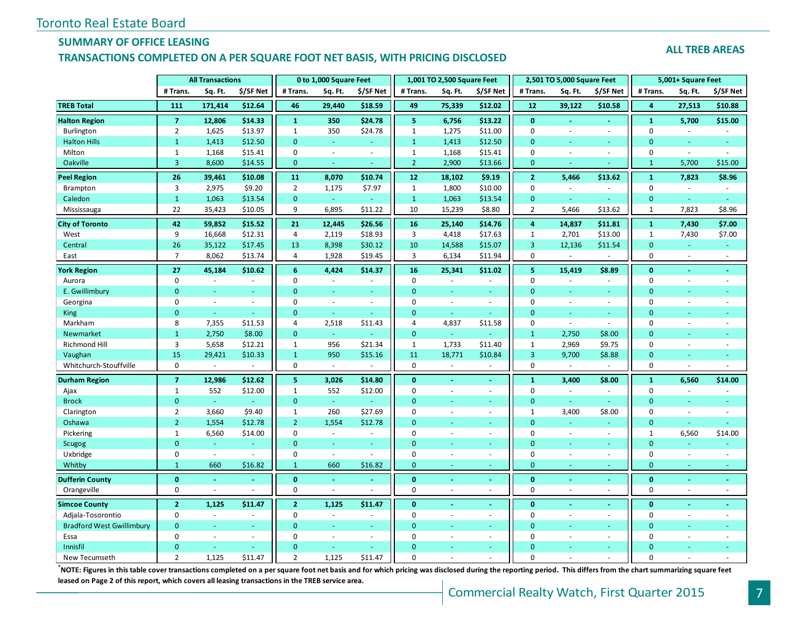# **SUMMARY OF OFFICE LEASING**

#### **TRANSACTIONS COMPLETED ON A PER SQUARE FOOT NET BASIS, WITH PRICING DISCLOSED**

#### **ALL TREB AREAS**

|                                  |                | <b>All Transactions</b>  |                |                | 0 to 1,000 Square Feet   |                |                         | 1,001 TO 2,500 Square Feet |               |                         | 2,501 TO 5,000 Square Feet |                          |                | 5,001+ Square Feet       |                |
|----------------------------------|----------------|--------------------------|----------------|----------------|--------------------------|----------------|-------------------------|----------------------------|---------------|-------------------------|----------------------------|--------------------------|----------------|--------------------------|----------------|
|                                  | # Trans.       | Sq. Ft.                  | \$/SF Net      | # Trans.       | Sq. Ft.                  | \$/SF Net      | # Trans.                | Sq. Ft.                    | \$/SF Net     | # Trans.                | Sq. Ft.                    | \$/SF Net                | # Trans.       | Sq. Ft.                  | \$/SF Net      |
| <b>TREB Total</b>                | 111            | 171,414                  | \$12.64        | 46             | 29,440                   | \$18.59        | 49                      | 75,339                     | \$12.02       | 12                      | 39,122                     | \$10.58                  | 4              | 27,513                   | \$10.88        |
| <b>Halton Region</b>             | $\overline{7}$ | 12,806                   | \$14.33        | $\mathbf{1}$   | 350                      | \$24.78        | $\overline{\mathbf{5}}$ | 6,756                      | \$13.22       | $\mathbf{0}$            | L.                         |                          | $\mathbf{1}$   | 5,700                    | \$15.00        |
| Burlington                       | $\overline{2}$ | 1,625                    | \$13.97        | $\mathbf{1}$   | 350                      | \$24.78        | $\mathbf{1}$            | 1,275                      | \$11.00       | $\mathbf 0$             | $\sim$                     | $\sim$                   | $\mathbf 0$    | $\sim$                   | $\sim$         |
| <b>Halton Hills</b>              | $\mathbf{1}$   | 1,413                    | \$12.50        | $\Omega$       | ÷.                       | $\sim$         | $1\,$                   | 1,413                      | \$12.50       | $\mathbf{0}$            | ä,                         | ÷                        | $\overline{0}$ | ä,                       |                |
| Milton                           | $\mathbf{1}$   | 1,168                    | \$15.41        | $\mathbf 0$    | $\sim$                   | $\sim$         | $\mathbf{1}$            | 1,168                      | \$15.41       | $\mathbf 0$             | $\overline{\phantom{a}}$   | $\sim$                   | $\mathbf 0$    | ä,                       | $\sim$         |
| Oakville                         | 3              | 8,600                    | \$14.55        | $\mathbf{0}$   | $\omega$                 |                | $\overline{2}$          | 2,900                      | \$13.66       | $\mathbf{0}$            | u                          |                          | $\mathbf{1}$   | 5,700                    | \$15.00        |
| Peel Region                      | 26             | 39,461                   | \$10.08        | 11             | 8,070                    | \$10.74        | 12                      | 18,102                     | \$9.19        | $\mathbf{2}$            | 5,466                      | \$13.62                  | $\mathbf{1}$   | 7,823                    | \$8.96         |
| Brampton                         | 3              | 2,975                    | \$9.20         | $\overline{2}$ | 1,175                    | \$7.97         | $\mathbf{1}$            | 1,800                      | \$10.00       | $\mathbf 0$             | $\sim$                     | $\sim$                   | $\mathbf 0$    | ÷.                       | $\sim$         |
| Caledon                          | $\mathbf{1}$   | 1,063                    | \$13.54        | $\mathbf{0}$   | $\omega$                 |                | $\mathbf{1}$            | 1,063                      | \$13.54       | $\mathbf{0}$            | ÷                          |                          | $\mathbf{0}$   |                          |                |
| Mississauga                      | 22             | 35,423                   | \$10.05        | 9              | 6,895                    | \$11.22        | 10                      | 15,239                     | \$8.80        | $\overline{2}$          | 5,466                      | \$13.62                  | 1              | 7,823                    | \$8.96         |
| <b>City of Toronto</b>           | 42             | 59,852                   | \$15.52        | 21             | 12,445                   | \$26.56        | 16                      | 25,140                     | \$14.76       | 4                       | 14,837                     | \$11.81                  | $\mathbf{1}$   | 7,430                    | \$7.00         |
| West                             | 9              | 16,668                   | \$12.31        | 4              | 2,119                    | \$18.93        | 3                       | 4,418                      | \$17.63       | $\mathbf{1}$            | 2,701                      | \$13.00                  | $\mathbf{1}$   | 7,430                    | \$7.00         |
| Central                          | 26             | 35,122                   | \$17.45        | 13             | 8,398                    | \$30.12        | 10                      | 14,588                     | \$15.07       | $\overline{3}$          | 12,136                     | \$11.54                  | $\mathbf{0}$   |                          |                |
| East                             | $\overline{7}$ | 8,062                    | \$13.74        | 4              | 1,928                    | \$19.45        | $\overline{3}$          | 6,134                      | \$11.94       | 0                       | $\mathbf{r}$               |                          | $\mathsf 0$    | $\sim$                   | $\sim$         |
| <b>York Region</b>               | 27             | 45,184                   | \$10.62        | 6              | 4,424                    | \$14.37        | 16                      | 25,341                     | \$11.02       | $\overline{\mathbf{5}}$ | 15,419                     | \$8.89                   | $\bf{0}$       | $\blacksquare$           | $\omega$       |
| Aurora                           | 0              | $\sim$                   | $\sim$         | $\mathbf 0$    | ÷.                       | $\sim$         | $\mathbf 0$             | ÷.                         | $\sim$        | $\mathbf 0$             | $\sim$                     | $\sim$                   | $\mathbf 0$    | $\sim$                   | $\sim$         |
| E. Gwillimbury                   | $\overline{0}$ | ÷                        |                | $\overline{0}$ | ÷                        | $\sim$         | $\overline{0}$          | ÷                          | $\sim$        | $\mathbf{0}$            | ä,                         | $\sim$                   | $\overline{0}$ |                          |                |
| Georgina                         | $\mathbf 0$    | $\sim$                   | $\sim$         | $\Omega$       | $\overline{\phantom{a}}$ | $\sim$         | $\mathbf 0$             | $\sim$                     | $\sim$        | $\mathbf 0$             | $\sim$                     | $\sim$                   | $\mathbf 0$    | $\sim$                   | $\sim$         |
| King                             | $\overline{0}$ | $\omega$                 | ÷.             | $\Omega$       | ÷.                       | $\sim$         | $\mathbf{0}$            | ÷.                         | G.            | $\mathbf{0}$            | u,                         | ÷                        | $\overline{0}$ | ÷.                       |                |
| Markham                          | 8              | 7,355                    | \$11.53        | $\overline{4}$ | 2,518                    | \$11.43        | $\overline{4}$          | 4,837                      | \$11.58       | $\mathbf 0$             | $\overline{a}$             | $\sim$                   | $\mathbf 0$    | $\ddot{\phantom{1}}$     |                |
| Newmarket                        | $\mathbf{1}$   | 2,750                    | \$8.00         | $\mathbf{0}$   | u.                       |                | $\mathbf{0}$            | u,                         |               | $\mathbf{1}$            | 2,750                      | \$8.00                   | $\overline{0}$ |                          |                |
| <b>Richmond Hill</b>             | 3              | 5,658                    | \$12.21        | $\mathbf{1}$   | 956                      | \$21.34        | $\mathbf{1}$            | 1,733                      | \$11.40       | $\mathbf{1}$            | 2,969                      | \$9.75                   | $\mathbf 0$    | ÷,                       |                |
| Vaughan                          | 15             | 29,421                   | \$10.33        | $\mathbf{1}$   | 950                      | \$15.16        | 11                      | 18,771                     | \$10.84       | $\overline{3}$          | 9,700                      | \$8.88                   | $\mathbf{0}$   |                          |                |
| Whitchurch-Stouffville           | 0              | $\overline{\phantom{a}}$ | $\sim$         | $\mathbf 0$    | ÷                        |                | $\mathbf 0$             | $\overline{a}$             | $\sim$        | $\mathbf 0$             | $\sim$                     |                          | $\mathsf 0$    | $\overline{\phantom{a}}$ | $\overline{a}$ |
| <b>Durham Region</b>             | $\overline{7}$ | 12,986                   | \$12.62        | 5              | 3,026                    | \$14.80        | $\mathbf{0}$            | ä,                         | $\Delta \tau$ | $\mathbf{1}$            | 3,400                      | \$8.00                   | $\mathbf{1}$   | 6,560                    | \$14.00        |
| Ajax                             | $\mathbf{1}$   | 552                      | \$12.00        | $\mathbf{1}$   | 552                      | \$12.00        | $\mathbf 0$             | $\overline{\phantom{a}}$   | $\sim$        | $\mathbf 0$             | $\sim$                     | $\overline{\phantom{a}}$ | $\mathbf 0$    | $\blacksquare$           |                |
| <b>Brock</b>                     | $\mathbf{0}$   | $\omega$                 | $\pm$          | $\mathbf{0}$   | $\omega$                 | $\sim$         | $\mathbf{0}$            |                            |               | $\mathbf{0}$            | Ξ                          |                          | $\mathbf{0}$   | ٠                        |                |
| Clarington                       | $\overline{2}$ | 3,660                    | \$9.40         | 1              | 260                      | \$27.69        | $\mathbf 0$             | ٠                          | $\sim$        | 1                       | 3,400                      | \$8.00                   | $\mathbf 0$    | $\sim$                   | $\sim$         |
| Oshawa                           | $\overline{2}$ | 1,554                    | \$12.78        | $\overline{2}$ | 1,554                    | \$12.78        | $\Omega$                |                            |               | $\Omega$                |                            |                          | $\mathbf{0}$   |                          |                |
| Pickering                        | $\mathbf{1}$   | 6,560                    | \$14.00        | $\mathbf 0$    | $\sim$                   | $\sim$         | $\mathbf 0$             | $\sim$                     | $\sim$        | $\mathbf 0$             | $\sim$                     | $\sim$                   | $\mathbf{1}$   | 6,560                    | \$14.00        |
| Scugog                           | $\overline{0}$ | ÷.                       |                | $\mathbf{0}$   | ÷.                       | $\blacksquare$ | $\mathbf{0}$            | ä,                         | ÷.            | $\mathbf{0}$            | ä,                         | ÷.                       | $\overline{0}$ | ä,                       |                |
| Uxbridge                         | $\mathbf 0$    | $\omega$                 | $\sim$         | $\mathbf 0$    | ÷.                       | $\sim$         | $\mathbf 0$             | ÷.                         | $\sim$        | $\mathbf 0$             | $\overline{\phantom{a}}$   | $\sim$                   | $\mathbf 0$    | $\blacksquare$           | $\sim$         |
| Whitby                           | $\mathbf{1}$   | 660                      | \$16.82        | $\mathbf{1}$   | 660                      | \$16.82        | $\mathbf{0}$            | ÷                          |               | $\mathbf{0}$            | ÷,                         |                          | $\mathbf{0}$   | $\omega$                 | ÷              |
| <b>Dufferin County</b>           | $\bf{0}$       | $\blacksquare$           | $\blacksquare$ | $\bf{0}$       | $\blacksquare$           | $\sim$         | $\bf{0}$                | $\blacksquare$             | $\omega$      | $\bf{0}$                | $\blacksquare$             | $\blacksquare$           | $\bf{0}$       | Ξ                        | $\blacksquare$ |
| Orangeville                      | $\pmb{0}$      | $\overline{\phantom{a}}$ |                | $\mathbf 0$    | ÷,                       |                | $\mathbf 0$             | ÷,                         | $\sim$        | $\mathbf 0$             | ÷,                         | $\sim$                   | $\mathbf 0$    | $\sim$                   | $\sim$         |
| <b>Simcoe County</b>             | $\overline{2}$ | 1,125                    | \$11.47        | $\overline{2}$ | 1,125                    | \$11.47        | $\mathbf{0}$            |                            |               | $\mathbf{0}$            |                            | $\sim$                   | $\mathbf{0}$   |                          |                |
| Adjala-Tosorontio                | $\mathbf 0$    | $\overline{a}$           | $\sim$         | $\mathbf 0$    | ä,                       |                | $\mathbf 0$             | ÷,                         | $\sim$        | $\mathbf 0$             | ÷,                         | $\omega$                 | $\mathbf 0$    | ä,                       |                |
| <b>Bradford West Gwillimbury</b> | $\overline{0}$ | ÷                        | ÷.             | $\Omega$       | ÷.                       | $\omega$       | $\Omega$                | ÷,                         | ÷.            | $\mathbf{0}$            | ٠                          | $\omega$                 | $\overline{0}$ |                          |                |
| Essa                             | $\Omega$       | L.                       | $\sim$         | $\Omega$       | ä,                       | $\sim$         | $\mathbf 0$             | ä,                         | $\sim$        | $\mathbf 0$             | L.                         | $\sim$                   | $\mathbf 0$    | ÷,                       |                |
| Innisfil                         | $\overline{0}$ |                          |                | $\Omega$       |                          |                | $\Omega$                |                            |               | $\Omega$                |                            |                          | $\overline{0}$ |                          |                |
| New Tecumseth                    | $\overline{2}$ | 1.125                    | \$11.47        | $\overline{2}$ | 1.125                    | \$11.47        | $\Omega$                |                            |               | $\Omega$                |                            |                          | $\Omega$       |                          |                |

**\***NOTE: Figures in this table cover transactions completed on a per square foot net basis and for which pricing was disclosed during the reporting period. This differs from the chart summarizing square feet **leased on Page 2 of this report, which covers all leasing transactions in the TREB service area.**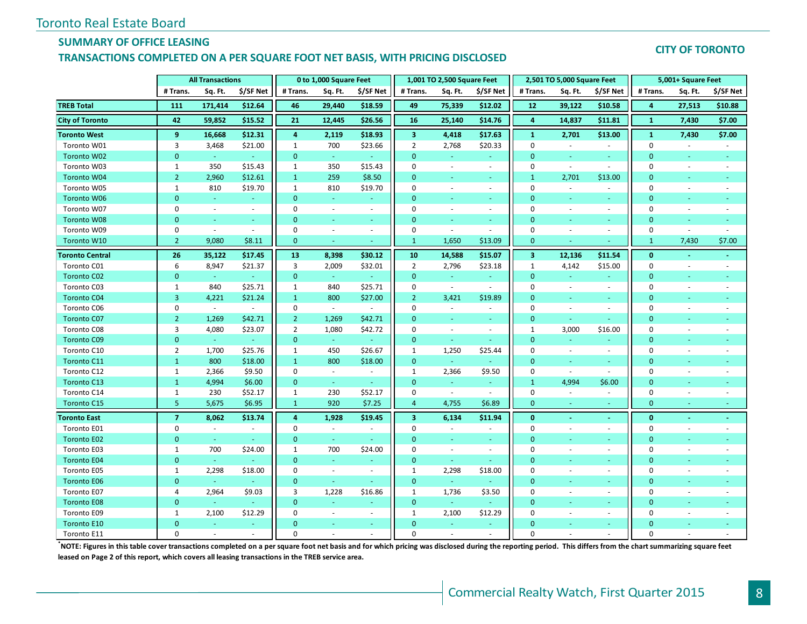## **SUMMARY OF OFFICE LEASING**

#### **TRANSACTIONS COMPLETED ON A PER SQUARE FOOT NET BASIS, WITH PRICING DISCLOSED**

#### **CITY OF TORONTO**

|                        | <b>All Transactions</b> |            |                          |                | 0 to 1,000 Square Feet   |                          |                         | 1,001 TO 2,500 Square Feet |                             |                         | 2,501 TO 5,000 Square Feet |                          |              | 5,001+ Square Feet       |                |
|------------------------|-------------------------|------------|--------------------------|----------------|--------------------------|--------------------------|-------------------------|----------------------------|-----------------------------|-------------------------|----------------------------|--------------------------|--------------|--------------------------|----------------|
|                        | # Trans.                | Sq. Ft.    | \$/SF Net                | # Trans.       | Sq. Ft.                  | \$/SF Net                | # Trans.                | Sq. Ft.                    | \$/SF Net                   | # Trans.                | Sq. Ft.                    | \$/SF Net                | # Trans.     | Sq. Ft.                  | \$/SF Net      |
| <b>TREB Total</b>      | 111                     | 171,414    | \$12.64                  | 46             | 29,440                   | \$18.59                  | 49                      | 75,339                     | \$12.02                     | 12                      | 39,122                     | \$10.58                  | 4            | 27,513                   | \$10.88        |
| <b>City of Toronto</b> | 42                      | 59,852     | \$15.52                  | 21             | 12,445                   | \$26.56                  | 16                      | 25,140                     | \$14.76                     | 4                       | 14,837                     | \$11.81                  | $\mathbf{1}$ | 7,430                    | \$7.00         |
| <b>Toronto West</b>    | 9                       | 16,668     | \$12.31                  | 4              | 2,119                    | \$18.93                  | $\overline{\mathbf{3}}$ | 4,418                      | \$17.63                     | $\mathbf{1}$            | 2,701                      | \$13.00                  | $\mathbf{1}$ | 7,430                    | \$7.00         |
| Toronto W01            | 3                       | 3,468      | \$21.00                  | $\mathbf{1}$   | 700                      | \$23.66                  | $\overline{2}$          | 2,768                      | \$20.33                     | $\mathbf 0$             | $\overline{\phantom{a}}$   | $\sim$                   | $\mathbf 0$  |                          |                |
| Toronto W02            | $\overline{0}$          | $\omega$   |                          | $\mathbf{0}$   | $\omega$                 |                          | $\mathbf{0}$            |                            | $\blacksquare$              | $\mathbf{0}$            | ÷                          | ÷                        | $\mathbf{0}$ |                          |                |
| Toronto W03            | 1                       | 350        | \$15.43                  | $\mathbf{1}$   | 350                      | \$15.43                  | $\mathbf 0$             | $\blacksquare$             | $\mathcal{L}_{\mathcal{A}}$ | $\mathbf 0$             | $\overline{\phantom{a}}$   | $\sim$                   | $\mathbf 0$  | $\sim$                   |                |
| <b>Toronto W04</b>     | $\overline{2}$          | 2,960      | \$12.61                  | $\mathbf{1}$   | 259                      | \$8.50                   | $\overline{0}$          | $\omega$                   | $\omega$                    | $\mathbf{1}$            | 2,701                      | \$13.00                  | $\mathbf{0}$ | ÷.                       |                |
| Toronto W05            | 1                       | 810        | \$19.70                  | $\mathbf{1}$   | 810                      | \$19.70                  | $\mathbf 0$             | $\omega$                   | $\mathcal{L}_{\mathcal{A}}$ | $\mathbf 0$             | $\sim$                     | $\omega$                 | 0            | $\blacksquare$           |                |
| Toronto W06            | $\mathbf{0}$            | $\sim$     | $\rightarrow$            | $\mathbf{0}$   | $\sim$                   | $\blacksquare$           | $\overline{0}$          | $\sim$                     | $\sim$                      | $\mathbf{0}$            | $\omega$                   | $\sim$                   | $\mathbf{0}$ |                          |                |
| Toronto W07            | $\mathbf 0$             | $\omega$   | $\sim$                   | $\mathbf 0$    | $\sim$                   | $\sim$                   | $\mathbf 0$             | $\sim$                     | $\omega$                    | $\mathbf 0$             | $\sim$                     | $\overline{\phantom{a}}$ | 0            | $\sim$                   | $\ddot{}$      |
| Toronto W08            | $\Omega$                | ÷.         | $\sim$                   | $\mathbf{0}$   | ٠                        | $\sim$                   | $\overline{0}$          | ÷                          | $\omega_{\rm c}$            | $\overline{0}$          | ٠                          | $\sim$                   | $\mathbf{0}$ |                          | $\sim$         |
| Toronto W09            | 0                       | $\sim$     | $\overline{\phantom{a}}$ | 0              | $\overline{\phantom{a}}$ | $\overline{\phantom{a}}$ | $\mathbf 0$             | $\sim$                     | $\sim$                      | $\mathbf 0$             | $\overline{\phantom{a}}$   | $\blacksquare$           | $\mathbf 0$  | $\sim$                   |                |
| Toronto W10            | $\overline{2}$          | 9,080      | \$8.11                   | $\mathbf{0}$   | ÷.                       |                          | $\mathbf{1}$            | 1,650                      | \$13.09                     | $\mathbf{0}$            |                            |                          | $\mathbf{1}$ | 7,430                    | \$7.00         |
| <b>Toronto Central</b> | 26                      | 35,122     | \$17.45                  | 13             | 8,398                    | \$30.12                  | 10                      | 14,588                     | \$15.07                     | $\overline{\mathbf{3}}$ | 12,136                     | \$11.54                  | $\bf{0}$     | $\omega$                 |                |
| Toronto C01            | 6                       | 8,947      | \$21.37                  | 3              | 2,009                    | \$32.01                  | $\overline{2}$          | 2,796                      | \$23.18                     | $\mathbf{1}$            | 4,142                      | \$15.00                  | $\mathbf 0$  | $\sim$                   |                |
| <b>Toronto C02</b>     | $\mathbf{0}$            | $\omega$ . | $\omega$                 | $\mathbf{0}$   | $\omega$                 | $\omega$                 | $\mathbf{0}$            | $\omega$                   | ÷.                          | $\mathbf{0}$            | $\omega$                   | $\omega$                 | $\mathbf{0}$ | $\blacksquare$           |                |
| Toronto C03            | $\mathbf{1}$            | 840        | \$25.71                  | $\mathbf{1}$   | 840                      | \$25.71                  | $\mathbf 0$             | $\sim$                     | $\omega$                    | $\mathbf 0$             | $\sim$                     | $\overline{\phantom{a}}$ | 0            | $\overline{\phantom{a}}$ |                |
| <b>Toronto C04</b>     | 3                       | 4,221      | \$21.24                  | $\mathbf{1}$   | 800                      | \$27.00                  | $\overline{2}$          | 3,421                      | \$19.89                     | $\overline{0}$          | $\sim$                     | $\sim$                   | $\mathbf{0}$ |                          |                |
| Toronto C06            | 0                       | $\sim$     | $\sim$                   | $\mathbf 0$    | $\sim$                   | $\blacksquare$           | $\mathbf 0$             | $\blacksquare$             | $\sim$                      | 0                       | $\overline{\phantom{a}}$   | $\sim$                   | 0            | $\overline{\phantom{a}}$ |                |
| <b>Toronto C07</b>     | $\overline{2}$          | 1,269      | \$42.71                  | $2^{\circ}$    | 1,269                    | \$42.71                  | $\overline{0}$          |                            | ÷.                          | $\mathbf{0}$            |                            |                          | $\Omega$     |                          |                |
| Toronto C08            | 3                       | 4,080      | \$23.07                  | $\overline{2}$ | 1,080                    | \$42.72                  | $\mathbf 0$             | $\overline{\phantom{a}}$   | $\sim$                      | $\mathbf{1}$            | 3,000                      | \$16.00                  | $\mathbf 0$  |                          |                |
| <b>Toronto C09</b>     | $\overline{0}$          | ◆          | $\sim$                   | $\mathbf{0}$   | $\omega$                 | $\sim$                   | $\mathbf{0}$            | $\omega$                   | ◆                           | $\mathbf{0}$            | i al                       | ٠                        | $\mathbf{0}$ | $\sim$                   |                |
| Toronto C10            | $\overline{2}$          | 1,700      | \$25.76                  | 1              | 450                      | \$26.67                  | $\mathbf{1}$            | 1,250                      | \$25.44                     | $\mathbf 0$             | $\sim$                     | $\sim$                   | $\Omega$     |                          |                |
| Toronto C11            | $\mathbf{1}$            | 800        | \$18.00                  | $\mathbf{1}$   | 800                      | \$18.00                  | $\mathbf{0}$            | $\omega_{\rm c}$           | $\sim$                      | $\mathbf{0}$            | ÷                          | ÷                        | 0            |                          |                |
| Toronto C12            | 1                       | 2,366      | \$9.50                   | $\mathbf 0$    | $\sim$                   | $\sim$                   | 1                       | 2,366                      | \$9.50                      | $\mathbf 0$             | $\sim$                     | ÷.                       | 0            |                          |                |
| Toronto C13            | $\mathbf{1}$            | 4,994      | \$6.00                   | $\pmb{0}$      | $\omega$                 | $\omega$                 | $\mathbf{0}$            | $\omega$                   | $\sim$                      | $\mathbf{1}$            | 4,994                      | \$6.00                   | 0            | $\blacksquare$           |                |
| Toronto C14            | $\mathbf{1}$            | 230        | \$52.17                  | 1              | 230                      | \$52.17                  | $\mathbf 0$             | $\omega$                   | $\sim$                      | $\mathbf 0$             | $\sim$                     | $\sim$                   | 0            | $\sim$                   |                |
| Toronto C15            | 5                       | 5,675      | \$6.95                   | $\mathbf{1}$   | 920                      | \$7.25                   | $\overline{4}$          | 4,755                      | \$6.89                      | $\mathbf{0}$            | ÷                          | ÷                        | $\mathbf{0}$ | $\sim$                   |                |
| <b>Toronto East</b>    | $\overline{7}$          | 8,062      | \$13.74                  | $\overline{4}$ | 1,928                    | \$19.45                  | $\overline{\mathbf{3}}$ | 6,134                      | \$11.94                     | $\mathbf{0}$            | $\omega$                   | $\omega$                 | $\mathbf{0}$ | i.                       | $\blacksquare$ |
| Toronto E01            | 0                       | $\sim$     | $\blacksquare$           | 0              | $\overline{\phantom{a}}$ | $\overline{\phantom{a}}$ | $\mathbf 0$             | $\sim$                     | $\overline{\phantom{a}}$    | $\mathbf 0$             | $\sim$                     | $\omega$                 | 0            | $\sim$                   |                |
| <b>Toronto E02</b>     | $\mathbf{0}$            | $\omega$   | $\omega$                 | $\mathbf{0}$   | $\omega$                 | $\omega$                 | $\mathbf{0}$            | $\omega$                   | $\omega$                    | $\mathbf{0}$            | ÷                          | ÷.                       | 0            | $\omega$                 |                |
| Toronto E03            | $\mathbf{1}$            | 700        | \$24.00                  | 1              | 700                      | \$24.00                  | $\mathbf 0$             | $\sim$                     | $\sim$                      | 0                       | $\sim$                     | ÷                        | $\Omega$     | $\sim$                   |                |
| <b>Toronto E04</b>     | $\mathbf{0}$            | $\omega$   |                          | $\mathbf{0}$   | $\omega$                 | $\blacksquare$           | $\mathbf{0}$            | ÷                          | $\sim$                      | $\mathbf 0$             | $\omega$                   | ÷                        | 0            | ÷                        |                |
| Toronto E05            | 1                       | 2,298      | \$18.00                  | 0              | $\sim$                   | $\sim$                   | 1                       | 2,298                      | \$18.00                     | 0                       | $\sim$                     | $\sim$                   | 0            | $\sim$                   |                |
| <b>Toronto E06</b>     | $\mathbf{0}$            | u.         |                          | $\mathbf{0}$   | $\omega$                 | ÷                        | $\mathbf{0}$            |                            |                             | $\mathbf{0}$            | ÷                          | ÷                        | $\mathbf{0}$ |                          |                |
| Toronto E07            | 4                       | 2,964      | \$9.03                   | 3              | 1,228                    | \$16.86                  | $\mathbf{1}$            | 1,736                      | \$3.50                      | $\mathbf 0$             | $\overline{\phantom{a}}$   | ÷                        | 0            | $\sim$                   |                |
| <b>Toronto E08</b>     | $\mathbf 0$             | $\omega$   |                          | $\mathbf{0}$   | ÷                        |                          | $\mathbf{0}$            | $\sim$                     |                             | $\mathbf{0}$            |                            | ÷,                       | $\mathbf{0}$ |                          |                |
| Toronto E09            | 1                       | 2,100      | \$12.29                  | $\mathbf 0$    | ÷.                       | $\overline{\phantom{a}}$ | $\mathbf{1}$            | 2,100                      | \$12.29                     | $\Omega$                |                            | $\blacksquare$           | $\Omega$     |                          |                |
| <b>Toronto E10</b>     | $\Omega$                | $\omega$   | $\omega$                 | $\Omega$       | ٠                        | $\sim$                   | $\overline{0}$          | ÷                          | $\sim$                      | $\overline{0}$          |                            | $\sim$                   | $\mathbf{0}$ |                          |                |
| Toronto E11            | $\Omega$                |            |                          | $\Omega$       |                          |                          | $\Omega$                |                            |                             | $\Omega$                |                            |                          | $\Omega$     |                          |                |

**\*NOTE: Figures in this table cover transactions completed on a per square foot net basis and for which pricing was disclosed during the reporting period. This differs from the chart summarizing square feet leased on Page 2 of this report, which covers all leasing transactions in the TREB service area.**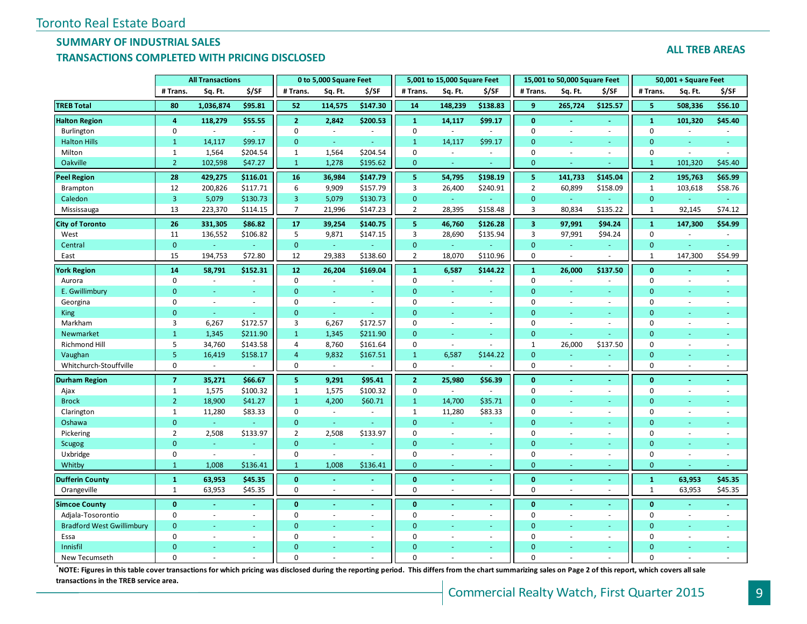# **SUMMARY OF INDUSTRIAL SALES**

#### **TRANSACTIONS COMPLETED WITH PRICING DISCLOSED**

|  |  | <b>ALL TREB AREAS</b> |
|--|--|-----------------------|
|--|--|-----------------------|

|                                  | <b>All Transactions</b> |           |          |                | 0 to 5,000 Square Feet   |                |                | 5,001 to 15,000 Square Feet |                          |                         | 15,001 to 50,000 Square Feet |                  |                | $50,001 + Square$ Feet   |                |
|----------------------------------|-------------------------|-----------|----------|----------------|--------------------------|----------------|----------------|-----------------------------|--------------------------|-------------------------|------------------------------|------------------|----------------|--------------------------|----------------|
|                                  | # Trans.                | Sq. Ft.   | \$/SF    | # Trans.       | Sq. Ft.                  | \$/SF          | # Trans.       | Sq. Ft.                     | \$/SF                    | # Trans.                | Sq. Ft.                      | \$/SF            | # Trans.       | Sq. Ft.                  | \$/SF          |
| <b>TREB Total</b>                | 80                      | 1,036,874 | \$95.81  | 52             | 114,575                  | \$147.30       | 14             | 148,239                     | \$138.83                 | 9                       | 265,724                      | \$125.57         | 5              | 508,336                  | \$56.10        |
| <b>Halton Region</b>             | 4                       | 118,279   | \$55.55  | 2 <sup>1</sup> | 2,842                    | \$200.53       | $\mathbf{1}$   | 14,117                      | \$99.17                  | $\mathbf{0}$            | $\sim$                       | $\blacksquare$   | $\mathbf{1}$   | 101,320                  | \$45.40        |
| Burlington                       | 0                       | $\sim$    | $\sim$   | 0              | $\sim$                   | $\sim$         | 0              | $\sim$                      | $\sim$                   | $\pmb{0}$               | $\sim$                       | $\sim$           | $\pmb{0}$      | $\sim$                   | $\sim$         |
| <b>Halton Hills</b>              | $\mathbf{1}$            | 14,117    | \$99.17  | $\overline{0}$ | G.                       |                | $\mathbf{1}$   | 14,117                      | \$99.17                  | $\Omega$                |                              | ÷.               | $\Omega$       |                          |                |
| Milton                           | $\mathbf{1}$            | 1,564     | \$204.54 | $\mathbf{1}$   | 1,564                    | \$204.54       | $\Omega$       | $\sim$                      | $\sim$                   | $\mathbf 0$             | $\sim$                       | $\blacksquare$   | $\mathbf 0$    | $\sim$                   |                |
| Oakville                         | $\overline{2}$          | 102,598   | \$47.27  | $\mathbf{1}$   | 1,278                    | \$195.62       | $\mathbf{0}$   | ÷                           |                          | $\mathbf{0}$            |                              |                  | $\mathbf{1}$   | 101,320                  | \$45.40        |
| <b>Peel Region</b>               | 28                      | 429,275   | \$116.01 | 16             | 36,984                   | \$147.79       | 5              | 54,795                      | \$198.19                 | 5                       | 141,733                      | \$145.04         | $\overline{2}$ | 195,763                  | \$65.99        |
| Brampton                         | 12                      | 200,826   | \$117.71 | 6              | 9,909                    | \$157.79       | 3              | 26,400                      | \$240.91                 | $\overline{2}$          | 60,899                       | \$158.09         | $\mathbf{1}$   | 103,618                  | \$58.76        |
| Caledon                          | $\overline{3}$          | 5,079     | \$130.73 | 3              | 5,079                    | \$130.73       | $\mathbf{0}$   | $\omega$                    |                          | $\mathbf{0}$            | $\omega$                     |                  | $\mathbf{0}$   |                          |                |
| Mississauga                      | 13                      | 223,370   | \$114.15 | $\overline{7}$ | 21,996                   | \$147.23       | $\overline{2}$ | 28,395                      | \$158.48                 | 3                       | 80,834                       | \$135.22         | $\mathbf{1}$   | 92,145                   | \$74.12        |
| <b>City of Toronto</b>           | 26                      | 331,305   | \$86.82  | 17             | 39,254                   | \$140.75       | 5              | 46,760                      | \$126.28                 | $\overline{\mathbf{3}}$ | 97,991                       | \$94.24          | $\mathbf{1}$   | 147,300                  | \$54.99        |
| West                             | 11                      | 136,552   | \$106.82 | 5              | 9,871                    | \$147.15       | 3              | 28,690                      | \$135.94                 | 3                       | 97,991                       | \$94.24          | $\pmb{0}$      |                          |                |
| Central                          | $\mathbf{0}$            |           | $\omega$ | $\mathbf{0}$   | $\omega$                 |                | $\Omega$       | $\omega$                    | $\omega$                 | $\overline{0}$          | ÷.                           | $\omega_{\rm c}$ | $\mathbf{0}$   |                          | ä,             |
| East                             | 15                      | 194,753   | \$72.80  | 12             | 29,383                   | \$138.60       | $\overline{2}$ | 18,070                      | \$110.96                 | $\mathbf 0$             | $\sim$                       | ÷,               | $\mathbf{1}$   | 147,300                  | \$54.99        |
| <b>York Region</b>               | 14                      | 58,791    | \$152.31 | 12             | 26,204                   | \$169.04       | $\mathbf{1}$   | 6,587                       | \$144.22                 | $\mathbf{1}$            | 26,000                       | \$137.50         | $\bf{0}$       |                          | $\blacksquare$ |
| Aurora                           | $\mathbf 0$             | $\sim$    |          | 0              | $\bar{a}$                | $\sim$         | $\mathbf 0$    | $\sim$                      | ÷,                       | $\mathbf 0$             |                              | $\overline{a}$   | $\mathbf 0$    | $\overline{\phantom{a}}$ | ä,             |
| E. Gwillimbury                   | $\mathbf{0}$            |           |          | $\mathbf{0}$   | ÷                        |                | $\Omega$       |                             | ÷                        | $\overline{0}$          |                              | ٠                | $\mathbf{0}$   |                          |                |
| Georgina                         | $\mathbf 0$             | $\sim$    | $\sim$   | 0              | $\sim$                   | $\blacksquare$ | $\Omega$       | ä,                          | ÷.                       | $\mathbf 0$             |                              | $\sim$           | $\mathbf 0$    | ÷.                       |                |
| King                             | $\mathbf{0}$            | u,        |          | $\mathbf{0}$   | $\omega$                 |                | $\Omega$       | u.                          | ÷                        | $\mathbf{0}$            |                              | ÷.               | $\mathbf{0}$   |                          |                |
| Markham                          | 3                       | 6,267     | \$172.57 | 3              | 6,267                    | \$172.57       | $\Omega$       | $\sim$                      | $\overline{\phantom{a}}$ | $\mathbf 0$             | $\sim$                       | $\sim$           | $\mathbf 0$    | $\overline{\phantom{a}}$ |                |
| Newmarket                        | $\mathbf{1}$            | 1,345     | \$211.90 | $\mathbf{1}$   | 1,345                    | \$211.90       | $\Omega$       | ÷                           | ÷                        | $\mathbf{0}$            |                              |                  | $\mathbf{0}$   | <b>Co</b>                |                |
| <b>Richmond Hill</b>             | 5                       | 34,760    | \$143.58 | 4              | 8,760                    | \$161.64       | $\mathbf 0$    | $\omega$                    | $\overline{\phantom{a}}$ | $\mathbf{1}$            | 26,000                       | \$137.50         | $\mathbf 0$    | $\sim$                   |                |
| Vaughan                          | 5                       | 16,419    | \$158.17 | $\overline{4}$ | 9,832                    | \$167.51       | $\mathbf{1}$   | 6,587                       | \$144.22                 | $\mathbf{0}$            |                              | ÷.               | $\mathbf{0}$   |                          |                |
| Whitchurch-Stouffville           | $\mathbf 0$             | $\omega$  |          | $\mathbf 0$    |                          |                | $\mathbf 0$    |                             |                          | $\mathbf 0$             |                              | ä,               | $\mathbf 0$    |                          |                |
| <b>Durham Region</b>             | $\overline{7}$          | 35,271    | \$66.67  | 5              | 9,291                    | \$95.41        | $\overline{2}$ | 25,980                      | \$56.39                  | $\mathbf{0}$            |                              | $\blacksquare$   | $\mathbf{0}$   |                          |                |
| Ajax                             | $\mathbf{1}$            | 1,575     | \$100.32 | $\mathbf{1}$   | 1,575                    | \$100.32       | $\mathbf 0$    | $\omega$                    | $\omega$                 | 0                       |                              | $\sim$           | $\mathbf 0$    |                          |                |
| <b>Brock</b>                     | $\overline{2}$          | 18,900    | \$41.27  | $\mathbf{1}$   | 4,200                    | \$60.71        | $\mathbf{1}$   | 14,700                      | \$35.71                  | $\mathbf{0}$            |                              | $\equiv$         | $\mathbf{0}$   |                          | ä,             |
| Clarington                       | $\mathbf{1}$            | 11,280    | \$83.33  | 0              | $\overline{\phantom{a}}$ | $\sim$         | 1              | 11,280                      | \$83.33                  | $\mathbf 0$             |                              | $\sim$           | $\mathbf 0$    | $\sim$                   |                |
| Oshawa                           | $\mathbf{0}$            |           |          | $\mathbf{0}$   | $\sim$                   |                | $\Omega$       | ÷                           |                          | $\Omega$                |                              |                  | $\Omega$       |                          |                |
| Pickering                        | $\overline{2}$          | 2,508     | \$133.97 | $\overline{2}$ | 2,508                    | \$133.97       | $\mathbf 0$    | $\sim$                      | $\omega$                 | $\mathbf 0$             |                              | ÷.               | $\mathbf 0$    | $\sim$                   |                |
| Scugog                           | $\mathbf{0}$            | ÷         |          | $\mathbf{0}$   | Ξ                        |                | $\Omega$       | u.                          | ÷                        | $\overline{0}$          |                              | ÷.               | $\mathbf{0}$   |                          |                |
| Uxbridge                         | 0                       | $\sim$    |          | 0              | $\omega$                 | $\sim$         | $\Omega$       | $\sim$                      | $\overline{\phantom{a}}$ | $\mathbf 0$             | $\sim$                       | $\sim$           | $\mathbf 0$    | $\sim$                   | ÷,             |
| Whitby                           | $\mathbf{1}$            | 1,008     | \$136.41 | $\mathbf{1}$   | 1,008                    | \$136.41       | $\mathbf{0}$   | ÷                           | ÷                        | $\mathbf{0}$            |                              | ÷                | $\mathbf{0}$   |                          | Ξ              |
| <b>Dufferin County</b>           | $\mathbf{1}$            | 63,953    | \$45.35  | $\bf{0}$       | $\blacksquare$           | $\sim$         | $\mathbf{0}$   | ÷.                          | $\omega$                 | $\bf{0}$                | $\sim$                       | $\blacksquare$   | $\mathbf{1}$   | 63,953                   | \$45.35        |
| Orangeville                      | $\mathbf{1}$            | 63,953    | \$45.35  | $\mathbf 0$    | $\mathbf{r}$             | $\sim$         | $\Omega$       | $\overline{a}$              | $\sim$                   | $\mathbf 0$             | $\sim$                       | ÷.               | $\mathbf{1}$   | 63,953                   | \$45.35        |
| <b>Simcoe County</b>             | $\mathbf{0}$            |           |          | $\mathbf{0}$   | $\blacksquare$           | $\sim$         | $\mathbf{0}$   |                             |                          | $\mathbf{0}$            |                              | $\blacksquare$   | $\mathbf{0}$   |                          |                |
| Adjala-Tosorontio                | 0                       | $\sim$    | $\sim$   | 0              | $\blacksquare$           | $\blacksquare$ | $\mathbf 0$    | $\overline{a}$              | $\omega$                 | 0                       | $\sim$                       | $\blacksquare$   | 0              | $\sim$                   | L.             |
| <b>Bradford West Gwillimbury</b> | $\mathbf{0}$            |           | $\sim$   | $\Omega$       | ÷                        | $\sim$         | $\mathbf{0}$   | ÷                           | ÷                        | $\mathbf{0}$            |                              | $\sim$           | $\mathbf{0}$   |                          | ÷.             |
| Essa                             | $\Omega$                | $\sim$    | $\sim$   | $\Omega$       | $\overline{\phantom{a}}$ | $\sim$         | $\Omega$       |                             | ÷.                       | $\mathbf 0$             | $\sim$                       | ÷.               | $\mathbf 0$    | $\overline{\phantom{a}}$ |                |
| Innisfil                         | $\Omega$                |           |          | $\Omega$       |                          |                | $\Omega$       |                             |                          | $\Omega$                |                              |                  | $\Omega$       |                          |                |
| New Tecumseth                    | $\Omega$                |           |          | $\Omega$       |                          |                | $\Omega$       |                             |                          | $\Omega$                |                              |                  | $\Omega$       |                          |                |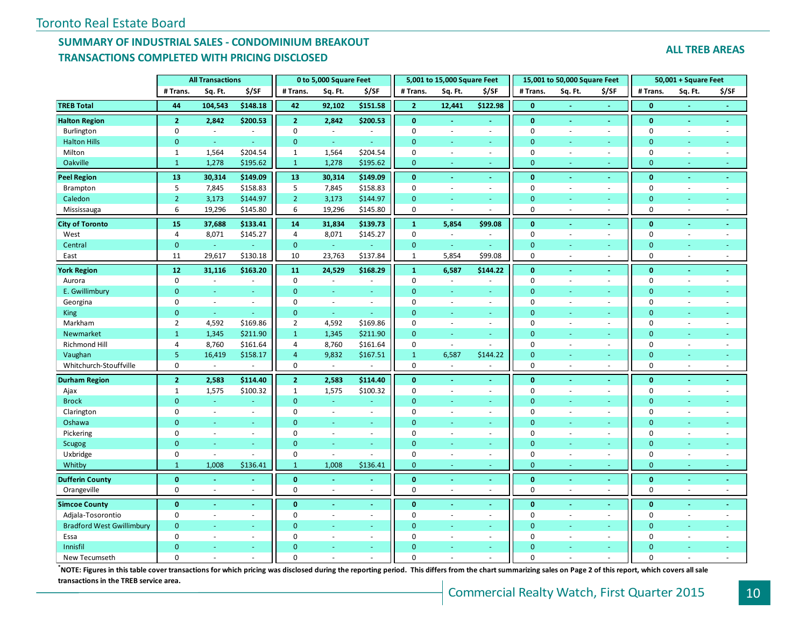# **SUMMARY OF INDUSTRIAL SALES - CONDOMINIUM BREAKOUT TRANSACTIONS COMPLETED WITH PRICING DISCLOSED**

#### **ALL TREB AREAS**

|                                  | <b>All Transactions</b> |                          |                |                  | 0 to 5,000 Square Feet |                          |                  | 5,001 to 15,000 Square Feet |                |                  | 15,001 to 50,000 Square Feet |                          |                  | 50,001 + Square Feet     |        |
|----------------------------------|-------------------------|--------------------------|----------------|------------------|------------------------|--------------------------|------------------|-----------------------------|----------------|------------------|------------------------------|--------------------------|------------------|--------------------------|--------|
|                                  | # Trans.                | Sq. Ft.                  | \$/SF          | # Trans.         | Sq. Ft.                | \$/SF                    | # Trans.         | Sq. Ft.                     | \$/SF          | # Trans.         | Sq. Ft.                      | \$/SF                    | # Trans.         | Sq. Ft.                  | \$/SF  |
| <b>TREB Total</b>                | 44                      | 104,543                  | \$148.18       | 42               | 92,102                 | \$151.58                 | $\overline{2}$   | 12,441                      | \$122.98       | $\mathbf{0}$     |                              |                          | $\mathbf{0}$     |                          |        |
| <b>Halton Region</b>             | $\overline{2}$          | 2,842                    | \$200.53       | $\overline{2}$   | 2,842                  | \$200.53                 | $\mathbf{0}$     | $\sim$                      | $\blacksquare$ | $\mathbf{0}$     | $\sim$                       | $\blacksquare$           | $\bf{0}$         | $\blacksquare$           | $\sim$ |
| Burlington                       | $\boldsymbol{0}$        | $\sim$                   | $\sim$         | $\mathbf 0$      | $\sim$                 | $\sim$                   | $\mathbf 0$      | $\sim$                      | ÷,             | $\boldsymbol{0}$ | $\sim$                       | $\sim$                   | 0                | $\omega$                 | $\sim$ |
| <b>Halton Hills</b>              | $\mathbf{0}$            | ä,                       |                | $\mathbf{0}$     | $\omega$               |                          | $\mathbf{0}$     |                             |                | $\overline{0}$   |                              |                          | $\mathbf{0}$     |                          |        |
| Milton                           | $\mathbf{1}$            | 1,564                    | \$204.54       | $\mathbf{1}$     | 1,564                  | \$204.54                 | $\mathbf 0$      |                             | $\mathcal{L}$  | $\mathbf 0$      |                              | $\overline{\phantom{a}}$ | $\mathbf 0$      | ÷.                       |        |
| Oakville                         | $\mathbf{1}$            | 1,278                    | \$195.62       | $\mathbf{1}$     | 1,278                  | \$195.62                 | $\mathbf{0}$     |                             | ÷.             | $\mathbf{0}$     |                              | ٠                        | $\mathbf{0}$     | u                        |        |
| <b>Peel Region</b>               | 13                      | 30,314                   | \$149.09       | 13               | 30,314                 | \$149.09                 | $\mathbf{0}$     |                             | $\blacksquare$ | $\mathbf{0}$     |                              | $\blacksquare$           | $\mathbf{0}$     |                          |        |
| Brampton                         | 5                       | 7,845                    | \$158.83       | 5                | 7,845                  | \$158.83                 | $\mathbf 0$      |                             | $\omega$       | $\mathbf 0$      |                              | $\overline{\phantom{a}}$ | $\mathbf 0$      |                          |        |
| Caledon                          | $\overline{2}$          | 3,173                    | \$144.97       | $2^{\circ}$      | 3,173                  | \$144.97                 | $\mathbf{0}$     | $\sim$                      | $\omega$       | $\mathbf{0}$     | ÷.                           | $\omega$                 | $\mathbf{0}$     | Ξ                        |        |
| Mississauga                      | $\boldsymbol{6}$        | 19,296                   | \$145.80       | 6                | 19,296                 | \$145.80                 | $\boldsymbol{0}$ | $\sim$                      | ÷              | 0                |                              | ÷.                       | $\boldsymbol{0}$ | $\overline{a}$           | ÷.     |
| <b>City of Toronto</b>           | 15                      | 37,688                   | \$133.41       | 14               | 31,834                 | \$139.73                 | $\mathbf 1$      | 5,854                       | \$99.08        | $\mathbf 0$      |                              | ä,                       | $\mathbf{0}$     |                          |        |
| West                             | $\overline{4}$          | 8,071                    | \$145.27       | $\overline{4}$   | 8,071                  | \$145.27                 | $\mathbf 0$      | $\blacksquare$              | ä,             | $\mathbf 0$      |                              | $\blacksquare$           | $\pmb{0}$        |                          |        |
| Central                          | $\pmb{0}$               | $\omega$                 | $\blacksquare$ | $\mathbf{0}$     | $\pm$                  | ÷                        | $\mathbf{0}$     | $\omega$                    | ÷              | $\mathbf{0}$     |                              | ÷.                       | $\mathbf{0}$     |                          |        |
| East                             | 11                      | 29,617                   | \$130.18       | 10               | 23,763                 | \$137.84                 | $\mathbf 1$      | 5,854                       | \$99.08        | $\mathbf 0$      | $\sim$                       | $\sim$                   | $\mathbf 0$      | $\sim$                   | $\sim$ |
| <b>York Region</b>               | 12                      | 31,116                   | \$163.20       | 11               | 24,529                 | \$168.29                 | $\mathbf{1}$     | 6,587                       | \$144.22       | $\mathbf{0}$     | $\sim$                       | $\sim$                   | $\bf{0}$         | $\sim$                   | $\sim$ |
| Aurora                           | $\mathbf 0$             | $\blacksquare$           | $\bar{a}$      | $\mathbf 0$      | $\blacksquare$         | $\overline{\phantom{a}}$ | $\mathbf 0$      | $\blacksquare$              | ÷,             | $\mathbf 0$      | $\overline{\phantom{a}}$     | $\blacksquare$           | $\mathbf 0$      | $\sim$                   |        |
| E. Gwillimbury                   | $\mathbf{0}$            | ÷                        | ÷              | $\mathbf{0}$     | $\sim$                 | ÷                        | $\overline{0}$   |                             | ÷.             | $\mathbf{0}$     |                              | $\sim$                   | $\mathbf{0}$     | ÷                        |        |
| Georgina                         | $\mathbf 0$             | $\sim$                   | $\sim$         | $\mathbf 0$      | $\sim$                 | $\overline{\phantom{a}}$ | $\mathbf 0$      | $\sim$                      | $\mathcal{L}$  | $\mathbf 0$      | $\sim$                       | $\sim$                   | $\mathbf 0$      | ÷.                       | $\sim$ |
| King                             | $\mathbf{0}$            | G.                       | Ξ              | $\overline{0}$   | G.                     | ÷                        | $\Omega$         |                             | ÷              | $\Omega$         |                              | ٠                        | $\mathbf{0}$     |                          |        |
| Markham                          | $\overline{2}$          | 4,592                    | \$169.86       | $\overline{2}$   | 4,592                  | \$169.86                 | $\mathbf 0$      | $\overline{\phantom{a}}$    | $\omega$       | $\mathbf 0$      |                              | $\overline{\phantom{a}}$ | $\mathbf 0$      | $\overline{\phantom{a}}$ |        |
| Newmarket                        | $\mathbf{1}$            | 1,345                    | \$211.90       | $\mathbf{1}$     | 1,345                  | \$211.90                 | $\mathbf{0}$     | $\sim$                      | Ξ              | $\mathbf{0}$     |                              | ÷.                       | $\mathbf{0}$     | u,                       |        |
| Richmond Hill                    | $\overline{4}$          | 8,760                    | \$161.64       | $\overline{4}$   | 8,760                  | \$161.64                 | $\mathbf 0$      | $\sim$                      | $\sim$         | 0                | $\sim$                       | $\sim$                   | $\pmb{0}$        | $\sim$                   | $\sim$ |
| Vaughan                          | $\overline{5}$          | 16,419                   | \$158.17       | $\overline{4}$   | 9,832                  | \$167.51                 | $\mathbf{1}$     | 6,587                       | \$144.22       | $\mathbf{0}$     |                              | $\sim$                   | $\mathbf{0}$     |                          |        |
| Whitchurch-Stouffville           | $\mathbf 0$             | $\omega$                 |                | 0                |                        |                          | $\mathbf 0$      |                             |                | 0                |                              | $\sim$                   | $\mathbf 0$      |                          |        |
| <b>Durham Region</b>             | $\overline{2}$          | 2,583                    | \$114.40       | $\overline{2}$   | 2,583                  | \$114.40                 | $\mathbf{0}$     |                             | $\blacksquare$ | $\mathbf{0}$     |                              | $\blacksquare$           | $\mathbf{0}$     |                          |        |
| Ajax                             | $\mathbf{1}$            | 1,575                    | \$100.32       | $\mathbf{1}$     | 1,575                  | \$100.32                 | $\mathbf 0$      |                             | $\bar{a}$      | $\mathbf 0$      |                              | $\overline{\phantom{a}}$ | $\mathbf 0$      |                          |        |
| <b>Brock</b>                     | $\mathbf{0}$            | G.                       | ÷.             | $\mathbf{0}$     | $\omega$               | Ξ                        | $\overline{0}$   |                             | ÷.             | $\mathbf{0}$     |                              | $\sim$                   | $\mathbf{0}$     | ÷                        |        |
| Clarington                       | $\mathbf 0$             | $\sim$                   | $\sim$         | 0                | $\sim$                 | $\omega$                 | $\mathbf 0$      |                             | $\sim$         | 0                |                              | $\sim$                   | $\mathbf 0$      | $\overline{\phantom{a}}$ |        |
| Oshawa                           | $\mathbf{0}$            | ÷.                       | Ξ              | $\mathbf{0}$     | ÷                      | $\blacksquare$           | $\Omega$         |                             | ÷.             | $\Omega$         |                              | ٠                        | $\mathbf{0}$     |                          |        |
| Pickering                        | $\mathbf 0$             | $\overline{\phantom{a}}$ | $\sim$         | $\pmb{0}$        | $\sim$                 | $\blacksquare$           | $\mathbf 0$      |                             | $\mathcal{L}$  | $\mathbf 0$      |                              | $\overline{\phantom{a}}$ | $\pmb{0}$        | $\overline{\phantom{a}}$ |        |
| Scugog                           | $\mathbf{0}$            | ÷                        | ÷              | $\mathbf{0}$     | $\sim$                 | ÷                        | $\mathbf{0}$     |                             | ÷.             | $\mathbf{0}$     |                              | $\sim$                   | $\mathbf{0}$     | ÷                        |        |
| Uxbridge                         | $\pmb{0}$               | $\overline{\phantom{a}}$ | ä,             | $\boldsymbol{0}$ | $\sim$                 | $\overline{\phantom{a}}$ | $\mathbf 0$      | $\sim$                      | $\bar{a}$      | $\boldsymbol{0}$ | ÷.                           | $\sim$                   | $\mathbf 0$      | $\sim$                   |        |
| Whitby                           | $\mathbf{1}$            | 1,008                    | \$136.41       | $\mathbf{1}$     | 1,008                  | \$136.41                 | $\mathbf{0}$     |                             | ÷              | $\overline{0}$   |                              | ÷                        | $\mathbf{0}$     | ÷                        |        |
| <b>Dufferin County</b>           | $\bf{0}$                |                          | $\blacksquare$ | $\bf{0}$         | $\sim$                 | $\sim$                   | $\mathbf{0}$     |                             | ÷.             | $\mathbf{0}$     | $\sim$                       | $\sim$                   | $\bf{0}$         | $\blacksquare$           | $\sim$ |
| Orangeville                      | $\mathbf 0$             |                          |                | 0                | $\sim$                 | L.                       | $\mathbf 0$      |                             | $\sim$         | $\mathbf 0$      |                              | ÷.                       | $\mathbf 0$      |                          |        |
| <b>Simcoe County</b>             | $\mathbf 0$             |                          |                | $\mathbf{0}$     |                        | $\blacksquare$           | $\mathbf{0}$     |                             | $\blacksquare$ | $\mathbf{0}$     |                              | $\blacksquare$           | $\mathbf{0}$     |                          |        |
| Adjala-Tosorontio                | $\mathbf 0$             | $\overline{\phantom{a}}$ | $\sim$         | 0                | $\sim$                 | $\omega$                 | $\mathbf 0$      |                             | $\bar{a}$      | $\mathbf 0$      |                              | $\overline{\phantom{a}}$ | $\pmb{0}$        | $\overline{\phantom{a}}$ |        |
| <b>Bradford West Gwillimbury</b> | $\mathbf{0}$            | ÷                        | ÷.             | $\mathbf{0}$     | $\omega$               | $\omega_{\rm c}$         | $\overline{0}$   |                             | ÷.             | $\mathbf{0}$     |                              | $\omega$                 | $\mathbf{0}$     | ÷                        |        |
| Essa                             | $\pmb{0}$               | ÷                        | $\sim$         | $\mathbf{0}$     | $\sim$                 | $\blacksquare$           | 0                |                             | $\bar{a}$      | 0                |                              | $\sim$                   | $\mathbf 0$      | ÷.                       |        |
| Innisfil                         | $\Omega$                |                          |                | $\overline{0}$   |                        | ÷                        | $\Omega$         |                             |                | $\Omega$         |                              |                          | $\Omega$         |                          |        |
| New Tecumseth                    | $\Omega$                |                          |                | $\Omega$         |                        | ÷.                       | $\Omega$         |                             |                | $\Omega$         |                              |                          | $\Omega$         |                          |        |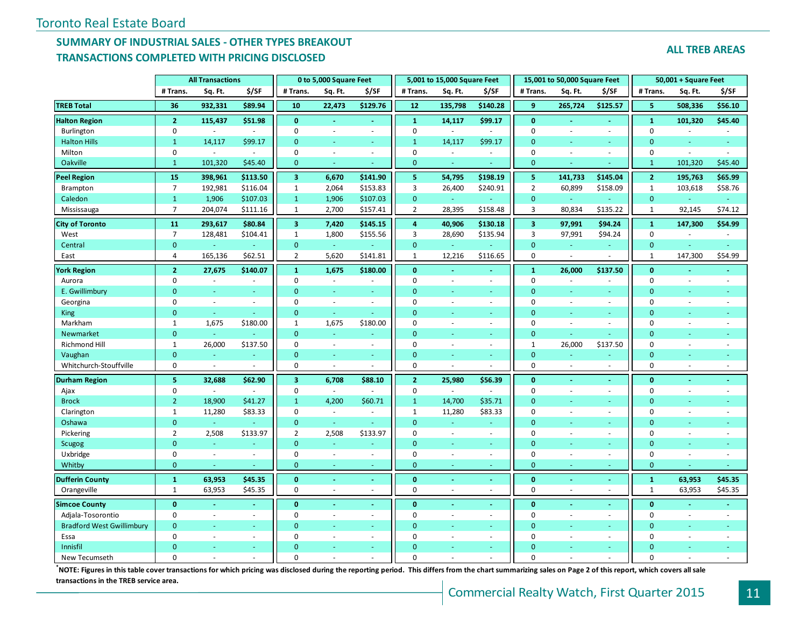# **SUMMARY OF INDUSTRIAL SALES - OTHER TYPES BREAKOUT TRANSACTIONS COMPLETED WITH PRICING DISCLOSED**

| <b>ALL TREB AREAS</b> |
|-----------------------|
|-----------------------|

|                                  | <b>All Transactions</b> |                      |                          | 0 to 5,000 Square Feet    |                          |                          | 5,001 to 15,000 Square Feet |                          |          | 15,001 to 50,000 Square Feet |         |                          | 50,001 + Square Feet |                          |         |
|----------------------------------|-------------------------|----------------------|--------------------------|---------------------------|--------------------------|--------------------------|-----------------------------|--------------------------|----------|------------------------------|---------|--------------------------|----------------------|--------------------------|---------|
|                                  | # Trans.                | Sq. Ft.              | \$/SF                    | # Trans.                  | Sq. Ft.                  | \$/SF                    | # Trans.                    | Sq. Ft.                  | \$/SF    | # Trans.                     | Sq. Ft. | \$/SF                    | # Trans.             | Sq. Ft.                  | \$/SF   |
| <b>TREB Total</b>                | 36                      | 932,331              | \$89.94                  | 10                        | 22,473                   | \$129.76                 | 12                          | 135,798                  | \$140.28 | 9                            | 265,724 | \$125.57                 | 5                    | 508,336                  | \$56.10 |
| <b>Halton Region</b>             | $\overline{2}$          | 115,437              | \$51.98                  | $\mathbf{0}$              | $\blacksquare$           | $\blacksquare$           | $\mathbf{1}$                | 14,117                   | \$99.17  | $\mathbf{0}$                 |         | $\omega_{\rm c}$         | $\mathbf{1}$         | 101,320                  | \$45.40 |
| Burlington                       | 0                       | $\blacksquare$       |                          | $\mathbf 0$               | $\sim$                   | $\bar{\phantom{a}}$      | $\mathbf 0$                 | $\sim$                   | $\sim$   | $\pmb{0}$                    |         | $\sim$                   | $\mathbf 0$          | $\sim$                   |         |
| <b>Halton Hills</b>              | $\mathbf{1}$            | 14,117               | \$99.17                  | $\mathbf{0}$              | $\blacksquare$           | $\blacksquare$           | $\mathbf{1}$                | 14,117                   | \$99.17  | $\overline{0}$               |         | $\blacksquare$           | $\mathbf{0}$         |                          |         |
| Milton                           | 0                       | $\omega$             | $\sim$                   | $\pmb{0}$                 | $\sim$                   | ÷.                       | $\mathbf 0$                 | $\sim$                   | $\sim$   | $\mathbf 0$                  |         | $\sim$                   | $\mathbf 0$          | $\sim$                   |         |
| Oakville                         | $\mathbf{1}$            | 101,320              | \$45.40                  | $\mathbf{0}$              | ÷                        |                          | $\mathbf{0}$                | ÷                        |          | $\overline{0}$               |         |                          | $\mathbf{1}$         | 101,320                  | \$45.40 |
| <b>Peel Region</b>               | 15                      | 398,961              | \$113.50                 | $\overline{\mathbf{3}}$   | 6,670                    | \$141.90                 | 5                           | 54,795                   | \$198.19 | -5                           | 141,733 | \$145.04                 | $\overline{2}$       | 195,763                  | \$65.99 |
| Brampton                         | $\overline{7}$          | 192,981              | \$116.04                 | $\,1\,$                   | 2,064                    | \$153.83                 | 3                           | 26,400                   | \$240.91 | $\overline{2}$               | 60,899  | \$158.09                 | $\mathbf{1}$         | 103,618                  | \$58.76 |
| Caledon                          | $\mathbf{1}$            | 1,906                | \$107.03                 | $\mathbf{1}$              | 1,906                    | \$107.03                 | $\mathbf{0}$                | $\omega$ .               |          | $\overline{0}$               | u.      |                          | $\mathbf{0}$         |                          |         |
| Mississauga                      | $\overline{7}$          | 204,074              | \$111.16                 | $\mathbf{1}$              | 2,700                    | \$157.41                 | $\overline{2}$              | 28,395                   | \$158.48 | 3                            | 80,834  | \$135.22                 | $\mathbf{1}$         | 92,145                   | \$74.12 |
| <b>City of Toronto</b>           | 11                      | 293,617              | \$80.84                  | 3 <sup>1</sup>            | 7,420                    | \$145.15                 | 4                           | 40,906                   | \$130.18 | $\overline{\mathbf{3}}$      | 97,991  | \$94.24                  | $\mathbf{1}$         | 147,300                  | \$54.99 |
| West                             | $\overline{7}$          | 128,481              | \$104.41                 | $\,1\,$                   | 1,800                    | \$155.56                 | 3                           | 28,690                   | \$135.94 | $\overline{3}$               | 97,991  | \$94.24                  | $\mathbf 0$          |                          |         |
| Central                          | $\mathbf{0}$            |                      | $\omega$                 | $\mathbf{0}$              | $\omega$                 |                          | $\mathbf{0}$                | ¥.                       | ä,       | $\mathbf 0$                  | ÷.      | $\omega_{\rm c}$         | $\mathbf{0}$         |                          | ä,      |
| East                             | 4                       | 165,136              | \$62.51                  | $\overline{2}$            | 5,620                    | \$141.81                 | $\mathbf{1}$                | 12,216                   | \$116.65 | 0                            | ÷.      |                          | $\mathbf{1}$         | 147,300                  | \$54.99 |
| <b>York Region</b>               | $\overline{2}$          | 27,675               | \$140.07                 | $\mathbf{1}$              | 1,675                    | \$180.00                 | $\mathbf{0}$                |                          |          | $\mathbf 1$                  | 26,000  | \$137.50                 | $\mathbf{0}$         |                          |         |
| Aurora                           | 0                       | $\sim$               | $\overline{\phantom{a}}$ | $\mathbf 0$               | $\bar{z}$                |                          | $\mathbf 0$                 | $\sim$                   | ÷,       | 0                            |         | ÷,                       | $\mathbf 0$          | $\overline{\phantom{a}}$ |         |
| E. Gwillimbury                   | $\Omega$                | ÷                    | ÷.                       | $\Omega$                  | $\omega$                 | ÷.                       | $\Omega$                    |                          | u,       | $\overline{0}$               |         | ÷                        | $\mathbf{0}$         | $\sim$                   | ä,      |
| Georgina                         | 0                       | $\sim$               | $\sim$                   | $\mathbf{0}$              | $\sim$                   | $\sim$                   | $\mathbf 0$                 | $\sim$                   | $\sim$   | $\mathbf 0$                  | ÷.      | $\overline{\phantom{a}}$ | $\mathbf 0$          | $\sim$                   | ä,      |
| <b>King</b>                      | $\mathbf{0}$            | $\omega$             | $\sim$                   | $\mathbf{0}$              | $\omega$                 | $\sim$                   | $\Omega$                    |                          | u.       | $\overline{0}$               |         | $\equiv$                 | $\Omega$             |                          |         |
| Markham                          | $\mathbf{1}$            | 1,675                | \$180.00                 | $\mathbf{1}$              | 1,675                    | \$180.00                 | $\Omega$                    |                          | ÷.       | $\Omega$                     |         | $\omega$                 | $\mathbf 0$          | $\sim$                   |         |
| Newmarket                        | $\overline{0}$          | $\omega$             |                          | $\mathbf{0}$              | ÷.                       | ٠                        | $\Omega$                    |                          | u,       | $\overline{0}$               | ÷.      | Ξ                        | $\mathbf{0}$         | ÷.                       |         |
| <b>Richmond Hill</b>             | $\mathbf{1}$            | 26,000               | \$137.50                 | $\mathbf 0$               | $\sim$                   | ÷.                       | $\mathbf 0$                 | $\sim$                   | $\sim$   | $\mathbf{1}$                 | 26,000  | \$137.50                 | $\mathbf 0$          | $\sim$                   | ÷       |
| Vaughan                          | $\mathbf{0}$            |                      |                          | $\mathbf{0}$              | ÷.                       | ÷                        | $\mathbf{0}$                |                          |          | $\overline{0}$               |         |                          | $\Omega$             |                          |         |
| Whitchurch-Stouffville           | 0                       | $\sim$               |                          | 0                         | $\sim$                   | $\overline{\phantom{a}}$ | $\mathbf 0$                 |                          |          | $\pmb{0}$                    |         |                          | $\mathbf 0$          |                          | ٠       |
| <b>Durham Region</b>             | 5                       | 32,688               | \$62.90                  | $\overline{\mathbf{3}}$   | 6,708                    | \$88.10                  | $\overline{2}$              | 25,980                   | \$56.39  | $\mathbf{0}$                 |         | $\blacksquare$           | $\mathbf{0}$         |                          |         |
| Ajax                             | 0                       | $\omega$             | $\omega$                 | $\pmb{0}$                 | $\sim$                   |                          | $\mathbf 0$                 | $\sim$                   | $\omega$ | $\pmb{0}$                    |         | $\sim$                   | 0                    | $\sim$                   |         |
| <b>Brock</b>                     | 2 <sup>1</sup>          | 18,900               | \$41.27                  | $\mathbf{1}$              | 4,200                    | \$60.71                  | $\mathbf{1}$                | 14,700                   | \$35.71  | $\overline{0}$               |         | a.                       | $\mathbf{0}$         |                          |         |
| Clarington                       | $\mathbf{1}$            | 11,280               | \$83.33                  | $\pmb{0}$                 | $\sim$                   | $\sim$                   | $\mathbf{1}$                | 11,280                   | \$83.33  | 0                            |         | ÷.                       | $\Omega$             | $\sim$                   |         |
| Oshawa                           | $\overline{0}$          | ä,                   |                          | $\mathbf{0}$              | $\omega$                 |                          | $\Omega$                    | ÷.                       | u,       | $\Omega$                     |         | ٠                        | $\Omega$             |                          |         |
| Pickering                        | $\overline{2}$          | 2,508                | \$133.97                 | $\overline{2}$            | 2,508                    | \$133.97                 | $\mathbf 0$                 | $\omega$                 | $\omega$ | $\mathbf 0$                  |         | $\sim$                   | $\mathbf 0$          | $\sim$                   |         |
| <b>Scugog</b>                    | $\mathbf{0}$            | ÷                    | ÷                        | $\mathbf{0}$              | ÷                        |                          | $\Omega$                    | ÷                        | u,       | $\overline{0}$               |         | ÷.                       | $\mathbf{0}$         | $\sim$                   |         |
| Uxbridge                         | 0<br>$\mathbf{0}$       | $\blacksquare$<br>÷. | $\omega$                 | $\pmb{0}$<br>$\mathbf{0}$ | $\overline{\phantom{a}}$ | $\overline{\phantom{a}}$ | $\mathbf 0$                 | $\overline{\phantom{a}}$ | ÷.       | $\pmb{0}$<br>$\mathbf{0}$    |         | $\omega$                 | $\mathbf 0$          | $\overline{\phantom{a}}$ |         |
| Whitby                           |                         |                      |                          |                           | $\sim$                   | $\sim$                   | $\mathbf{0}$                |                          | $\equiv$ |                              |         | ÷                        | $\pmb{0}$            |                          |         |
| <b>Dufferin County</b>           | $\mathbf{1}$            | 63,953               | \$45.35                  | $\mathbf{0}$              | $\omega$                 | ÷.                       | $\mathbf{0}$                |                          |          | $\mathbf{0}$                 |         | $\blacksquare$           | $\mathbf{1}$         | 63,953                   | \$45.35 |
| Orangeville                      | $\mathbf{1}$            | 63,953               | \$45.35                  | $\mathbf 0$               | $\sim$                   | $\overline{\phantom{a}}$ | $\mathbf 0$                 |                          | ÷.       | $\mathbf 0$                  |         | $\blacksquare$           | $\mathbf{1}$         | 63,953                   | \$45.35 |
| <b>Simcoe County</b>             | $\mathbf{0}$            |                      |                          | $\mathbf{0}$              |                          | $\blacksquare$           | $\bf{0}$                    |                          |          | $\mathbf{0}$                 |         | $\blacksquare$           | $\mathbf{0}$         |                          |         |
| Adjala-Tosorontio                | 0                       | $\omega$             | $\omega$                 | $\pmb{0}$                 | $\sim$                   | $\omega$                 | $\mathbf 0$                 |                          | ÷.       | $\mathbf 0$                  | $\sim$  | $\omega$                 | $\pmb{0}$            | $\sim$                   |         |
| <b>Bradford West Gwillimbury</b> | $\mathbf{0}$            | i.                   | $\omega$                 | $\mathbf{0}$              | $\blacksquare$           | $\omega$                 | $\mathbf{0}$                |                          | ÷.       | $\overline{0}$               |         | $\omega_{\rm c}$         | $\mathbf{0}$         |                          | Ξ       |
| Essa                             | 0                       | $\sim$               | ÷.                       | $\mathbf 0$               | $\sim$                   | $\sim$                   | $\mathbf 0$                 |                          | ÷        | 0                            |         | $\sim$                   | 0                    | $\sim$                   |         |
| Innisfil                         | $\Omega$                |                      |                          | $\Omega$                  |                          |                          | $\Omega$                    |                          |          | $\overline{0}$               |         | ٠                        | $\Omega$             |                          |         |
| New Tecumseth                    | $\Omega$                |                      |                          | $\Omega$                  |                          |                          | $\Omega$                    |                          |          | $\Omega$                     |         |                          | $\Omega$             |                          |         |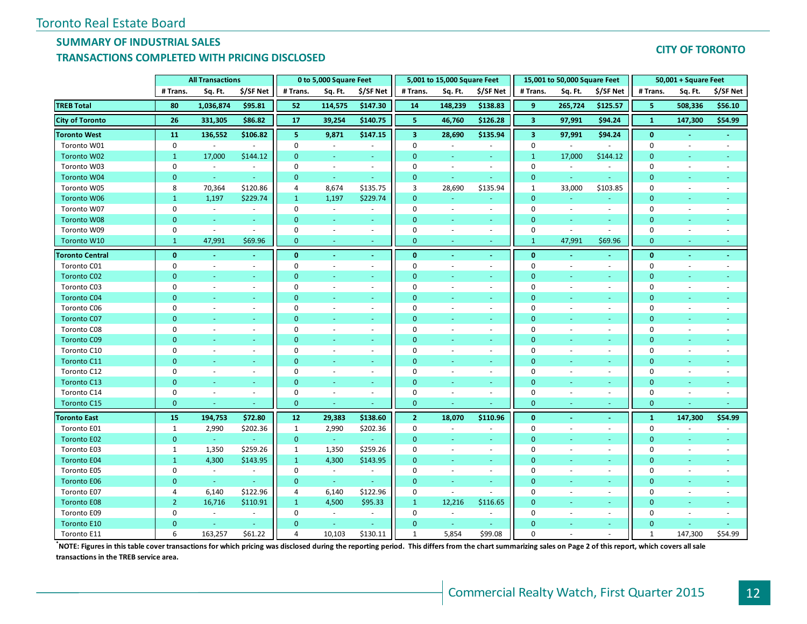# **SUMMARY OF INDUSTRIAL SALES**

## **TRANSACTIONS COMPLETED WITH PRICING DISCLOSED**

#### **CITY OF TORONTO**

|                        |                | <b>All Transactions</b>  |                          |                | 0 to 5,000 Square Feet   |                          |                         | 5,001 to 15,000 Square Feet |                          |                         | 15,001 to 50,000 Square Feet |                          |                | 50,001 + Square Feet     |                          |
|------------------------|----------------|--------------------------|--------------------------|----------------|--------------------------|--------------------------|-------------------------|-----------------------------|--------------------------|-------------------------|------------------------------|--------------------------|----------------|--------------------------|--------------------------|
|                        | # Trans.       | Sq. Ft.                  | \$/SF Net                | # Trans.       | Sq. Ft.                  | \$/SF Net                | # Trans.                | Sq. Ft.                     | \$/SF Net                | # Trans.                | Sq. Ft.                      | \$/SF Net                | # Trans.       | Sq. Ft.                  | \$/SF Net                |
| <b>TREB Total</b>      | 80             | 1,036,874                | \$95.81                  | 52             | 114,575                  | \$147.30                 | 14                      | 148,239                     | \$138.83                 | 9                       | 265,724                      | \$125.57                 | 5              | 508,336                  | \$56.10                  |
| <b>City of Toronto</b> | 26             | 331,305                  | \$86.82                  | 17             | 39,254                   | \$140.75                 | 5                       | 46,760                      | \$126.28                 | $\mathbf{3}$            | 97,991                       | \$94.24                  | $\mathbf{1}$   | 147,300                  | \$54.99                  |
| <b>Toronto West</b>    | 11             | 136,552                  | \$106.82                 | 5              | 9,871                    | \$147.15                 | $\overline{\mathbf{3}}$ | 28,690                      | \$135.94                 | $\overline{\mathbf{3}}$ | 97,991                       | \$94.24                  | $\mathbf{0}$   |                          |                          |
| Toronto W01            | 0              | $\omega$                 | $\omega$                 | $\pmb{0}$      | $\omega$                 | $\overline{\phantom{a}}$ | $\mathbf 0$             | $\mathcal{L}$               | $\omega$                 | $\pmb{0}$               | $\sim$                       | $\sim$                   | $\mathbf 0$    | $\sim$                   | $\sim$                   |
| Toronto W02            | $\mathbf{1}$   | 17,000                   | \$144.12                 | $\mathbf{0}$   | $\blacksquare$           | $\sim$                   | $\mathbf{0}$            | ÷.                          | $\omega$                 | $\mathbf{1}$            | 17,000                       | \$144.12                 | $\mathbf{0}$   | $\omega$                 |                          |
| Toronto W03            | 0              | $\sim$                   | $\sim$                   | $\Omega$       | $\sim$                   | $\sim$                   | $\Omega$                | $\sim$                      | $\sim$                   | $\mathbf 0$             | $\sim$                       | $\sim$                   | 0              | ÷.                       | ÷.                       |
| Toronto W04            | $\mathbf{0}$   | $\omega$                 | $\sim$                   | $\mathbf{0}$   | $\omega$                 | $\sim$                   | $\mathbf{0}$            | $\sim$                      | $\omega$                 | $\mathbf{0}$            | $\omega$                     | $\sim$                   | $\Omega$       | ÷                        |                          |
| Toronto W05            | 8              | 70,364                   | \$120.86                 | 4              | 8,674                    | \$135.75                 | 3                       | 28,690                      | \$135.94                 | $\mathbf{1}$            | 33,000                       | \$103.85                 | $\mathbf 0$    | $\sim$                   |                          |
| Toronto W06            | $\mathbf{1}$   | 1,197                    | \$229.74                 | $\mathbf{1}$   | 1,197                    | \$229.74                 | $\mathbf{0}$            | u,                          | ÷                        | $\mathbf{0}$            | ÷                            |                          | $\mathbf{0}$   |                          |                          |
| Toronto W07            | 0              | $\blacksquare$           |                          | $\mathbf{0}$   | $\sim$                   |                          | $\mathbf 0$             | $\sim$                      | $\overline{\phantom{a}}$ | $\mathbf 0$             | $\sim$                       | $\overline{\phantom{a}}$ | $\mathbf 0$    |                          |                          |
| Toronto W08            | $\overline{0}$ | ÷.                       | $\sim$                   | $\mathbf{0}$   | $\blacksquare$           | ÷                        | $\mathbf{0}$            | ä,                          | ÷                        | $\mathbf{0}$            | $\sim$                       | $\omega$                 | $\overline{0}$ |                          |                          |
| Toronto W09            | 0              | $\blacksquare$           | $\sim$                   | $\mathbf 0$    | $\sim$                   | $\sim$                   | $\mathbf 0$             | $\sim$                      | $\blacksquare$           | $\mathbf 0$             | $\sim$                       | $\sim$                   | $\mathbf 0$    | ÷,                       |                          |
| Toronto W10            | $\mathbf{1}$   | 47,991                   | \$69.96                  | $\mathbf{0}$   | ÷.                       | $\omega$                 | $\mathbf{0}$            |                             | $\sim$                   | $\mathbf{1}$            | 47,991                       | \$69.96                  | $\mathbf{0}$   | ÷                        | $\sim$                   |
| <b>Toronto Central</b> | $\mathbf{0}$   | $\blacksquare$           | $\sim$                   | $\mathbf{0}$   | $\sim$                   | $\sim$                   | $\mathbf{0}$            | $\omega$                    | $\blacksquare$           | $\mathbf{0}$            | $\sim$                       | $\sim$                   | $\bf{0}$       | $\blacksquare$           | $\sim$                   |
| Toronto C01            | 0              | $\sim$                   | $\sim$                   | $\mathbf 0$    | $\sim$                   | $\sim$                   | 0                       | ÷.                          | $\sim$                   | $\mathbf 0$             | $\sim$                       | $\sim$                   | 0              | ÷.                       | $\sim$                   |
| <b>Toronto C02</b>     | $\mathbf{0}$   |                          |                          | $\mathbf{0}$   |                          |                          | $\Omega$                |                             |                          | $\mathbf{0}$            |                              |                          | $\Omega$       |                          |                          |
| Toronto C03            | 0              | $\overline{\phantom{a}}$ | $\sim$                   | $\mathbf 0$    | $\overline{\phantom{a}}$ | $\overline{\phantom{a}}$ | $\Omega$                |                             | $\sim$                   | $\mathbf 0$             | $\overline{\phantom{a}}$     | $\overline{\phantom{a}}$ | $\mathbf 0$    |                          |                          |
| <b>Toronto C04</b>     | $\mathbf{0}$   |                          | ٠                        | $\mathbf{0}$   | ٠                        |                          | $\Omega$                | ÷                           | ÷                        | $\mathbf{0}$            |                              |                          | $\mathbf{0}$   |                          |                          |
| Toronto C06            | 0              | ÷.                       | $\sim$                   | $\mathbf 0$    | $\overline{\phantom{a}}$ | $\sim$                   | $\Omega$                | ÷,                          | $\sim$                   | $\mathbf 0$             | $\sim$                       | $\sim$                   | 0              |                          |                          |
| <b>Toronto C07</b>     | $\overline{0}$ | ÷                        | ÷                        | $\Omega$       | ÷,                       | $\sim$                   | $\mathbf{0}$            | ÷                           | $\sim$                   | $\mathbf{0}$            | ٠                            | $\sim$                   | $\mathbf 0$    | ÷                        |                          |
| Toronto C08            | 0              | ÷.                       | $\blacksquare$           | 0              | $\bar{a}$                | $\blacksquare$           | $\Omega$                | $\sim$                      | $\blacksquare$           | $\mathbf 0$             | $\sim$                       | $\sim$                   | 0              | $\sim$                   |                          |
| <b>Toronto C09</b>     | $\Omega$       | ÷                        | ÷                        | $\Omega$       | $\blacksquare$           | ÷                        | $\Omega$                | ÷                           | ÷                        | $\mathbf{0}$            | ÷,                           | ÷                        | $\mathbf 0$    |                          |                          |
| Toronto C10            | 0              | $\omega$                 | $\blacksquare$           | $\mathbf 0$    | $\overline{\phantom{a}}$ | $\blacksquare$           | $\Omega$                | $\sim$                      | $\sim$                   | $\mathbf 0$             | $\overline{\phantom{a}}$     | $\sim$                   | 0              | $\sim$                   |                          |
| Toronto C11            | $\Omega$       | ÷.                       | $\omega$                 | $\mathbf{0}$   | $\omega$                 | $\sim$                   | $\Omega$                | ÷.                          | $\sim$                   | $\mathbf{0}$            | ÷,                           | $\sim$                   | $\mathbf{0}$   | ÷                        |                          |
| Toronto C12            | 0              | $\sim$                   | $\overline{\phantom{a}}$ | $\Omega$       | $\sim$                   | $\overline{\phantom{a}}$ | $\Omega$                | $\sim$                      | $\sim$                   | $\mathbf 0$             | $\sim$                       | $\sim$                   | 0              | $\sim$                   |                          |
| Toronto C13            | $\Omega$       | ÷.                       | ÷                        | $\mathbf{0}$   | ÷                        | $\sim$                   | $\Omega$                | ÷                           | $\sim$                   | $\mathbf{0}$            | ÷                            | $\sim$                   | $\mathbf{0}$   | ÷                        |                          |
| Toronto C14            | 0              | $\overline{\phantom{a}}$ | $\blacksquare$           | $\pmb{0}$      | $\overline{\phantom{a}}$ | $\overline{\phantom{a}}$ | $\Omega$                | $\overline{\phantom{a}}$    | $\blacksquare$           | $\mathbf 0$             | $\overline{\phantom{a}}$     | $\sim$                   | $\mathbf 0$    | $\sim$                   | $\overline{\phantom{a}}$ |
| <b>Toronto C15</b>     | $\overline{0}$ |                          |                          | $\mathbf{0}$   | ÷                        |                          | $\mathbf{0}$            |                             |                          | $\mathbf{0}$            | ÷                            |                          | $\mathbf{0}$   |                          |                          |
| <b>Toronto East</b>    | 15             | 194,753                  | \$72.80                  | 12             | 29,383                   | \$138.60                 | $\mathbf{2}$            | 18,070                      | \$110.96                 | $\bf{0}$                | $\sim$                       | $\sim$                   | $\mathbf{1}$   | 147,300                  | \$54.99                  |
| Toronto E01            | $\mathbf{1}$   | 2,990                    | \$202.36                 | 1              | 2,990                    | \$202.36                 | $\mathbf 0$             | $\sim$                      | $\overline{\phantom{a}}$ | $\mathbf 0$             | $\overline{\phantom{a}}$     | $\overline{\phantom{a}}$ | $\mathbf 0$    | $\sim$                   |                          |
| <b>Toronto E02</b>     | $\mathbf{0}$   | $\omega$                 | $\omega$                 | $\mathbf{0}$   | $\omega$                 |                          | $\mathbf{0}$            | ä,                          | $\omega$                 | $\mathbf{0}$            | $\sim$                       | $\omega$                 | $\mathbf 0$    | ÷,                       |                          |
| Toronto E03            | $\mathbf{1}$   | 1,350                    | \$259.26                 | $\mathbf{1}$   | 1,350                    | \$259.26                 | 0                       | $\sim$                      | $\sim$                   | $\mathbf 0$             | $\overline{\phantom{a}}$     | $\sim$                   | 0              | $\sim$                   | $\sim$                   |
| <b>Toronto E04</b>     | $\mathbf{1}$   | 4,300                    | \$143.95                 | $\mathbf{1}$   | 4,300                    | \$143.95                 | $\Omega$                | ÷.                          | $\sim$                   | $\mathbf{0}$            | ÷                            | $\sim$                   | $\mathbf{0}$   | ÷.                       |                          |
| Toronto E05            | 0              | $\sim$                   | $\sim$                   | $\mathbf{0}$   | $\sim$                   | $\sim$                   | $\Omega$                | $\sim$                      | $\sim$                   | $\mathbf 0$             | $\sim$                       | $\sim$                   | 0              | $\sim$                   | $\sim$                   |
| <b>Toronto E06</b>     | $\mathbf{0}$   | G.                       |                          | $\mathbf{0}$   | G.                       |                          | $\Omega$                | ÷                           | $\omega$                 | $\mathbf{0}$            | ÷                            | $\sim$                   | $\mathbf{0}$   | ÷                        |                          |
| Toronto E07            | 4              | 6,140                    | \$122.96                 | $\overline{4}$ | 6,140                    | \$122.96                 | $\mathbf 0$             | $\mathcal{L}_{\mathcal{A}}$ | $\sim$                   | $\mathbf 0$             | $\overline{\phantom{a}}$     | $\overline{\phantom{a}}$ | $\mathbf 0$    | $\overline{\phantom{a}}$ | $\overline{\phantom{a}}$ |
| <b>Toronto E08</b>     | 2 <sup>1</sup> | 16,716                   | \$110.91                 | $\mathbf{1}$   | 4,500                    | \$95.33                  | $\mathbf{1}$            | 12,216                      | \$116.65                 | $\mathbf{0}$            | ÷                            | ÷                        | $\mathbf{0}$   | ÷.                       |                          |
| Toronto E09            | 0              | $\bar{\phantom{a}}$      | $\omega$                 | $\mathbf 0$    | $\sim$                   |                          | $\mathbf 0$             | $\omega$                    | $\omega$                 | $\mathbf 0$             | $\overline{\phantom{a}}$     | $\sim$                   | 0              |                          |                          |
| Toronto E10            | $\Omega$       | ٠                        | $\omega$                 | $\mathbf{0}$   | $\sim$                   |                          | $\Omega$                | $\omega$                    | $\sim$                   | $\Omega$                | ٠                            | $\sim$                   | $\mathbf{0}$   |                          |                          |
| Toronto E11            | 6              | 163,257                  | \$61.22                  | $\overline{4}$ | 10,103                   | \$130.11                 | $\mathbf{1}$            | 5,854                       | \$99.08                  | $\Omega$                |                              |                          | $\mathbf{1}$   | 147,300                  | \$54.99                  |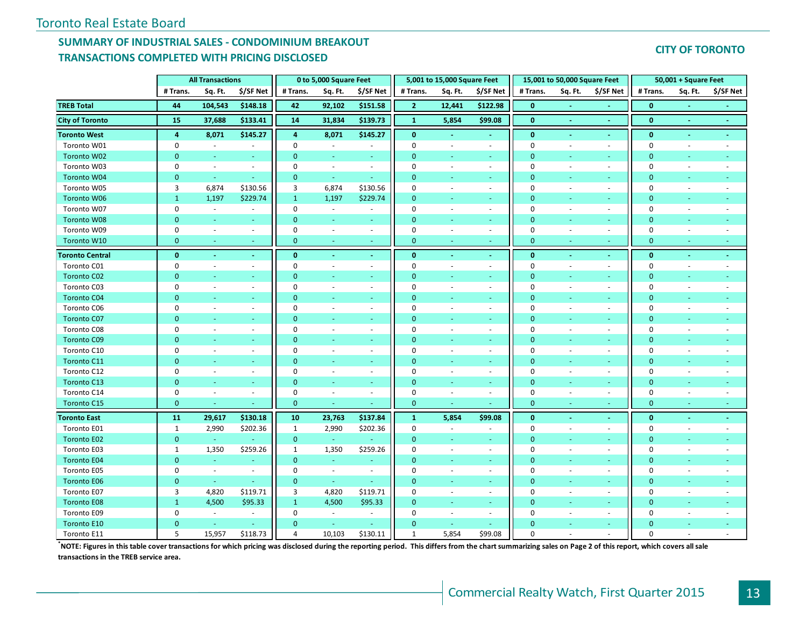# **SUMMARY OF INDUSTRIAL SALES - CONDOMINIUM BREAKOUT TRANSACTIONS COMPLETED WITH PRICING DISCLOSED**

#### **CITY OF TORONTO**

|                        |                | <b>All Transactions</b>  |                             |              | 0 to 5,000 Square Feet   |                          |                | 5,001 to 15,000 Square Feet |                          |                | 15,001 to 50,000 Square Feet |                          |              | 50,001 + Square Feet     |           |
|------------------------|----------------|--------------------------|-----------------------------|--------------|--------------------------|--------------------------|----------------|-----------------------------|--------------------------|----------------|------------------------------|--------------------------|--------------|--------------------------|-----------|
|                        | # Trans.       | Sq. Ft.                  | \$/SF Net                   | # Trans.     | Sq. Ft.                  | \$/SF Net                | # Trans.       | Sq. Ft.                     | \$/SF Net                | # Trans.       | Sq. Ft.                      | \$/SF Net                | # Trans.     | Sq. Ft.                  | \$/SF Net |
| <b>TREB Total</b>      | 44             | 104,543                  | \$148.18                    | 42           | 92,102                   | \$151.58                 | $\overline{2}$ | 12,441                      | \$122.98                 | $\mathbf{0}$   |                              |                          | $\mathbf{0}$ |                          |           |
| <b>City of Toronto</b> | 15             | 37,688                   | \$133.41                    | 14           | 31,834                   | \$139.73                 | $\mathbf 1$    | 5,854                       | \$99.08                  | $\mathbf{0}$   | $\sim$                       | $\sim$                   | $\mathbf{0}$ | $\sim$                   | $\sim$    |
| <b>Toronto West</b>    | 4              | 8,071                    | \$145.27                    | 4            | 8,071                    | \$145.27                 | $\mathbf{0}$   |                             |                          | $\bf{0}$       |                              | $\blacksquare$           | $\bf{0}$     | $\blacksquare$           |           |
| Toronto W01            | $\mathbf 0$    | $\omega$                 | $\sim$                      | $\Omega$     | $\omega$                 | $\sim$                   | $\Omega$       |                             | $\omega$                 | 0              | ÷.                           | $\sim$                   | $\mathbf{0}$ | $\overline{\phantom{a}}$ |           |
| Toronto W02            | $\mathbf{0}$   | $\omega$                 | $\sim$                      | $\mathbf{0}$ | $\sim$                   | $\sim$                   | $\mathbf{0}$   | $\sim$                      | $\sim$                   | $\mathbf 0$    | ٠                            | $\sim$                   | $\mathbf{0}$ | $\blacksquare$           |           |
| Toronto W03            | $\mathbf 0$    | $\omega$                 | $\sim$                      | $\Omega$     | $\omega$                 | $\sim$                   | $\Omega$       | $\sim$                      | $\omega$                 | 0              | $\sim$                       | $\sim$                   | 0            | $\sim$                   |           |
| Toronto W04            | $\overline{0}$ | $\omega$                 |                             | $\mathbf{0}$ | ÷.                       | $\omega$                 | $\Omega$       |                             | ÷.                       | $\overline{0}$ |                              | $\sim$                   | $\mathbf{0}$ |                          |           |
| Toronto W05            | 3              | 6,874                    | \$130.56                    | 3            | 6,874                    | \$130.56                 | $\mathbf 0$    | $\overline{\phantom{a}}$    | $\sim$                   | $\mathbf 0$    | $\sim$                       | $\sim$                   | $\pmb{0}$    | ٠                        |           |
| Toronto W06            | $\mathbf{1}$   | 1,197                    | \$229.74                    | $\mathbf{1}$ | 1,197                    | \$229.74                 | $\overline{0}$ |                             | ÷                        | $\mathbf{0}$   |                              | ÷                        | $\mathbf{0}$ | ÷                        |           |
| Toronto W07            | $\mathbf 0$    | $\omega$                 |                             | $\mathbf 0$  | $\sim$                   | $\overline{\phantom{a}}$ | $\Omega$       |                             | $\omega$                 | $\mathbf 0$    |                              | $\blacksquare$           | $\mathbf{0}$ |                          |           |
| Toronto W08            | $\overline{0}$ | ÷                        | a.                          | $\mathbf{0}$ | ÷                        | $\sim$                   | $\Omega$       |                             | ÷.                       | $\overline{0}$ |                              | $\sim$                   | $\mathbf{0}$ | ÷                        |           |
| Toronto W09            | $\pmb{0}$      | $\sim$                   | $\overline{\phantom{a}}$    | $\mathbf 0$  | $\overline{\phantom{a}}$ | $\sim$                   | $\mathbf 0$    | $\overline{\phantom{a}}$    | $\overline{\phantom{a}}$ | $\mathbf 0$    |                              | $\overline{\phantom{a}}$ | $\pmb{0}$    | $\overline{\phantom{a}}$ |           |
| Toronto W10            | $\mathbf{0}$   | $\omega$                 |                             | $\mathbf{0}$ | ÷                        | $\sim$                   | $\mathbf{0}$   | $\sim$                      | ÷.                       | $\mathbf 0$    |                              | ÷                        | $\mathbf{0}$ | ÷.                       |           |
| <b>Toronto Central</b> | $\bf{0}$       | ä,                       | $\omega$                    | $\bf{0}$     | $\blacksquare$           | $\omega$                 | $\bf{0}$       |                             | $\omega$                 | $\bf{0}$       | $\sim$                       | $\blacksquare$           | $\bf{0}$     | $\blacksquare$           |           |
| Toronto C01            | $\mathbf 0$    | ÷.                       | $\overline{\phantom{a}}$    | $\mathbf 0$  | $\sim$                   | $\overline{\phantom{a}}$ | $\mathbf 0$    |                             | $\sim$                   | 0              | $\overline{\phantom{a}}$     | $\overline{\phantom{a}}$ | $\mathbf 0$  |                          |           |
| <b>Toronto C02</b>     | $\overline{0}$ |                          |                             | $\Omega$     |                          | u                        | $\Omega$       |                             |                          | $\Omega$       |                              |                          | $\Omega$     |                          |           |
| Toronto C03            | $\pmb{0}$      | ÷,                       | $\sim$                      | $\mathbf 0$  | $\overline{\phantom{a}}$ | $\overline{\phantom{a}}$ | $\mathbf 0$    |                             | $\omega$                 | $\mathbf 0$    |                              | $\overline{\phantom{a}}$ | $\mathbf{0}$ |                          |           |
| <b>Toronto C04</b>     | $\overline{0}$ | ÷                        |                             | $\mathbf{0}$ |                          | ÷                        | $\overline{0}$ |                             | ÷                        | $\mathbf{0}$   |                              | ÷                        | $\mathbf{0}$ |                          |           |
| Toronto C06            | $\mathbf 0$    | L.                       | $\omega$                    | $\mathbf 0$  | $\bar{a}$                | $\omega$                 | $\Omega$       |                             | $\bar{\phantom{a}}$      | $\mathbf 0$    |                              | $\omega$                 | $\pmb{0}$    |                          |           |
| Toronto C07            | $\overline{0}$ | ÷                        | $\sim$                      | $\mathbf{0}$ | $\sim$                   | $\omega$                 | $\overline{0}$ | ÷.                          | ÷.                       | $\mathbf{0}$   |                              | $\sim$                   | $\mathbf{0}$ | ÷                        |           |
| Toronto C08            | 0              | ÷,                       | $\sim$                      | $\mathbf 0$  | $\sim$                   | $\omega$                 | $\mathbf 0$    | ÷.                          | $\mathcal{L}$            | $\mathbf 0$    |                              | $\sim$                   | $\mathbf 0$  | $\sim$                   |           |
| Toronto C09            | $\mathbf{0}$   | $\omega$                 | ÷                           | $\mathbf{0}$ | $\blacksquare$           | $\omega$                 | $\mathbf 0$    |                             | ÷.                       | $\mathbf 0$    |                              | $\omega$                 | $\mathbf{0}$ | ÷,                       |           |
| Toronto C10            | $\mathbf 0$    | $\sim$                   | $\sim$                      | $\mathbf 0$  | $\sim$                   | $\blacksquare$           | $\mathbf 0$    |                             | $\omega$                 | 0              | $\sim$                       | $\blacksquare$           | $\mathbf{0}$ | $\sim$                   |           |
| Toronto C11            | $\mathbf{0}$   | ÷.                       | ÷                           | $\mathbf{0}$ | $\sim$                   | $\omega$                 | $\mathbf{0}$   |                             | $\sim$                   | $\mathbf 0$    | $\blacksquare$               | $\sim$                   | $\mathbf{0}$ | ٠                        |           |
| Toronto C12            | $\mathbf 0$    | $\overline{\phantom{a}}$ | $\sim$                      | $\mathbf 0$  | $\sim$                   | $\overline{\phantom{a}}$ | $\Omega$       | $\sim$                      | $\sim$                   | 0              | $\sim$                       | $\sim$                   | $\mathbf{0}$ | ÷                        |           |
| Toronto C13            | $\overline{0}$ | L.                       |                             | $\mathbf{0}$ |                          | $\omega$                 | $\Omega$       |                             | ÷.                       | $\overline{0}$ |                              | $\omega$                 | $\mathbf{0}$ |                          |           |
| Toronto C14            | $\mathbf 0$    | $\blacksquare$           | $\overline{\phantom{a}}$    | $\mathbf 0$  | $\overline{\phantom{a}}$ | $\sim$                   | $\mathbf 0$    | $\blacksquare$              | $\blacksquare$           | $\mathbf 0$    | $\sim$                       | $\overline{\phantom{a}}$ | $\pmb{0}$    | $\overline{\phantom{a}}$ |           |
| Toronto C15            | $\mathbf{0}$   | ä,                       |                             | $\mathbf{0}$ |                          | u                        | $\mathbf{0}$   |                             |                          | $\overline{0}$ |                              |                          | $\mathbf{0}$ |                          |           |
| <b>Toronto East</b>    | 11             | 29,617                   | \$130.18                    | 10           | 23,763                   | \$137.84                 | $\mathbf{1}$   | 5,854                       | \$99.08                  | $\bf{0}$       | $\blacksquare$               | $\blacksquare$           | $\bf{0}$     | $\bullet$                | $\sim$    |
| Toronto E01            | $\mathbf{1}$   | 2,990                    | \$202.36                    | $\mathbf{1}$ | 2,990                    | \$202.36                 | $\mathbf 0$    | $\sim$                      | ÷.                       | $\mathbf 0$    |                              | $\blacksquare$           | $\mathbf 0$  | $\sim$                   |           |
| Toronto E02            | $\mathbf{0}$   | $\omega$                 |                             | $\mathbf{0}$ | $\omega$                 |                          | $\mathbf{0}$   |                             | ÷.                       | $\mathbf 0$    |                              | $\blacksquare$           | $\mathbf{0}$ | ÷,                       |           |
| Toronto E03            | $\mathbf{1}$   | 1,350                    | \$259.26                    | $\mathbf{1}$ | 1,350                    | \$259.26                 | $\Omega$       | $\sim$                      | $\omega$                 | $\mathbf 0$    | $\overline{a}$               | $\sim$                   | $\mathbf{0}$ | $\sim$                   |           |
| <b>Toronto E04</b>     | $\mathbf{0}$   | ÷.                       | ÷                           | $\mathbf{0}$ | ÷.                       | Ξ                        | $\Omega$       |                             | $\omega$                 | $\mathbf{0}$   | ÷                            | $\sim$                   | $\mathbf{0}$ | ÷                        |           |
| Toronto E05            | $\mathbf 0$    | $\omega$                 | $\sim$                      | $\mathbf 0$  | $\blacksquare$           | $\sim$                   | $\Omega$       | $\overline{\phantom{a}}$    | $\sim$                   | 0              | $\sim$                       | $\overline{\phantom{a}}$ | $\mathbf 0$  | $\overline{\phantom{a}}$ |           |
| <b>Toronto E06</b>     | $\overline{0}$ | G.                       |                             | $\mathbf{0}$ | ÷.                       | ÷                        | $\Omega$       |                             | ÷.                       | $\overline{0}$ |                              | $\sim$                   | $\mathbf{0}$ | ÷                        |           |
| Toronto E07            | 3              | 4,820                    | \$119.71                    | 3            | 4,820                    | \$119.71                 | $\mathbf 0$    | $\overline{\phantom{a}}$    | $\overline{\phantom{a}}$ | $\mathbf 0$    | $\overline{\phantom{a}}$     | $\overline{\phantom{a}}$ | $\mathbf 0$  | $\overline{\phantom{a}}$ |           |
| <b>Toronto E08</b>     | $\mathbf{1}$   | 4,500                    | \$95.33                     | $\mathbf{1}$ | 4,500                    | \$95.33                  | $\overline{0}$ | $\sim$                      | ÷                        | $\mathbf{0}$   |                              | $\sim$                   | $\mathbf{0}$ | ÷                        |           |
| Toronto E09            | $\mathbf 0$    | $\omega$                 | $\mathcal{L}_{\mathcal{A}}$ | $\mathbf 0$  | $\bar{a}$                | $\overline{\phantom{a}}$ | $\mathbf 0$    |                             | $\omega$                 | 0              |                              | $\blacksquare$           | $\mathbf 0$  |                          |           |
| <b>Toronto E10</b>     | $\overline{0}$ | $\blacksquare$           |                             | $\mathbf{0}$ | $\omega$                 | ٠                        | $\mathbf{0}$   |                             | ÷.                       | $\Omega$       |                              | $\sim$                   | $\mathbf{0}$ |                          |           |
| Toronto E11            | 5              | 15,957                   | \$118.73                    | 4            | 10,103                   | \$130.11                 | 1              | 5,854                       | \$99.08                  | $\Omega$       |                              |                          | $\Omega$     |                          |           |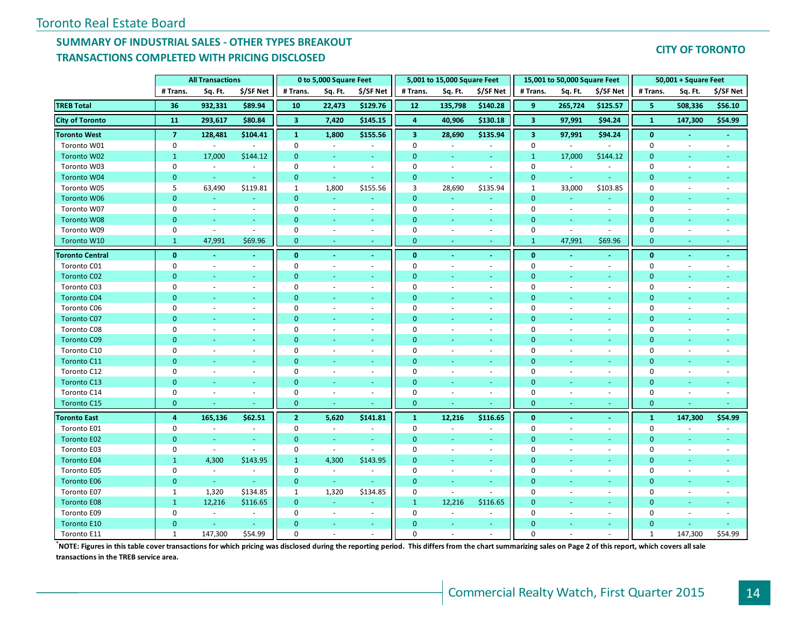# **SUMMARY OF INDUSTRIAL SALES - OTHER TYPES BREAKOUT TRANSACTIONS COMPLETED WITH PRICING DISCLOSED**

#### **CITY OF TORONTO**

|                        |                | <b>All Transactions</b>  |                          |                | 0 to 5,000 Square Feet   |                          |                         | 5,001 to 15,000 Square Feet |                          |                         | 15,001 to 50,000 Square Feet |                          |                | 50,001 + Square Feet     |                          |
|------------------------|----------------|--------------------------|--------------------------|----------------|--------------------------|--------------------------|-------------------------|-----------------------------|--------------------------|-------------------------|------------------------------|--------------------------|----------------|--------------------------|--------------------------|
|                        | # Trans.       | Sq. Ft.                  | \$/SF Net                | # Trans.       | Sq. Ft.                  | \$/SF Net                | # Trans.                | Sq. Ft.                     | \$/SF Net                | # Trans.                | Sq. Ft.                      | \$/SF Net                | # Trans.       | Sq. Ft.                  | \$/SF Net                |
| <b>TREB Total</b>      | 36             | 932,331                  | \$89.94                  | 10             | 22,473                   | \$129.76                 | 12                      | 135,798                     | \$140.28                 | 9                       | 265,724                      | \$125.57                 | 5              | 508,336                  | \$56.10                  |
| <b>City of Toronto</b> | 11             | 293,617                  | \$80.84                  | $\mathbf{3}$   | 7,420                    | \$145.15                 | $\overline{\mathbf{4}}$ | 40,906                      | \$130.18                 | $\overline{\mathbf{3}}$ | 97,991                       | \$94.24                  | $\mathbf{1}$   | 147,300                  | \$54.99                  |
| <b>Toronto West</b>    | $\overline{7}$ | 128,481                  | \$104.41                 | $\mathbf{1}$   | 1,800                    | \$155.56                 | $\overline{\mathbf{3}}$ | 28,690                      | \$135.94                 | $\overline{\mathbf{3}}$ | 97,991                       | \$94.24                  | $\mathbf{0}$   | $\blacksquare$           |                          |
| Toronto W01            | 0              | $\omega$                 | $\blacksquare$           | $\pmb{0}$      | $\omega$                 | $\blacksquare$           | $\mathbf 0$             | $\mathcal{L}$               | $\omega$                 | $\pmb{0}$               | $\sim$                       | $\sim$                   | $\mathbf 0$    | ÷,                       | $\sim$                   |
| Toronto W02            | $\mathbf{1}$   | 17,000                   | \$144.12                 | $\mathbf{0}$   | $\blacksquare$           | $\sim$                   | $\mathbf{0}$            | $\omega$                    | $\omega$                 | $\mathbf{1}$            | 17,000                       | \$144.12                 | $\mathbf{0}$   | $\omega$                 |                          |
| Toronto W03            | 0              | $\sim$                   | $\sim$                   | $\Omega$       | $\sim$                   | $\sim$                   | $\Omega$                | $\sim$                      | $\sim$                   | $\mathbf 0$             | $\sim$                       | $\sim$                   | 0              | $\sim$                   | $\sim$                   |
| Toronto W04            | $\mathbf{0}$   | $\omega$                 | $\sim$                   | $\mathbf{0}$   | $\omega$                 | $\sim$                   | $\mathbf{0}$            | $\sim$                      | $\sim$                   | $\mathbf{0}$            | $\omega$                     | $\sim$                   | $\mathbf{0}$   | ÷                        |                          |
| Toronto W05            | 5              | 63,490                   | \$119.81                 | 1              | 1,800                    | \$155.56                 | 3                       | 28,690                      | \$135.94                 | $\mathbf{1}$            | 33,000                       | \$103.85                 | $\mathbf 0$    | $\sim$                   |                          |
| Toronto W06            | $\overline{0}$ | $\sim$                   | $\sim$                   | $\mathbf{0}$   | ÷                        |                          | $\mathbf{0}$            | u,                          | ÷                        | $\mathbf{0}$            | ÷                            |                          | $\mathbf{0}$   |                          |                          |
| Toronto W07            | 0              | $\blacksquare$           | $\omega$                 | $\mathbf{0}$   | $\sim$                   | $\blacksquare$           | $\mathbf 0$             | $\sim$                      | $\blacksquare$           | $\mathbf 0$             | $\sim$                       | $\overline{\phantom{a}}$ | $\mathbf 0$    |                          |                          |
| Toronto W08            | $\overline{0}$ | ÷                        | $\omega$                 | $\mathbf{0}$   | $\blacksquare$           | ÷                        | $\mathbf{0}$            | ÷                           | ÷                        | $\mathbf{0}$            | $\sim$                       | $\omega$                 | $\overline{0}$ |                          |                          |
| Toronto W09            | 0              | $\blacksquare$           | $\sim$                   | $\mathbf 0$    | $\sim$                   | $\sim$                   | $\mathbf 0$             | $\sim$                      | $\blacksquare$           | $\mathbf 0$             | $\sim$                       | $\sim$                   | $\mathbf 0$    | ÷,                       |                          |
| Toronto W10            | $\mathbf{1}$   | 47,991                   | \$69.96                  | $\mathbf{0}$   | ÷.                       | $\omega$                 | $\mathbf{0}$            |                             | $\sim$                   | $\mathbf{1}$            | 47,991                       | \$69.96                  | $\mathbf{0}$   | ÷                        | $\sim$                   |
| <b>Toronto Central</b> | $\mathbf{0}$   | $\sim$                   | $\sim$                   | $\mathbf{0}$   | $\sim$                   | $\sim$                   | $\mathbf{0}$            | $\sim$                      | $\blacksquare$           | $\mathbf{0}$            | $\sim$                       | $\sim$                   | $\bf{0}$       | $\blacksquare$           | $\sim$                   |
| Toronto C01            | 0              | $\omega$                 | $\sim$                   | $\mathbf{0}$   | $\sim$                   | $\sim$                   | $\mathbf 0$             | ÷.                          | $\sim$                   | $\mathbf 0$             | $\sim$                       | $\sim$                   | 0              | $\sim$                   | $\sim$                   |
| <b>Toronto C02</b>     | $\mathbf{0}$   |                          | ÷                        | $\mathbf{0}$   | ÷                        |                          | $\Omega$                |                             |                          | $\mathbf{0}$            |                              | $\sim$                   | $\Omega$       |                          |                          |
| Toronto C03            | 0              | $\overline{\phantom{a}}$ | $\overline{\phantom{a}}$ | $\mathbf 0$    | $\overline{\phantom{a}}$ | $\blacksquare$           | $\Omega$                | $\overline{\phantom{a}}$    | $\sim$                   | $\mathbf 0$             | $\overline{\phantom{a}}$     | $\overline{\phantom{a}}$ | $\mathbf 0$    |                          |                          |
| <b>Toronto C04</b>     | $\mathbf{0}$   |                          | ٠                        | $\mathbf{0}$   | ÷,                       |                          | $\Omega$                | ÷                           | ÷                        | $\mathbf{0}$            |                              |                          | $\mathbf{0}$   |                          |                          |
| Toronto C06            | 0              | ÷.                       | $\sim$                   | $\mathbf 0$    | $\overline{\phantom{a}}$ | $\sim$                   | $\Omega$                | $\overline{\phantom{a}}$    | $\sim$                   | $\mathbf 0$             | $\sim$                       | $\sim$                   | 0              |                          |                          |
| <b>Toronto C07</b>     | $\overline{0}$ | ÷                        | ÷                        | $\mathbf{0}$   | $\blacksquare$           | $\sim$                   | $\mathbf{0}$            | ÷                           | $\sim$                   | $\mathbf{0}$            | ÷                            | $\sim$                   | $\mathbf{0}$   | ÷                        |                          |
| Toronto C08            | 0              | ÷.                       | $\blacksquare$           | $\mathbf 0$    | $\sim$                   | $\blacksquare$           | $\Omega$                | $\sim$                      | $\blacksquare$           | $\mathbf 0$             | $\sim$                       | $\sim$                   | 0              | $\sim$                   |                          |
| <b>Toronto C09</b>     | $\Omega$       | ÷.                       | ÷                        | $\Omega$       | $\omega$                 | $\omega$                 | $\mathbf{0}$            | ÷                           | ÷                        | $\mathbf{0}$            | ÷,                           | ÷                        | $\mathbf 0$    |                          |                          |
| Toronto C10            | 0              | $\blacksquare$           | $\blacksquare$           | $\mathbf 0$    | $\overline{\phantom{a}}$ | $\sim$                   | $\Omega$                | $\sim$                      | $\sim$                   | $\mathbf 0$             | $\overline{\phantom{a}}$     | $\sim$                   | 0              | $\sim$                   |                          |
| Toronto C11            | $\Omega$       | ÷.                       | $\omega$                 | $\mathbf{0}$   | $\omega$                 | $\sim$                   | $\Omega$                | ÷.                          | $\sim$                   | $\mathbf{0}$            | ÷,                           | $\sim$                   | $\mathbf{0}$   | ÷                        |                          |
| Toronto C12            | 0              | $\sim$                   | $\overline{\phantom{a}}$ | 0              | $\sim$                   | $\overline{\phantom{a}}$ | $\Omega$                | $\sim$                      | $\sim$                   | $\mathbf 0$             | $\sim$                       | $\sim$                   | 0              | $\sim$                   | $\sim$                   |
| <b>Toronto C13</b>     | $\Omega$       | ÷.                       | ÷                        | $\mathbf{0}$   | ÷                        | $\sim$                   | $\Omega$                | ÷                           | $\omega$                 | $\overline{0}$          | ÷                            | $\sim$                   | $\overline{0}$ | ÷                        |                          |
| Toronto C14            | 0              | $\overline{\phantom{a}}$ | $\blacksquare$           | $\pmb{0}$      | $\overline{\phantom{a}}$ | $\overline{\phantom{a}}$ | $\Omega$                | $\overline{\phantom{a}}$    | $\blacksquare$           | $\mathbf 0$             | $\overline{\phantom{a}}$     | $\sim$                   | $\mathbf 0$    | $\sim$                   | $\overline{\phantom{a}}$ |
| Toronto C15            | $\overline{0}$ |                          |                          | $\mathbf{0}$   | ÷                        |                          | $\mathbf{0}$            |                             |                          | $\mathbf{0}$            | ÷                            |                          | $\mathbf{0}$   |                          |                          |
| <b>Toronto East</b>    | 4              | 165,136                  | \$62.51                  | $\overline{2}$ | 5,620                    | \$141.81                 | $\mathbf{1}$            | 12,216                      | \$116.65                 | $\bf{0}$                | $\sim$                       | $\sim$                   | $\mathbf{1}$   | 147,300                  | \$54.99                  |
| Toronto E01            | $\mathbf{0}$   | $\blacksquare$           | $\sim$                   | $\mathbf 0$    | $\blacksquare$           | $\overline{\phantom{a}}$ | $\mathbf 0$             | $\blacksquare$              | $\overline{\phantom{a}}$ | $\mathbf 0$             | $\overline{\phantom{a}}$     | $\overline{\phantom{a}}$ | $\mathbf 0$    | $\sim$                   | $\sim$                   |
| <b>Toronto E02</b>     | $\mathbf{0}$   | $\omega$                 | $\omega$                 | $\mathbf{0}$   | $\omega$                 | $\sim$                   | $\mathbf{0}$            | ÷.                          | $\omega$                 | $\mathbf{0}$            | $\blacksquare$               | $\omega$                 | $\mathbf{0}$   | $\sim$                   |                          |
| Toronto E03            | 0              | $\omega$                 | $\omega$                 | $\mathbf 0$    | $\sim$                   | $\blacksquare$           | $\Omega$                | $\sim$                      | $\sim$                   | $\mathbf 0$             | $\overline{\phantom{a}}$     | $\sim$                   | $\mathbf 0$    | $\blacksquare$           | $\sim$                   |
| <b>Toronto E04</b>     | $\mathbf{1}$   | 4,300                    | \$143.95                 | $\mathbf{1}$   | 4,300                    | \$143.95                 | $\Omega$                | ÷.                          | $\omega$                 | $\mathbf{0}$            | ÷                            | $\sim$                   | $\mathbf{0}$   | ÷.                       |                          |
| Toronto E05            | 0              | $\sim$                   | $\sim$                   | $\mathbf 0$    | $\blacksquare$           | $\sim$                   | $\Omega$                | $\sim$                      | $\sim$                   | $\mathbf 0$             | $\sim$                       | $\sim$                   | 0              | $\sim$                   | $\sim$                   |
| <b>Toronto E06</b>     | $\overline{0}$ | G.                       | ÷                        | $\mathbf{0}$   | $\omega$                 |                          | $\Omega$                | ÷                           | $\omega$                 | $\mathbf{0}$            | ÷                            | $\sim$                   | $\mathbf{0}$   | ÷                        |                          |
| Toronto E07            | $\mathbf{1}$   | 1,320                    | \$134.85                 | $\mathbf{1}$   | 1,320                    | \$134.85                 | $\mathbf 0$             | $\mathcal{L}_{\mathcal{A}}$ | $\omega$                 | $\mathbf 0$             | $\overline{\phantom{a}}$     | $\sim$                   | $\mathbf 0$    | $\overline{\phantom{a}}$ | $\overline{\phantom{a}}$ |
| <b>Toronto E08</b>     | $\mathbf{1}$   | 12,216                   | \$116.65                 | $\mathbf{0}$   | $\omega$                 |                          | 1                       | 12,216                      | \$116.65                 | $\mathbf{0}$            | ÷                            | ÷                        | $\mathbf{0}$   | ÷.                       |                          |
| Toronto E09            | $\pmb{0}$      | $\omega$                 | $\omega$                 | $\pmb{0}$      | $\overline{\phantom{a}}$ | $\sim$                   | $\mathbf 0$             | $\omega$                    | $\omega$                 | $\mathbf 0$             | $\overline{\phantom{a}}$     | $\blacksquare$           | $\mathbf 0$    |                          |                          |
| Toronto E10            | $\Omega$       | $\blacksquare$           | $\sim$                   | $\Omega$       | $\blacksquare$           | $\sim$                   | $\Omega$                | u,                          | $\sim$                   | $\Omega$                | ٠                            | $\sim$                   | $\overline{0}$ |                          |                          |
| Toronto E11            | $\mathbf{1}$   | 147,300                  | \$54.99                  | $\Omega$       |                          |                          | $\Omega$                |                             |                          | $\Omega$                |                              |                          | $\mathbf{1}$   | 147,300                  | \$54.99                  |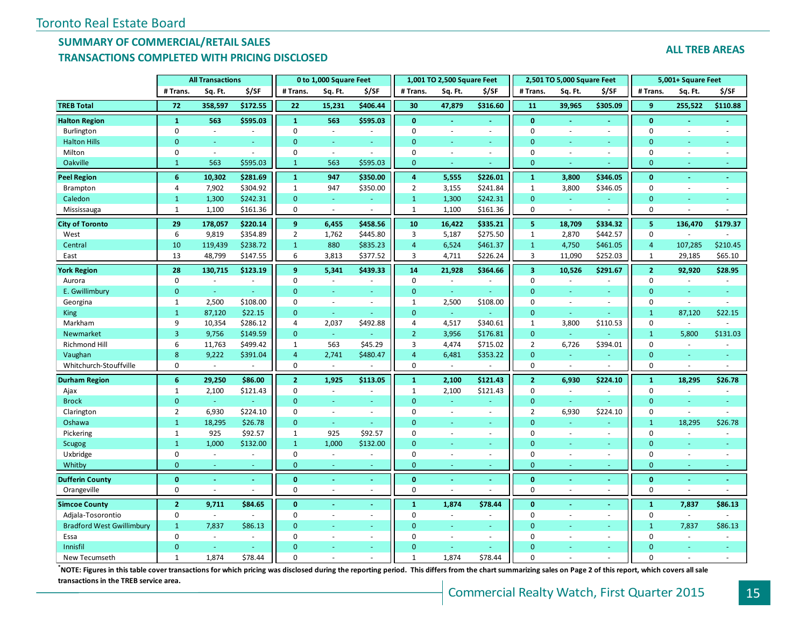### **SUMMARY OF COMMERCIAL/RETAIL SALES TRANSACTIONS COMPLETED WITH PRICING DISCLOSED**

|                                  |                | <b>All Transactions</b>  |          |                | 0 to 1,000 Square Feet   |          |                    | 1,001 TO 2,500 Square Feet |                          |                         | 2,501 TO 5,000 Square Feet |                          |                | 5,001+ Square Feet       |          |
|----------------------------------|----------------|--------------------------|----------|----------------|--------------------------|----------|--------------------|----------------------------|--------------------------|-------------------------|----------------------------|--------------------------|----------------|--------------------------|----------|
|                                  | # Trans.       | Sq. Ft.                  | \$/SF    | # Trans.       | Sq. Ft.                  | \$/SF    | # Trans.           | Sq. Ft.                    | \$/SF                    | # Trans.                | Sq. Ft.                    | \$/SF                    | # Trans.       | Sq. Ft.                  | \$/SF    |
| <b>TREB Total</b>                | 72             | 358,597                  | \$172.55 | 22             | 15,231                   | \$406.44 | 30                 | 47,879                     | \$316.60                 | 11                      | 39,965                     | \$305.09                 | 9              | 255,522                  | \$110.88 |
| <b>Halton Region</b>             | 1              | 563                      | \$595.03 | $\mathbf{1}$   | 563                      | \$595.03 | $\mathbf{0}$       |                            |                          | $\mathbf{0}$            |                            | ä,                       | $\mathbf{0}$   |                          |          |
| Burlington                       | $\mathbf 0$    | $\bar{\phantom{a}}$      | $\sim$   | $\mathbf 0$    | $\overline{\phantom{a}}$ |          | $\mathbf 0$        |                            | $\overline{\phantom{a}}$ | $\mathbf 0$             | ÷,                         | ä,                       | $\mathbf 0$    |                          |          |
| <b>Halton Hills</b>              | $\mathbf{0}$   | u,                       | ÷        | $\mathbf{0}$   | ÷                        | $\sim$   | $\overline{0}$     |                            | ÷.                       | $\Omega$                |                            | ÷.                       | $\mathbf{0}$   |                          |          |
| Milton                           | $\mathbf 0$    | ÷.                       | $\sim$   | $\mathbf 0$    | $\sim$                   | $\sim$   | $\mathbf 0$        | $\sim$                     | $\mathbf{r}$             | $\mathbf 0$             | ÷,                         | $\overline{\phantom{a}}$ | 0              | ÷,                       |          |
| Oakville                         | $\mathbf{1}$   | 563                      | \$595.03 | $\mathbf{1}$   | 563                      | \$595.03 | $\mathbf{0}$       | $\sim$                     |                          | $\Omega$                |                            |                          | $\mathbf{0}$   |                          |          |
| <b>Peel Region</b>               | 6              | 10,302                   | \$281.69 | $\mathbf{1}$   | 947                      | \$350.00 | $\overline{\bf 4}$ | 5,555                      | \$226.01                 | $\mathbf{1}$            | 3,800                      | \$346.05                 | $\mathbf{0}$   | ÷                        |          |
| Brampton                         | 4              | 7,902                    | \$304.92 | $\mathbf{1}$   | 947                      | \$350.00 | $\overline{2}$     | 3,155                      | \$241.84                 | $\mathbf{1}$            | 3,800                      | \$346.05                 | $\mathbf 0$    | $\overline{\phantom{a}}$ |          |
| Caledon                          | $\mathbf{1}$   | 1,300                    | \$242.31 | $\mathbf{0}$   |                          |          | $\mathbf{1}$       | 1,300                      | \$242.31                 | $\overline{0}$          |                            |                          | $\mathbf{0}$   |                          |          |
| Mississauga                      | $\mathbf{1}$   | 1,100                    | \$161.36 | $\mathbf 0$    | $\sim$                   |          | $\mathbf{1}$       | 1,100                      | \$161.36                 | $\Omega$                | $\sim$                     |                          | $\mathbf 0$    |                          |          |
| <b>City of Toronto</b>           | 29             | 178,057                  | \$220.14 | 9              | 6,455                    | \$458.56 | 10                 | 16,422                     | \$335.21                 | 5                       | 18,709                     | \$334.32                 | 5              | 136.470                  | \$179.37 |
| West                             | 6              | 9,819                    | \$354.89 | $\overline{2}$ | 1,762                    | \$445.80 | 3                  | 5,187                      | \$275.50                 | $1\,$                   | 2,870                      | \$442.57                 | $\mathbf 0$    |                          |          |
| Central                          | 10             | 119,439                  | \$238.72 | $\mathbf{1}$   | 880                      | \$835.23 | $\overline{4}$     | 6,524                      | \$461.37                 | $\mathbf{1}$            | 4,750                      | \$461.05                 | $\overline{4}$ | 107,285                  | \$210.45 |
| East                             | 13             | 48,799                   | \$147.55 | 6              | 3,813                    | \$377.52 | 3                  | 4,711                      | \$226.24                 | 3                       | 11,090                     | \$252.03                 | $\mathbf{1}$   | 29,185                   | \$65.10  |
| <b>York Region</b>               | 28             | 130,715                  | \$123.19 | 9              | 5,341                    | \$439.33 | 14                 | 21,928                     | \$364.66                 | $\overline{\mathbf{3}}$ | 10,526                     | \$291.67                 | $\overline{2}$ | 92,920                   | \$28.95  |
| Aurora                           | $\mathbf 0$    | $\overline{\phantom{a}}$ |          | $\mathbf 0$    | $\sim$                   |          | $\mathbf 0$        | $\sim$                     | $\sim$                   | $\mathbf 0$             | $\sim$                     | ä,                       | 0              | $\sim$                   |          |
| E. Gwillimbury                   | $\mathbf{0}$   | ÷.                       |          | $\mathbf{0}$   |                          |          | $\mathbf{0}$       | ÷                          | ÷                        | $\mathbf{0}$            |                            | ٠                        | $\mathbf{0}$   |                          |          |
| Georgina                         | 1              | 2,500                    | \$108.00 | $\mathbf 0$    |                          | $\sim$   | $\mathbf{1}$       | 2,500                      | \$108.00                 | $\Omega$                | ÷,                         | $\overline{\phantom{a}}$ | 0              | $\sim$                   |          |
| <b>King</b>                      | $\mathbf{1}$   | 87,120                   | \$22.15  | $\mathbf{0}$   | ÷.                       |          | $\overline{0}$     | ÷.                         | ÷                        | $\mathbf{0}$            | u                          | u,                       | $\mathbf{1}$   | 87,120                   | \$22.15  |
| Markham                          | 9              | 10,354                   | \$286.12 | 4              | 2,037                    | \$492.88 | 4                  | 4,517                      | \$340.61                 | $\mathbf{1}$            | 3,800                      | \$110.53                 | 0              | $\sim$                   |          |
| Newmarket                        | 3              | 9,756                    | \$149.59 | $\mathbf{0}$   |                          |          | $\overline{2}$     | 3,956                      | \$176.81                 | $\mathbf{0}$            |                            |                          | $\mathbf{1}$   | 5,800                    | \$131.03 |
| Richmond Hill                    | 6              | 11,763                   | \$499.42 | $\mathbf{1}$   | 563                      | \$45.29  | $\overline{3}$     | 4,474                      | \$715.02                 | $\overline{2}$          | 6,726                      | \$394.01                 | $\mathbf 0$    | $\sim$                   |          |
| Vaughan                          | 8              | 9,222                    | \$391.04 | $\overline{4}$ | 2,741                    | \$480.47 | $\overline{4}$     | 6,481                      | \$353.22                 | $\overline{0}$          |                            |                          | $\mathbf{0}$   |                          |          |
| Whitchurch-Stouffville           | $\mathbf 0$    | $\omega$                 | $\sim$   | $\mathbf 0$    | $\sim$                   | $\sim$   | $\pmb{0}$          | $\sim$                     | $\sim$                   | $\mathbf 0$             | $\sim$                     | ÷,                       | $\mathbf 0$    | $\sim$                   |          |
| <b>Durham Region</b>             | 6              | 29,250                   | \$86.00  | $\overline{2}$ | 1,925                    | \$113.05 | $\mathbf{1}$       | 2,100                      | \$121.43                 | $\overline{2}$          | 6,930                      | \$224.10                 | $\mathbf 1$    | 18,295                   | \$26.78  |
| Ajax                             | 1              | 2,100                    | \$121.43 | $\mathbf 0$    | $\sim$                   |          | $\mathbf{1}$       | 2,100                      | \$121.43                 | $\mathbf 0$             | $\blacksquare$             | $\overline{\phantom{a}}$ | $\mathbf 0$    | $\sim$                   |          |
| <b>Brock</b>                     | $\mathbf{0}$   | ÷.                       | $\sim$   | $\Omega$       | ÷.                       | $\sim$   | $\overline{0}$     |                            | ÷.                       | $\mathbf{0}$            | ÷,                         |                          | $\mathbf{0}$   |                          |          |
| Clarington                       | $\overline{2}$ | 6,930                    | \$224.10 | $\mathbf 0$    |                          | $\sim$   | $\mathbf 0$        | $\sim$                     | $\sim$                   | $\overline{2}$          | 6,930                      | \$224.10                 | $\mathbf 0$    | $\sim$                   |          |
| Oshawa                           | $\mathbf{1}$   | 18,295                   | \$26.78  | $\mathbf{0}$   | $\sim$                   | ÷.       | $\Omega$           |                            | ÷.                       | $\Omega$                | ÷                          | ÷.                       | $\mathbf{1}$   | 18,295                   | \$26.78  |
| Pickering                        | $\mathbf{1}$   | 925                      | \$92.57  | $\mathbf{1}$   | 925                      | \$92.57  | $\mathbf 0$        |                            | ä,                       | $\mathbf 0$             | ä,                         | $\overline{\phantom{a}}$ | 0              | ÷,                       |          |
| Scugog                           | $\mathbf{1}$   | 1,000                    | \$132.00 | $\overline{1}$ | 1,000                    | \$132.00 | $\overline{0}$     |                            |                          | $\Omega$                |                            |                          | $\mathbf{0}$   |                          |          |
| Uxbridge                         | $\mathbf 0$    | L.                       |          | $\mathbf 0$    |                          |          | $\mathbf 0$        |                            | L.                       | $\overline{0}$          |                            | $\mathcal{L}$            | $\pmb{0}$      |                          |          |
| Whitby                           | $\mathbf{0}$   |                          |          | $\mathbf{0}$   |                          |          | $\mathbf{0}$       |                            |                          | $\Omega$                |                            | ä,                       | $\mathbf{0}$   |                          |          |
| <b>Dufferin County</b>           | $\mathbf{0}$   |                          |          | $\mathbf{0}$   |                          |          | $\bf{0}$           |                            |                          | $\mathbf{0}$            |                            | $\blacksquare$           | $\mathbf{0}$   |                          |          |
| Orangeville                      | $\mathbf 0$    |                          |          | $\mathbf 0$    | $\sim$                   | $\sim$   | $\mathbf 0$        |                            | $\overline{a}$           | $\Omega$                | ä,                         | $\overline{\phantom{a}}$ | $\mathbf 0$    |                          |          |
| <b>Simcoe County</b>             | $\overline{2}$ | 9,711                    | \$84.65  | $\mathbf{0}$   |                          |          | $\mathbf{1}$       | 1,874                      | \$78.44                  | $\mathbf{0}$            |                            | $\blacksquare$           | $\mathbf 1$    | 7,837                    | \$86.13  |
| Adjala-Tosorontio                | $\pmb{0}$      | ÷.                       | $\sim$   | $\mathbf 0$    | $\sim$                   | $\sim$   | $\mathbf 0$        |                            | ÷.                       | $\mathbf 0$             | ÷,                         | $\overline{\phantom{a}}$ | 0              | $\sim$                   |          |
| <b>Bradford West Gwillimbury</b> | $\mathbf{1}$   | 7,837                    | \$86.13  | $\mathbf{0}$   |                          | $\sim$   | $\mathbf{0}$       |                            | ÷.                       | $\Omega$                |                            | ÷.                       | $\mathbf{1}$   | 7,837                    | \$86.13  |
| Essa                             | $\mathbf 0$    | ÷,                       |          | $\Omega$       |                          | $\sim$   | $\mathbf 0$        | $\sim$                     | $\bar{a}$                | $\Omega$                | ÷,                         | $\sim$                   | 0              |                          |          |
| Innisfil                         | $\Omega$       |                          |          | $\Omega$       |                          |          | $\overline{0}$     |                            |                          | $\Omega$                |                            | $\blacksquare$           | $\Omega$       |                          |          |
| New Tecumseth                    | $\mathbf{1}$   | 1,874                    | \$78.44  | $\Omega$       |                          |          | $\mathbf{1}$       | 1.874                      | \$78.44                  | $\Omega$                |                            |                          | $\Omega$       |                          |          |

**ALL TREB AREAS**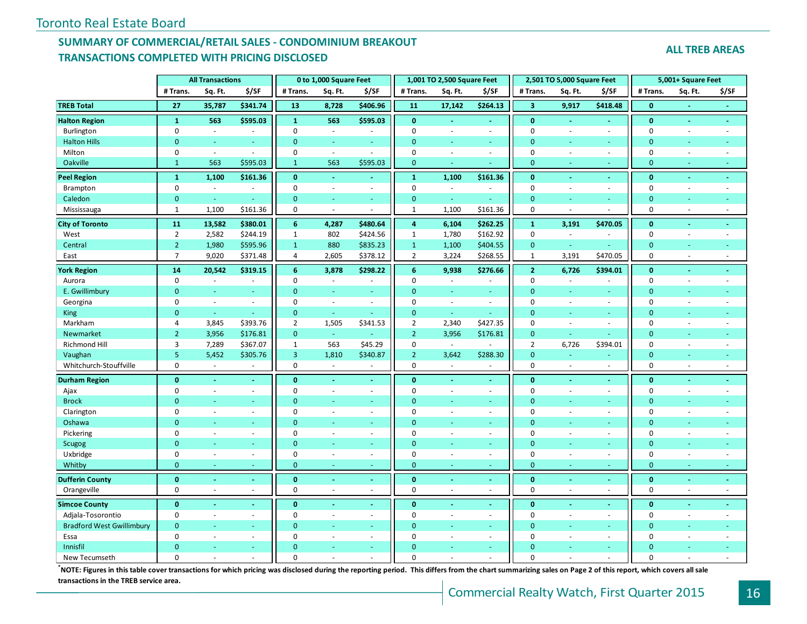# **SUMMARY OF COMMERCIAL/RETAIL SALES - CONDOMINIUM BREAKOUT TRANSACTIONS COMPLETED WITH PRICING DISCLOSED**

**ALL TREB AREAS**

|                                  |                 | <b>All Transactions</b>  |          |                | 0 to 1,000 Square Feet |                  |                | 1,001 TO 2,500 Square Feet |                |                         | 2,501 TO 5,000 Square Feet |                          |                | 5,001+ Square Feet |       |
|----------------------------------|-----------------|--------------------------|----------|----------------|------------------------|------------------|----------------|----------------------------|----------------|-------------------------|----------------------------|--------------------------|----------------|--------------------|-------|
|                                  | # Trans.        | Sq. Ft.                  | \$/SF    | # Trans.       | Sq. Ft.                | \$/SF            | # Trans.       | Sq. Ft.                    | \$/SF          | # Trans.                | Sq. Ft.                    | \$/SF                    | # Trans.       | Sq. Ft.            | \$/SF |
| <b>TREB Total</b>                | $\overline{27}$ | 35,787                   | \$341.74 | 13             | 8,728                  | \$406.96         | 11             | 17,142                     | \$264.13       | $\overline{\mathbf{3}}$ | 9,917                      | \$418.48                 | $\mathbf{0}$   |                    |       |
| <b>Halton Region</b>             | $\mathbf{1}$    | 563                      | \$595.03 | $\mathbf{1}$   | 563                    | \$595.03         | $\mathbf{0}$   |                            |                | $\mathbf{0}$            |                            |                          | $\bf{0}$       |                    |       |
| Burlington                       | $\mathbf 0$     | $\sim$                   | $\sim$   | $\mathbf 0$    | $\omega$               |                  | $\mathbf 0$    |                            | ÷.             | $\mathbf 0$             | ÷.                         | $\blacksquare$           | 0              | ÷.                 |       |
| <b>Halton Hills</b>              | $\overline{0}$  | ÷                        | ÷        | $\mathbf{0}$   | ÷                      | u                | $\Omega$       | ÷                          | ÷.             | $\overline{0}$          | $\sim$                     | $\sim$                   | $\mathbf{0}$   | ÷                  |       |
| Milton                           | $\mathbf 0$     | $\omega$                 | $\sim$   | $\mathbf 0$    | $\omega$               | $\sim$           | $\mathbf 0$    | $\sim$                     | $\sim$         | $\mathbf 0$             | ÷.                         | $\sim$                   | $\mathbf 0$    | L.                 |       |
| Oakville                         | $\mathbf{1}$    | 563                      | \$595.03 | $\mathbf{1}$   | 563                    | \$595.03         | $\mathbf{0}$   |                            |                | $\mathbf{0}$            |                            | $\overline{\phantom{a}}$ | $\mathbf{0}$   |                    |       |
| <b>Peel Region</b>               | $\mathbf{1}$    | 1,100                    | \$161.36 | $\mathbf{0}$   | $\omega$               | ä,               | $\mathbf 1$    | 1,100                      | \$161.36       | $\mathbf{0}$            | $\sim$                     | $\sim$                   | $\mathbf{0}$   | ä,                 |       |
| Brampton                         | $\mathbf 0$     | $\omega$                 |          | $\mathbf 0$    | $\omega$               | $\blacksquare$   | $\mathbf 0$    | $\sim$                     | $\sim$         | $\mathbf 0$             | $\sim$                     | $\blacksquare$           | $\mathbf 0$    | ÷,                 |       |
| Caledon                          | $\mathbf{0}$    | $\omega$                 |          | $\mathbf{0}$   | ÷.                     | ä,               | $\mathbf{0}$   | ÷.                         | ÷              | $\mathbf{0}$            |                            | ÷                        | $\mathbf{0}$   |                    |       |
| Mississauga                      | $\mathbf{1}$    | 1,100                    | \$161.36 | $\mathbf 0$    | ÷.                     | ÷.               | $\mathbf{1}$   | 1,100                      | \$161.36       | $\mathbf 0$             |                            |                          | $\pmb{0}$      |                    |       |
| <b>City of Toronto</b>           | 11              | 13,582                   | \$380.01 | $6\phantom{1}$ | 4,287                  | \$480.64         | $\overline{4}$ | 6,104                      | \$262.25       | $\mathbf{1}$            | 3,191                      | \$470.05                 | $\mathbf{0}$   | ÷,                 |       |
| West                             | $\overline{2}$  | 2,582                    | \$244.19 | $\mathbf{1}$   | 802                    | \$424.56         | $\mathbf{1}$   | 1,780                      | \$162.92       | $\mathbf 0$             | $\sim$                     |                          | $\pmb{0}$      |                    |       |
| Central                          | $\overline{2}$  | 1,980                    | \$595.96 | $\mathbf{1}$   | 880                    | \$835.23         | $\mathbf{1}$   | 1,100                      | \$404.55       | $\overline{0}$          | ÷                          |                          | $\mathbf{0}$   |                    |       |
| East                             | $\overline{7}$  | 9,020                    | \$371.48 | $\overline{4}$ | 2,605                  | \$378.12         | $\overline{2}$ | 3,224                      | \$268.55       | $\mathbf{1}$            | 3,191                      | \$470.05                 | $\pmb{0}$      | ÷,                 |       |
| <b>York Region</b>               | 14              | 20,542                   | \$319.15 | $6\phantom{a}$ | 3,878                  | \$298.22         | $6\phantom{1}$ | 9,938                      | \$276.66       | $\overline{2}$          | 6,726                      | \$394.01                 | $\mathbf 0$    |                    |       |
| Aurora                           | $\mathbf 0$     |                          |          | $\mathbf 0$    |                        |                  | $\mathbf 0$    |                            |                | $\mathbf 0$             |                            |                          | $\mathbf 0$    |                    |       |
| E. Gwillimbury                   | $\overline{0}$  | $\blacksquare$           | ÷        | $\mathbf{0}$   | $\omega$               | ä,               | $\overline{0}$ | $\omega$                   | Ξ              | $\mathbf{0}$            |                            | $\omega$                 | $\mathbf{0}$   |                    |       |
| Georgina                         | $\mathbf 0$     | ÷.                       | $\sim$   | $\mathbf 0$    | $\sim$                 | $\bar{a}$        | $\mathbf 0$    | $\sim$                     | ÷,             | 0                       | $\sim$                     | $\overline{\phantom{a}}$ | $\mathbf 0$    |                    |       |
| <b>King</b>                      | $\mathbf{0}$    | ÷                        |          | $\mathbf{0}$   | ÷.                     | u                | $\mathbf{0}$   |                            | ÷              | $\overline{0}$          |                            |                          | $\mathbf{0}$   |                    |       |
| Markham                          | $\overline{4}$  | 3,845                    | \$393.76 | $\overline{2}$ | 1,505                  | \$341.53         | $\overline{2}$ | 2,340                      | \$427.35       | $\mathbf 0$             |                            | $\sim$                   | $\mathbf 0$    |                    |       |
| Newmarket                        | $\overline{2}$  | 3,956                    | \$176.81 | $\mathbf{0}$   | $\omega$               | ÷,               | $\overline{2}$ | 3,956                      | \$176.81       | $\mathbf{0}$            | ÷                          | ÷                        | $\mathbf{0}$   |                    |       |
| Richmond Hill                    | $\overline{3}$  | 7,289                    | \$367.07 | $\mathbf{1}$   | 563                    | \$45.29          | $\mathbf 0$    | $\sim$                     | ÷,             | $\overline{2}$          | 6,726                      | \$394.01                 | $\pmb{0}$      | ÷,                 |       |
| Vaughan                          | 5               | 5,452                    | \$305.76 | $\overline{3}$ | 1,810                  | \$340.87         | $\overline{2}$ | 3,642                      | \$288.30       | $\mathbf{0}$            |                            |                          | $\mathbf{0}$   |                    |       |
| Whitchurch-Stouffville           | $\mathbf 0$     | $\mathcal{L}$            | $\sim$   | $\mathbf 0$    | $\omega$               | $\sim$           | $\mathbf 0$    | $\sim$                     | $\sim$         | $\mathbf 0$             | $\sim$                     | $\sim$                   | $\mathbf 0$    | $\sim$             |       |
| <b>Durham Region</b>             | $\mathbf{0}$    | ä,                       | $\sim$   | $\mathbf{0}$   | $\omega$               | ٠                | $\mathbf{0}$   |                            |                | $\mathbf{0}$            | $\sim$                     | $\blacksquare$           | $\mathbf{0}$   |                    |       |
| Ajax                             | $\pmb{0}$       | $\overline{\phantom{a}}$ | $\sim$   | $\mathbf 0$    | $\sim$                 | $\sim$           | $\mathbf 0$    | $\sim$                     | $\bar{a}$      | $\mathbf 0$             | $\sim$                     | $\sim$                   | $\mathbf 0$    |                    |       |
| <b>Brock</b>                     | $\Omega$        | L.                       | ÷        | $\mathbf{0}$   | ÷.                     | u.               | $\Omega$       |                            | u.             | $\overline{0}$          |                            | ÷.                       | $\mathbf{0}$   |                    |       |
| Clarington                       | $\mathbf 0$     | $\bar{\phantom{a}}$      | $\sim$   | $\mathbf 0$    | $\bar{a}$              | $\omega$         | $\mathbf 0$    |                            | $\omega$       | $\mathbf 0$             | $\sim$                     | $\omega$                 | $\mathbf 0$    | ÷,                 |       |
| Oshawa                           | $\overline{0}$  | ٠                        |          | $\mathbf{0}$   |                        | ä,               | $\Omega$       |                            | ÷              | $\overline{0}$          |                            | ÷                        | $\mathbf{0}$   | ÷,                 |       |
| Pickering                        | $\pmb{0}$       | ä,                       | ÷.       | $\mathbf 0$    | $\sim$                 | $\sim$           | $\mathbf 0$    | $\sim$                     | $\bar{a}$      | $\mathbf 0$             | ÷.                         | $\sim$                   | 0              | ÷,                 |       |
| Scugog                           | $\Omega$        | L.                       |          | $\overline{0}$ | ÷                      | u                | $\Omega$       |                            | ÷.             | $\overline{0}$          |                            | $\sim$                   | $\overline{0}$ |                    |       |
| Uxbridge                         | $\mathbf 0$     | ÷,                       | $\sim$   | $\mathbf 0$    | $\omega$               | $\omega$         | $\mathbf 0$    |                            | $\sim$         | $\mathbf 0$             | $\sim$                     | $\sim$                   | $\mathbf 0$    | ÷,                 |       |
| Whitby                           | $\pmb{0}$       | ÷                        | i.       | $\mathbf{0}$   | ÷                      | $\omega$         | $\mathbf{0}$   | $\sim$                     | ÷.             | $\overline{0}$          | ٠                          | $\sim$                   | $\mathbf{0}$   | ÷                  |       |
| <b>Dufferin County</b>           | $\mathbf{0}$    |                          |          | $\mathbf{0}$   | $\sim$                 | L.               | $\mathbf{0}$   |                            | ä,             | $\mathbf{0}$            |                            | $\sim$                   | $\mathbf{0}$   |                    |       |
| Orangeville                      | $\mathbf 0$     | $\overline{a}$           | $\sim$   | $\mathbf{0}$   | $\sim$                 | $\sim$           | $\mathbf 0$    |                            | $\bar{a}$      | $\mathbf 0$             | ÷.                         | $\blacksquare$           | $\mathbf 0$    |                    |       |
| <b>Simcoe County</b>             | $\mathbf{0}$    |                          |          | $\mathbf{0}$   |                        | ÷                | $\mathbf{0}$   |                            | $\blacksquare$ | $\mathbf{0}$            |                            | $\blacksquare$           | $\mathbf{0}$   |                    |       |
| Adjala-Tosorontio                | $\pmb{0}$       | ÷.                       | $\sim$   | $\mathbf 0$    | ÷,                     | $\omega$         | $\mathbf 0$    |                            | $\bar{a}$      | $\mathbf 0$             | $\sim$                     | $\omega$                 | $\mathbf 0$    | ÷,                 |       |
| <b>Bradford West Gwillimbury</b> | $\overline{0}$  | u,                       | ÷.       | $\mathbf{0}$   | ÷                      | $\omega_{\rm c}$ | $\overline{0}$ |                            | ÷.             | $\overline{0}$          |                            | $\sim$                   | $\mathbf{0}$   | ÷                  |       |
| Essa                             | $\mathbf 0$     | ÷,                       | $\sim$   | $\mathbf 0$    | $\bar{a}$              | $\omega$         | $\mathbf 0$    |                            | $\bar{a}$      | 0                       | ÷.                         | $\sim$                   | $\mathbf 0$    | ÷,                 |       |
| Innisfil                         | $\Omega$        |                          |          | $\Omega$       |                        | u                | $\Omega$       |                            |                | $\overline{0}$          |                            |                          | $\Omega$       |                    |       |
| New Tecumseth                    | $\Omega$        |                          |          | $\Omega$       |                        | L.               | $\Omega$       |                            |                | $\Omega$                |                            |                          | $\Omega$       |                    |       |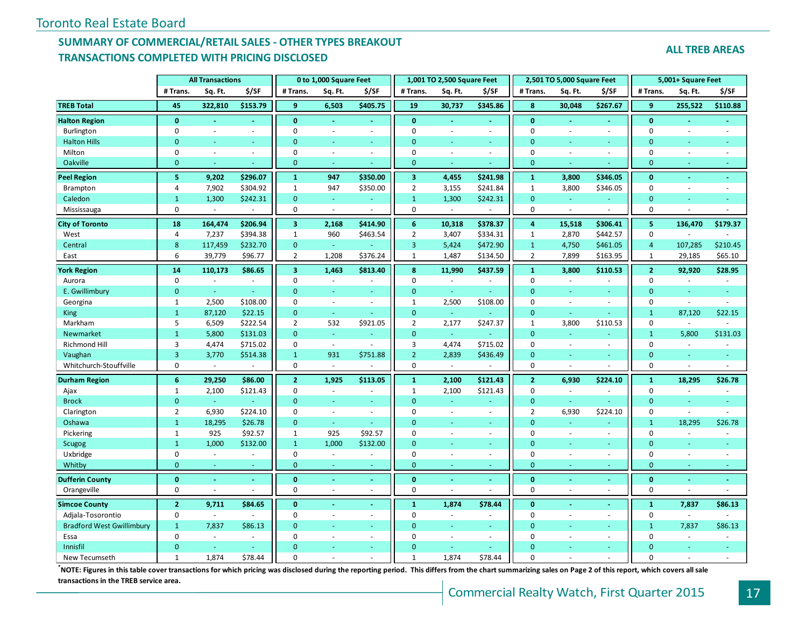# **SUMMARY OF COMMERCIAL/RETAIL SALES - OTHER TYPES BREAKOUT TRANSACTIONS COMPLETED WITH PRICING DISCLOSED**

**ALL TREB AREAS**

|                                  |                | <b>All Transactions</b> |                |                         | 0 to 1,000 Square Feet   |                |                         | 1,001 TO 2,500 Square Feet |          |                | 2,501 TO 5,000 Square Feet |                          |                | 5,001+ Square Feet       |                |
|----------------------------------|----------------|-------------------------|----------------|-------------------------|--------------------------|----------------|-------------------------|----------------------------|----------|----------------|----------------------------|--------------------------|----------------|--------------------------|----------------|
|                                  | # Trans.       | Sq. Ft.                 | \$/SF          | # Trans.                | Sq. Ft.                  | \$/SF          | # Trans.                | Sq. Ft.                    | \$/SF    | # Trans.       | Sq. Ft.                    | \$/SF                    | # Trans.       | Sq. Ft.                  | \$/SF          |
| <b>TREB Total</b>                | 45             | 322,810                 | \$153.79       | 9                       | 6,503                    | \$405.75       | 19                      | 30,737                     | \$345.86 | 8              | 30,048                     | \$267.67                 | 9              | 255,522                  | \$110.88       |
| <b>Halton Region</b>             | $\mathbf{0}$   |                         |                | $\mathbf{0}$            | Ξ                        |                | $\mathbf{0}$            | $\blacksquare$             |          | $\mathbf{0}$   | ä,                         |                          | $\mathbf{0}$   |                          |                |
| Burlington                       | $\mathbf 0$    | $\sim$                  | $\sim$         | 0                       | $\sim$                   | $\sim$         | $\mathbf 0$             | $\sim$                     | $\sim$   | $\mathbf 0$    | ä,                         |                          | $\mathbf 0$    | $\sim$                   |                |
| <b>Halton Hills</b>              | $\Omega$       |                         | $\sim$         | $\Omega$                | ÷                        | $\sim$         | $\Omega$                | ÷                          |          | $\Omega$       | ÷,                         | ٠                        | $\mathbf{0}$   | ٠                        |                |
| Milton                           | $\mathbf 0$    | ÷.                      | $\sim$         | $\mathbf 0$             | $\sim$                   | $\sim$         | $\mathbf 0$             | ÷,                         | $\sim$   | $\mathbf 0$    | ÷,                         | ÷.                       | $\mathbf 0$    | ÷,                       | ÷.             |
| Oakville                         | $\mathbf{0}$   | ÷.                      |                | $\mathbf{0}$            | ÷                        |                | $\mathbf 0$             | ÷                          |          | $\mathbf{0}$   | ä,                         |                          | $\mathbf{0}$   | ٠                        | $\blacksquare$ |
| <b>Peel Region</b>               | 5              | 9,202                   | \$296.07       | $\mathbf{1}$            | 947                      | \$350.00       | $\overline{\mathbf{3}}$ | 4,455                      | \$241.98 | $\mathbf{1}$   | 3,800                      | \$346.05                 | $\mathbf{0}$   | $\omega$                 | $\omega$       |
| Brampton                         | 4              | 7,902                   | \$304.92       | $\mathbf{1}$            | 947                      | \$350.00       | $\overline{2}$          | 3,155                      | \$241.84 | $\mathbf{1}$   | 3,800                      | \$346.05                 | $\mathbf 0$    | $\sim$                   | $\sim$         |
| Caledon                          | $\mathbf{1}$   | 1,300                   | \$242.31       | $\mathbf{0}$            | ÷                        |                | $\mathbf{1}$            | 1,300                      | \$242.31 | $\overline{0}$ | $\omega$                   |                          | $\mathbf{0}$   | ÷                        |                |
| Mississauga                      | $\mathbf 0$    | $\omega$                |                | 0                       | ÷.                       |                | $\pmb{0}$               |                            |          | $\mathbf 0$    | ÷,                         |                          | 0              |                          |                |
| <b>City of Toronto</b>           | 18             | 164,474                 | \$206.94       | $\overline{\mathbf{3}}$ | 2,168                    | \$414.90       | $6\phantom{1}$          | 10,318                     | \$378.37 | $\overline{a}$ | 15,518                     | \$306.41                 | 5              | 136,470                  | \$179.37       |
| West                             | 4              | 7,237                   | \$394.38       | $\mathbf{1}$            | 960                      | \$463.54       | $\overline{2}$          | 3,407                      | \$334.31 | $\mathbf{1}$   | 2,870                      | \$442.57                 | $\mathbf 0$    |                          |                |
| Central                          | $\bf 8$        | 117,459                 | \$232.70       | $\mathbf{0}$            | a.                       |                | $\overline{3}$          | 5,424                      | \$472.90 | $\mathbf{1}$   | 4,750                      | \$461.05                 | $\overline{4}$ | 107,285                  | \$210.45       |
| East                             | 6              | 39,779                  | \$96.77        | $\overline{2}$          | 1,208                    | \$376.24       | $\mathbf{1}$            | 1,487                      | \$134.50 | $\overline{2}$ | 7,899                      | \$163.95                 | $\mathbf{1}$   | 29,185                   | \$65.10        |
| <b>York Region</b>               | 14             | 110,173                 | \$86.65        | $\overline{\mathbf{3}}$ | 1,463                    | \$813.40       | 8                       | 11,990                     | \$437.59 | $\mathbf{1}$   | 3,800                      | \$110.53                 | 2 <sup>1</sup> | 92,920                   | \$28.95        |
| Aurora                           | $\mathbf 0$    |                         | $\overline{a}$ | $\mathbf 0$             | $\sim$                   |                | $\mathbf 0$             |                            |          | $\Omega$       | ÷,                         |                          | $\mathbf 0$    |                          |                |
| E. Gwillimbury                   | $\mathbf{0}$   | $\omega$                |                | $\mathbf{0}$            | $\equiv$                 | $\omega$       | $\mathbf{0}$            | $\omega$                   |          | $\Omega$       | ÷,                         |                          | $\mathbf{0}$   | $\blacksquare$           | ÷              |
| Georgina                         | $\mathbf{1}$   | 2,500                   | \$108.00       | $\mathbf 0$             | $\sim$                   | $\blacksquare$ | $\mathbf{1}$            | 2,500                      | \$108.00 | $\mathbf 0$    | L.                         | $\overline{\phantom{a}}$ | $\mathbf 0$    | $\sim$                   | $\sim$         |
| <b>King</b>                      | $\mathbf{1}$   | 87,120                  | \$22.15        | $\mathbf{0}$            | ÷                        |                | $\mathbf{0}$            |                            |          | $\overline{0}$ |                            |                          | $\mathbf{1}$   | 87,120                   | \$22.15        |
| Markham                          | 5              | 6,509                   | \$222.54       | $\overline{2}$          | 532                      | \$921.05       | $\overline{2}$          | 2,177                      | \$247.37 | $\mathbf{1}$   | 3,800                      | \$110.53                 | $\mathbf 0$    | $\overline{\phantom{a}}$ |                |
| Newmarket                        | $\mathbf{1}$   | 5,800                   | \$131.03       | $\mathbf{0}$            | Ξ                        | $\omega$       | $\mathbf{0}$            | $\omega$                   |          | $\overline{0}$ | ä,                         |                          | $\mathbf{1}$   | 5,800                    | \$131.03       |
| Richmond Hill                    | 3              | 4,474                   | \$715.02       | $\mathbf 0$             | $\omega$                 | $\sim$         | $\overline{3}$          | 4,474                      | \$715.02 | $\mathbf 0$    | ÷,                         | $\overline{\phantom{a}}$ | $\mathbf 0$    | $\sim$                   | $\sim$         |
| Vaughan                          | 3              | 3,770                   | \$514.38       | $\mathbf{1}$            | 931                      | \$751.88       | $\overline{2}$          | 2,839                      | \$436.49 | $\mathbf{0}$   | ä,                         |                          | $\mathbf{0}$   |                          |                |
| Whitchurch-Stouffville           | $\mathbf 0$    | $\omega$                |                | $\mathbf 0$             | $\sim$                   |                | $\mathbf 0$             | $\overline{\phantom{a}}$   |          | $\mathbf 0$    | $\overline{a}$             |                          | $\mathbf 0$    | $\overline{\phantom{a}}$ | $\sim$         |
| <b>Durham Region</b>             | $6\phantom{a}$ | 29,250                  | \$86.00        | $\overline{2}$          | 1,925                    | \$113.05       | $\mathbf{1}$            | 2,100                      | \$121.43 | $\overline{2}$ | 6,930                      | \$224.10                 | $\mathbf{1}$   | 18,295                   | \$26.78        |
| Ajax                             | $\mathbf{1}$   | 2,100                   | \$121.43       | $\mathbf 0$             | $\sim$                   |                | $\mathbf{1}$            | 2,100                      | \$121.43 | $\mathbf 0$    | $\sim$                     |                          | $\mathbf 0$    | $\overline{\phantom{a}}$ | $\sim$         |
| <b>Brock</b>                     | $\overline{0}$ | G.                      |                | $\Omega$                | ÷                        | ÷              | $\overline{0}$          | ä,                         |          | $\Omega$       | u.                         |                          | $\mathbf{0}$   | ÷                        |                |
| Clarington                       | $\overline{2}$ | 6,930                   | \$224.10       | $\mathbf 0$             | $\bar{a}$                | $\blacksquare$ | $\mathbf 0$             | $\sim$                     | $\sim$   | $\overline{2}$ | 6,930                      | \$224.10                 | $\mathbf 0$    | $\sim$                   |                |
| Oshawa                           | $\mathbf{1}$   | 18,295                  | \$26.78        | $\mathbf{0}$            | ÷                        | $\omega$       | $\overline{0}$          | ÷,                         | ÷        | $\Omega$       | u,                         | i.                       | $\mathbf{1}$   | 18,295                   | \$26.78        |
| Pickering                        | $\mathbf{1}$   | 925                     | \$92.57        | 1                       | 925                      | \$92.57        | $\mathbf 0$             | $\sim$                     | $\sim$   | $\mathbf 0$    | ä,                         | $\sim$                   | $\mathbf 0$    | $\sim$                   | $\sim$         |
| <b>Scugog</b>                    | $\mathbf{1}$   | 1,000                   | \$132.00       | $\mathbf{1}$            | 1,000                    | \$132.00       | $\Omega$                | u,                         |          | $\Omega$       | ä,                         |                          | $\overline{0}$ |                          |                |
| Uxbridge                         | $\mathbf 0$    | $\omega$                | $\omega$       | $\mathbf 0$             | $\overline{\phantom{a}}$ | $\omega$       | $\mathbf 0$             | ÷,                         | $\sim$   | $\mathbf 0$    | ÷,                         | $\sim$                   | $\mathbf 0$    | $\sim$                   | $\sim$         |
| Whitby                           | $\mathbf{0}$   | ÷.                      | ÷              | $\mathbf{0}$            | ÷                        | $\sim$         | $\mathbf{0}$            | ÷                          |          | $\mathbf{0}$   | ä,                         | $\sim$                   | $\mathbf{0}$   | $\sim$                   | ÷              |
| <b>Dufferin County</b>           | $\mathbf{0}$   | ä,                      |                | $\mathbf{0}$            | ä,                       |                | $\mathbf{0}$            | ä,                         |          | $\mathbf{0}$   | L,                         |                          | $\mathbf{0}$   | $\omega$                 | $\omega$       |
| Orangeville                      | $\mathbf 0$    | $\sim$                  |                | $\mathbf 0$             | $\sim$                   | $\sim$         | $\mathbf 0$             |                            |          | $\mathbf 0$    |                            | $\sim$                   | $\mathbf 0$    |                          |                |
| <b>Simcoe County</b>             | $\overline{2}$ | 9,711                   | \$84.65        | $\mathbf{0}$            |                          |                | $\mathbf{1}$            | 1,874                      | \$78.44  | $\mathbf{0}$   |                            |                          | $\mathbf{1}$   | 7,837                    | \$86.13        |
| Adjala-Tosorontio                | $\pmb{0}$      | $\omega$                |                | $\mathbf 0$             | $\sim$                   | $\sim$         | $\mathbf 0$             |                            |          | $\mathbf 0$    | ä,                         | $\sim$                   | $\mathbf 0$    | $\overline{\phantom{a}}$ |                |
| <b>Bradford West Gwillimbury</b> | $\mathbf{1}$   | 7,837                   | \$86.13        | $\mathbf{0}$            | $\equiv$                 | $\omega$       | $\mathbf{0}$            | ä,                         | $\sim$   | $\mathbf{0}$   | ä,                         | $\sim$                   | $\mathbf{1}$   | 7,837                    | \$86.13        |
| Essa                             | $\mathbf 0$    | $\sim$                  | ÷.             | $\mathbf 0$             | $\bar{a}$                | $\blacksquare$ | $\mathbf 0$             | ÷,                         | $\sim$   | $\Omega$       | ÷,                         | $\sim$                   | $\mathbf 0$    | $\sim$                   |                |
| Innisfil                         | $\Omega$       |                         |                | $\Omega$                |                          |                | $\Omega$                |                            |          | $\Omega$       |                            |                          | $\Omega$       |                          |                |
| New Tecumseth                    | $\mathbf{1}$   | 1,874                   | \$78.44        | $\Omega$                |                          |                | $\mathbf{1}$            | 1,874                      | \$78.44  | $\Omega$       |                            |                          | $\Omega$       |                          |                |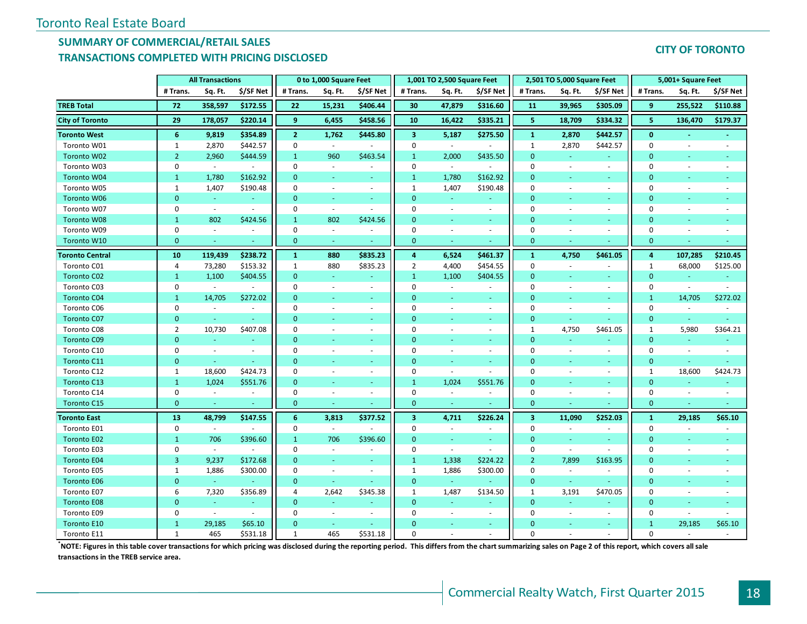## **SUMMARY OF COMMERCIAL/RETAIL SALES TRANSACTIONS COMPLETED WITH PRICING DISCLOSED**

#### **CITY OF TORONTO**

|                        |                | <b>All Transactions</b> |                             |                | 0 to 1,000 Square Feet      |                          |                         | 1,001 TO 2,500 Square Feet |                          |                         | 2,501 TO 5,000 Square Feet |                          |              | 5,001+ Square Feet       |                          |
|------------------------|----------------|-------------------------|-----------------------------|----------------|-----------------------------|--------------------------|-------------------------|----------------------------|--------------------------|-------------------------|----------------------------|--------------------------|--------------|--------------------------|--------------------------|
|                        | # Trans.       | Sq. Ft.                 | \$/SF Net                   | # Trans.       | Sq. Ft.                     | \$/SF Net                | # Trans.                | Sq. Ft.                    | \$/SF Net                | # Trans.                | Sq. Ft.                    | \$/SF Net                | # Trans.     | Sq. Ft.                  | \$/SF Net                |
| <b>TREB Total</b>      | 72             | 358,597                 | \$172.55                    | 22             | 15,231                      | \$406.44                 | 30                      | 47,879                     | \$316.60                 | 11                      | 39,965                     | \$305.09                 | 9            | 255,522                  | \$110.88                 |
| <b>City of Toronto</b> | 29             | 178,057                 | \$220.14                    | 9              | 6,455                       | \$458.56                 | 10                      | 16,422                     | \$335.21                 | 5                       | 18,709                     | \$334.32                 | 5            | 136,470                  | \$179.37                 |
| <b>Toronto West</b>    | 6              | 9,819                   | \$354.89                    | $\overline{2}$ | 1,762                       | \$445.80                 | $\overline{\mathbf{3}}$ | 5,187                      | \$275.50                 | $\mathbf{1}$            | 2,870                      | \$442.57                 | $\mathbf{0}$ |                          |                          |
| Toronto W01            | 1              | 2,870                   | \$442.57                    | $\mathbf 0$    | $\blacksquare$              |                          | $\mathbf 0$             | $\sim$                     |                          | 1                       | 2,870                      | \$442.57                 | $\mathbf{0}$ | $\sim$                   |                          |
| Toronto W02            | $\overline{2}$ | 2,960                   | \$444.59                    | $\mathbf{1}$   | 960                         | \$463.54                 | $\mathbf{1}$            | 2,000                      | \$435.50                 | $\mathbf{0}$            | $\omega$                   | $\omega$                 | $\mathbf{0}$ | $\omega$                 |                          |
| Toronto W03            | $\pmb{0}$      | $\sim$                  | $\sim$                      | $\mathbf 0$    | $\sim$                      | $\sim$                   | $\mathbf 0$             | $\sim$                     | $\sim$                   | $\mathbf 0$             | $\overline{a}$             | $\sim$                   | $\mathbf{0}$ | $\sim$                   | $\sim$                   |
| Toronto W04            | $\mathbf{1}$   | 1,780                   | \$162.92                    | $\mathbf{0}$   | $\sim$                      | ÷                        | $\mathbf{1}$            | 1,780                      | \$162.92                 | $\mathbf{0}$            |                            | $\sim$                   | $\mathbf{0}$ | u,                       |                          |
| Toronto W05            | $\mathbf{1}$   | 1,407                   | \$190.48                    | $\mathbf 0$    | $\omega$                    | $\omega$                 | $\mathbf{1}$            | 1,407                      | \$190.48                 | 0                       | $\sim$                     | $\sim$                   | $\mathbf 0$  | $\overline{\phantom{a}}$ |                          |
| <b>Toronto W06</b>     | $\mathbf{0}$   | $\sim$                  |                             | $\mathbf{0}$   |                             | u                        | $\overline{0}$          |                            |                          | $\mathbf{0}$            |                            |                          | $\mathbf{0}$ |                          |                          |
| Toronto W07            | $\mathbf 0$    | $\omega$                |                             | $\mathbf 0$    | $\blacksquare$              | $\sim$                   | $\Omega$                | $\sim$                     | $\sim$                   | 0                       |                            | $\overline{\phantom{a}}$ | $\Omega$     |                          |                          |
| Toronto W08            | $\mathbf{1}$   | 802                     | \$424.56                    | $\mathbf{1}$   | 802                         | \$424.56                 | $\overline{0}$          |                            | ÷.                       | $\mathbf{0}$            |                            |                          | $\mathbf{0}$ |                          |                          |
| Toronto W09            | $\mathbf 0$    | $\omega$                | $\mathcal{L}_{\mathcal{A}}$ | $\mathbf 0$    | $\mathcal{L}_{\mathcal{A}}$ | $\sim$                   | $\mathbf 0$             | $\sim$                     | $\sim$                   | $\mathbf 0$             |                            | $\sim$                   | $\mathbf{0}$ | ÷,                       |                          |
| Toronto W10            | $\mathbf{0}$   | ä,                      |                             | $\mathbf{0}$   | $\sim$                      |                          | $\mathbf 0$             | $\sim$                     |                          | $\mathbf{0}$            |                            |                          | $\mathbf{0}$ |                          |                          |
| <b>Toronto Central</b> | 10             | 119,439                 | \$238.72                    | $\mathbf{1}$   | 880                         | \$835.23                 | $\overline{4}$          | 6,524                      | \$461.37                 | $\mathbf{1}$            | 4,750                      | \$461.05                 | 4            | 107,285                  | \$210.45                 |
| Toronto C01            | 4              | 73,280                  | \$153.32                    | $\mathbf{1}$   | 880                         | \$835.23                 | $\overline{2}$          | 4,400                      | \$454.55                 | $\mathbf 0$             | $\overline{\phantom{a}}$   | $\sim$                   | 1            | 68,000                   | \$125.00                 |
| <b>Toronto C02</b>     | $\mathbf{1}$   | 1,100                   | \$404.55                    | $\mathbf{0}$   | ÷                           |                          | $\mathbf{1}$            | 1,100                      | \$404.55                 | $\Omega$                |                            |                          | $\mathbf{0}$ | ä,                       |                          |
| Toronto C03            | 0              | $\omega$                | $\sim$                      | $\mathbf 0$    | $\blacksquare$              | $\overline{\phantom{a}}$ | $\mathbf 0$             | $\blacksquare$             | $\overline{\phantom{a}}$ | $\mathbf 0$             | $\sim$                     | $\overline{\phantom{a}}$ | $\mathbf 0$  | $\overline{\phantom{a}}$ |                          |
| <b>Toronto C04</b>     | $\mathbf{1}$   | 14,705                  | \$272.02                    | $\Omega$       |                             | u                        | $\Omega$                |                            | ÷.                       | $\Omega$                |                            |                          | $\mathbf{1}$ | 14,705                   | \$272.02                 |
| Toronto C06            | $\mathbf 0$    | $\sim$                  | $\sim$                      | $\mathbf 0$    | $\overline{\phantom{a}}$    | $\overline{\phantom{a}}$ | $\Omega$                |                            | $\overline{\phantom{a}}$ | 0                       |                            | $\overline{\phantom{a}}$ | $\pmb{0}$    | $\overline{\phantom{a}}$ |                          |
| <b>Toronto C07</b>     | $\mathbf{0}$   | $\omega$                |                             | $\mathbf{0}$   |                             | ٠                        | $\Omega$                |                            | ÷.                       | $\overline{0}$          |                            |                          | $\mathbf{0}$ | $\sim$                   |                          |
| Toronto C08            | $\overline{2}$ | 10,730                  | \$407.08                    | $\mathbf 0$    | $\bar{a}$                   | $\overline{\phantom{a}}$ | $\Omega$                | $\sim$                     | $\Box$                   | $\mathbf{1}$            | 4,750                      | \$461.05                 | $\mathbf{1}$ | 5,980                    | \$364.21                 |
| <b>Toronto C09</b>     | $\overline{0}$ | $\omega$                |                             | $\mathbf{0}$   | ٠                           | $\sim$                   | $\Omega$                |                            | $\equiv$                 | $\mathbf{0}$            |                            |                          | $\mathbf{0}$ | $\omega$                 |                          |
| Toronto C10            | $\pmb{0}$      | ÷,                      | $\overline{\phantom{a}}$    | $\mathbf 0$    | $\overline{\phantom{a}}$    | $\omega$                 | $\Omega$                |                            | $\overline{\phantom{a}}$ | 0                       | $\sim$                     | $\blacksquare$           | $\mathbf 0$  | $\bar{z}$                | $\overline{\phantom{a}}$ |
| <b>Toronto C11</b>     | $\mathbf{0}$   | $\omega$                |                             | $\mathbf{0}$   |                             | $\blacksquare$           | $\overline{0}$          |                            | $\sim$                   | $\mathbf{0}$            |                            | $\sim$                   | $\mathbf{0}$ | $\omega$                 |                          |
| Toronto C12            | 1              | 18,600                  | \$424.73                    | $\mathbf 0$    | ÷.                          | $\sim$                   | $\mathbf 0$             | $\sim$                     | $\mathcal{L}$            | 0                       | $\sim$                     | $\sim$                   | $\mathbf{1}$ | 18,600                   | \$424.73                 |
| Toronto C13            | $\mathbf{1}$   | 1,024                   | \$551.76                    | $\mathbf{0}$   | ٠                           | ÷                        | $\mathbf{1}$            | 1,024                      | \$551.76                 | $\mathbf{0}$            |                            | $\sim$                   | $\mathbf{0}$ | u,                       |                          |
| Toronto C14            | $\mathbf 0$    | $\sim$                  | $\sim$                      | $\mathbf 0$    | $\sim$                      | $\sim$                   | $\mathbf 0$             | $\sim$                     | $\sim$                   | $\mathbf 0$             | $\sim$                     | $\sim$                   | $\pmb{0}$    | $\sim$                   | $\sim$                   |
| Toronto C15            | $\mathbf{0}$   | $\sim$                  |                             | $\mathbf{0}$   |                             |                          | $\mathbf{0}$            |                            |                          | $\mathbf 0$             |                            |                          | $\mathbf{0}$ |                          |                          |
| <b>Toronto East</b>    | 13             | 48,799                  | \$147.55                    | 6              | 3,813                       | \$377.52                 | $\overline{\mathbf{3}}$ | 4,711                      | \$226.24                 | $\overline{\mathbf{3}}$ | 11,090                     | \$252.03                 | $\mathbf{1}$ | 29,185                   | \$65.10                  |
| Toronto E01            | 0              | $\sim$                  |                             | $\mathbf{0}$   | $\overline{\phantom{a}}$    | ÷.                       | 0                       | $\sim$                     | $\overline{\phantom{a}}$ | $\mathbf 0$             |                            |                          | 0            | ÷.                       |                          |
| <b>Toronto E02</b>     | $\mathbf{1}$   | 706                     | \$396.60                    | $\mathbf{1}$   | 706                         | \$396.60                 | $\mathbf{0}$            | $\omega$                   | ÷.                       | $\overline{0}$          |                            | $\sim$                   | $\mathbf{0}$ | $\omega$                 |                          |
| Toronto E03            | 0              | $\omega$                |                             | $\mathbf 0$    | $\overline{\phantom{a}}$    | $\sim$                   | $\mathbf 0$             | $\blacksquare$             | $\sim$                   | 0                       | $\sim$                     | $\sim$                   | $\mathbf{0}$ | $\sim$                   |                          |
| <b>Toronto E04</b>     | 3              | 9,237                   | \$172.68                    | $\mathbf{0}$   | ÷                           | $\omega$                 | $\mathbf{1}$            | 1,338                      | \$224.22                 | $\overline{2}$          | 7,899                      | \$163.95                 | $\mathbf{0}$ | u,                       |                          |
| Toronto E05            | 1              | 1,886                   | \$300.00                    | $\mathbf 0$    | $\sim$                      | $\overline{\phantom{a}}$ | 1                       | 1,886                      | \$300.00                 | 0                       | $\overline{\phantom{a}}$   | $\overline{\phantom{a}}$ | $\mathbf{0}$ | $\overline{\phantom{a}}$ |                          |
| <b>Toronto E06</b>     | $\overline{0}$ | ÷.                      |                             | $\mathbf{0}$   | ÷.                          |                          | $\overline{0}$          | $\omega_{\rm c}$           |                          | $\mathbf{0}$            | $\omega$                   |                          | $\mathbf{0}$ | ÷                        |                          |
| Toronto E07            | 6              | 7,320                   | \$356.89                    | $\overline{4}$ | 2,642                       | \$345.38                 | $\mathbf{1}$            | 1,487                      | \$134.50                 | $\mathbf{1}$            | 3,191                      | \$470.05                 | $\pmb{0}$    | $\overline{\phantom{a}}$ | $\overline{\phantom{a}}$ |
| <b>Toronto E08</b>     | $\mathbf{0}$   | G.                      |                             | $\mathbf{0}$   | $\sim$                      | ÷                        | $\overline{0}$          | ÷.                         | ÷                        | $\mathbf{0}$            |                            | ٠                        | $\mathbf{0}$ | ÷                        |                          |
| Toronto E09            | $\mathbf 0$    | $\omega$                | $\overline{\phantom{a}}$    | $\mathbf 0$    | $\sim$                      | $\sim$                   | $\Omega$                |                            | $\sim$                   | 0                       | $\sim$                     | $\overline{\phantom{a}}$ | $\mathbf 0$  | ÷,                       |                          |
| <b>Toronto E10</b>     | $\mathbf{1}$   | 29,185                  | \$65.10                     | $\mathbf{0}$   | $\sim$                      | ÷                        | $\Omega$                |                            | ÷.                       | $\Omega$                |                            | $\sim$                   | $\mathbf{1}$ | 29,185                   | \$65.10                  |
| Toronto E11            | $\mathbf{1}$   | 465                     | \$531.18                    | $\mathbf{1}$   | 465                         | \$531.18                 | $\Omega$                |                            |                          | $\Omega$                |                            |                          | $\Omega$     | ÷.                       |                          |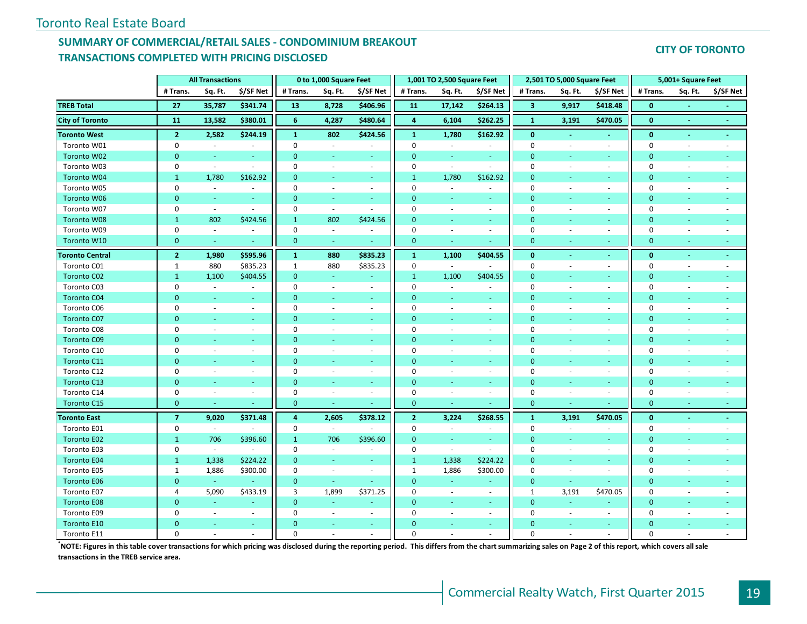# **SUMMARY OF COMMERCIAL/RETAIL SALES - CONDOMINIUM BREAKOUT TRANSACTIONS COMPLETED WITH PRICING DISCLOSED**

#### **CITY OF TORONTO**

|                        |                | <b>All Transactions</b> |                          |              | 0 to 1,000 Square Feet   |                          |                | 1,001 TO 2,500 Square Feet |                  |                         | 2,501 TO 5,000 Square Feet |                          |              | 5,001+ Square Feet       |           |
|------------------------|----------------|-------------------------|--------------------------|--------------|--------------------------|--------------------------|----------------|----------------------------|------------------|-------------------------|----------------------------|--------------------------|--------------|--------------------------|-----------|
|                        | # Trans.       | Sq. Ft.                 | \$/SF Net                | # Trans.     | Sq. Ft.                  | \$/SF Net                | # Trans.       | Sq. Ft.                    | \$/SF Net        | # Trans.                | Sq. Ft.                    | \$/SF Net                | # Trans.     | Sq. Ft.                  | \$/SF Net |
| <b>TREB Total</b>      | 27             | 35,787                  | \$341.74                 | 13           | 8,728                    | \$406.96                 | 11             | 17,142                     | \$264.13         | $\overline{\mathbf{3}}$ | 9,917                      | \$418.48                 | $\mathbf{0}$ |                          |           |
| <b>City of Toronto</b> | 11             | 13,582                  | \$380.01                 | 6            | 4,287                    | \$480.64                 | $\overline{a}$ | 6,104                      | \$262.25         | $\mathbf{1}$            | 3,191                      | \$470.05                 | $\bf{0}$     | $\sim$                   | $\sim$    |
| <b>Toronto West</b>    | 2 <sup>1</sup> | 2,582                   | \$244.19                 | $\mathbf{1}$ | 802                      | \$424.56                 | $\mathbf{1}$   | 1,780                      | \$162.92         | $\bf{0}$                | $\blacksquare$             |                          | $\bf{0}$     | $\blacksquare$           | $\sim$    |
| Toronto W01            | $\mathbf 0$    | $\sim$                  | $\sim$                   | $\Omega$     | $\omega$                 | $\overline{a}$           | $\mathbf 0$    | $\sim$                     | $\sim$           | $\mathbf{0}$            | $\sim$                     | ÷.                       | $\mathbf{0}$ | $\sim$                   |           |
| Toronto W02            | $\mathbf{0}$   | $\sim$                  | $\sim$                   | $\mathbf{0}$ | ÷.                       | $\omega$                 | $\mathbf{0}$   | $\omega_{\rm c}$           | $\omega_{\rm c}$ | $\mathbf{0}$            | ÷                          | ÷.                       | $\mathbf{0}$ | ä,                       |           |
| Toronto W03            | 0              | $\sim$                  | $\overline{\phantom{a}}$ | $\Omega$     | $\overline{\phantom{a}}$ | $\sim$                   | 0              | $\sim$                     | $\sim$           | $\pmb{0}$               | $\overline{\phantom{a}}$   | $\sim$                   | $\mathbf 0$  | ٠                        |           |
| Toronto W04            | $\mathbf{1}$   | 1,780                   | \$162.92                 | $\Omega$     |                          | ÷                        | $\mathbf{1}$   | 1,780                      | \$162.92         | $\Omega$                |                            |                          | $\mathbf{0}$ |                          |           |
| Toronto W05            | $\mathbf 0$    | $\omega$                | $\sim$                   | $\mathbf 0$  | $\sim$                   | $\overline{\phantom{a}}$ | $\mathbf 0$    | $\overline{\phantom{a}}$   | ÷.               | $\mathbf 0$             |                            | $\sim$                   | $\mathbf{0}$ |                          |           |
| Toronto W06            | $\mathbf{0}$   | $\omega$                | $\omega$                 | $\mathbf{0}$ | ÷.                       | ÷.                       | $\mathbf{0}$   | $\omega$                   | ÷.               | $\mathbf{0}$            |                            | ÷.                       | $\mathbf{0}$ | ÷                        |           |
| Toronto W07            | 0              | $\omega$                | $\sim$                   | $\mathbf 0$  | $\sim$                   | $\sim$                   | $\mathbf 0$    | $\sim$                     | $\omega$         | $\pmb{0}$               |                            | $\overline{\phantom{a}}$ | $\mathbf 0$  | ÷,                       |           |
| Toronto W08            | $\mathbf{1}$   | 802                     | \$424.56                 | $\mathbf{1}$ | 802                      | \$424.56                 | $\mathbf{0}$   | $\omega$                   | $\omega$ .       | $\mathbf{0}$            |                            | $\sim$                   | $\mathbf{0}$ | ÷                        |           |
| Toronto W09            | $\mathbf 0$    | $\sim$                  | $\sim$                   | $\mathbf 0$  | $\sim$                   | $\blacksquare$           | $\mathbf 0$    | ÷                          | $\sim$           | $\mathbf 0$             |                            | ÷.                       | $\mathbf 0$  |                          |           |
| Toronto W10            | $\mathbf{0}$   | $\sim$                  |                          | $\mathbf{0}$ | $\equiv$                 |                          | $\pmb{0}$      | $\omega$                   | $\sim$           | $\mathbf{0}$            |                            | $\sim$                   | $\mathbf{0}$ | $\sim$                   |           |
| <b>Toronto Central</b> | 2 <sup>1</sup> | 1,980                   | \$595.96                 | $\mathbf{1}$ | 880                      | \$835.23                 | $\mathbf{1}$   | 1,100                      | \$404.55         | $\bf{0}$                |                            | ÷.                       | $\bf{0}$     |                          |           |
| Toronto C01            | $\mathbf{1}$   | 880                     | \$835.23                 | $\mathbf{1}$ | 880                      | \$835.23                 | $\pmb{0}$      | $\sim$                     |                  | $\mathbf 0$             |                            | $\blacksquare$           | $\pmb{0}$    |                          |           |
| <b>Toronto C02</b>     | $\mathbf{1}$   | 1,100                   | \$404.55                 | $\mathbf{0}$ | ÷.                       |                          | $\mathbf{1}$   | 1,100                      | \$404.55         | $\mathbf{0}$            |                            | ٠                        | $\mathbf{0}$ |                          |           |
| Toronto C03            | $\mathbf 0$    | $\omega$                | $\blacksquare$           | $\mathbf 0$  | $\sim$                   | $\blacksquare$           | $\mathbf 0$    | $\sim$                     | $\omega$         | $\mathbf 0$             |                            | $\blacksquare$           | $\mathbf 0$  |                          |           |
| <b>Toronto C04</b>     | $\mathbf{0}$   | ÷.                      | $\omega$                 | $\mathbf{0}$ | ٠                        | $\omega$                 | $\mathbf{0}$   | ÷                          | ÷.               | $\mathbf{0}$            |                            | ٠                        | $\mathbf{0}$ | ÷,                       |           |
| Toronto C06            | $\mathbf 0$    | $\sim$                  | $\omega$                 | $\mathbf 0$  | ä,                       | $\sim$                   | $\mathbf 0$    | $\sim$                     | $\sim$           | $\mathbf{0}$            |                            | ÷.                       | $\mathbf 0$  | $\sim$                   |           |
| <b>Toronto C07</b>     | $\mathbf{0}$   | $\omega$                | $\omega$                 | $\mathbf{0}$ | $\equiv$                 | $\omega$                 | $\overline{0}$ | $\omega$                   | ÷.               | $\mathbf{0}$            | $\blacksquare$             | $\omega$                 | $\mathbf{0}$ | Ξ                        |           |
| Toronto C08            | 0              | $\sim$                  | ÷.                       | 0            | ä,                       | $\blacksquare$           | 0              | $\sim$                     | $\omega$         | 0                       |                            | $\overline{\phantom{a}}$ | $\mathbf 0$  | $\sim$                   |           |
| <b>Toronto C09</b>     | $\mathbf{0}$   | $\omega$                | $\sim$                   | $\mathbf{0}$ | $\equiv$                 | $\omega$                 | $\overline{0}$ | ÷                          | $\omega$ .       | $\mathbf{0}$            |                            | ÷.                       | $\mathbf{0}$ | $\omega$                 |           |
| Toronto C10            | $\mathbf 0$    | $\sim$                  | $\omega$                 | $\mathbf 0$  | ÷.                       | $\sim$                   | $\mathbf 0$    | $\overline{\phantom{a}}$   | $\sim$           | $\mathbf 0$             | $\overline{\phantom{a}}$   | $\overline{\phantom{a}}$ | $\mathbf{0}$ | ÷.                       |           |
| Toronto C11            | $\mathbf{0}$   | ÷                       | $\sim$                   | $\mathbf{0}$ | ÷.                       | $\sim$                   | $\overline{0}$ | $\sim$                     | $\omega_{\rm c}$ | $\mathbf{0}$            | $\sim$                     | ÷.                       | $\mathbf{0}$ | u,                       |           |
| Toronto C12            | $\Omega$       | $\omega$                | $\sim$                   | $\Omega$     | ÷.                       | $\sim$                   | 0              | $\sim$                     | $\sim$           | 0                       | $\sim$                     | $\sim$                   | $\mathbf 0$  | ÷.                       |           |
| <b>Toronto C13</b>     | $\mathbf{0}$   |                         |                          | $\Omega$     |                          | ÷                        | $\overline{0}$ |                            |                  | $\mathbf{0}$            |                            | ٠                        | $\mathbf{0}$ |                          |           |
| Toronto C14            | $\mathbf 0$    | $\blacksquare$          | $\blacksquare$           | $\mathbf 0$  | $\overline{\phantom{a}}$ | $\sim$                   | $\mathbf 0$    | $\overline{\phantom{a}}$   | $\blacksquare$   | $\pmb{0}$               | ÷.                         | $\sim$                   | $\pmb{0}$    | $\overline{\phantom{a}}$ |           |
| Toronto C15            | $\mathbf{0}$   | ä,                      |                          | $\mathbf{0}$ |                          | Ξ                        | $\mathbf{0}$   |                            |                  | $\mathbf{0}$            |                            |                          | $\mathbf{0}$ | ÷,                       |           |
| <b>Toronto East</b>    | $\overline{7}$ | 9,020                   | \$371.48                 | 4            | 2,605                    | \$378.12                 | $\overline{2}$ | 3,224                      | \$268.55         | $\mathbf{1}$            | 3,191                      | \$470.05                 | $\bf{0}$     | $\sim$                   | $\sim$    |
| Toronto E01            | $\mathbf 0$    | $\sim$                  | ÷.                       | $\mathbf 0$  | $\blacksquare$           | $\sim$                   | $\mathbf 0$    | $\overline{\phantom{a}}$   | $\omega$         | $\mathbf 0$             | $\sim$                     | $\blacksquare$           | $\mathbf 0$  | $\sim$                   |           |
| <b>Toronto E02</b>     | $\mathbf{1}$   | 706                     | \$396.60                 | $\mathbf{1}$ | 706                      | \$396.60                 | $\mathbf{0}$   | $\omega$                   | ÷.               | $\mathbf{0}$            |                            | ÷                        | $\mathbf{0}$ | $\omega$                 |           |
| Toronto E03            | $\mathbf 0$    | $\sim$                  | ÷.                       | $\mathbf 0$  | $\sim$                   | ÷.                       | $\mathbf 0$    | $\sim$                     | ÷.               | $\mathbf 0$             | ÷.                         | ÷.                       | $\mathbf{0}$ | $\sim$                   |           |
| <b>Toronto E04</b>     | $\mathbf{1}$   | 1,338                   | \$224.22                 | $\mathbf{0}$ | $\equiv$                 | $\sim$                   | $\mathbf{1}$   | 1,338                      | \$224.22         | $\mathbf{0}$            | ٠                          | $\sim$                   | $\mathbf{0}$ | ÷                        |           |
| Toronto E05            | 1              | 1,886                   | \$300.00                 | $\mathbf 0$  | $\sim$                   | $\blacksquare$           | $\mathbf{1}$   | 1,886                      | \$300.00         | $\mathbf{0}$            | $\sim$                     | $\blacksquare$           | $\mathbf 0$  | $\sim$                   |           |
| <b>Toronto E06</b>     | $\mathbf{0}$   | G.                      |                          | $\mathbf{0}$ | $\omega$                 | ÷                        | $\mathbf{0}$   | ÷.                         | ÷.               | $\mathbf{0}$            |                            |                          | $\mathbf{0}$ | ÷                        |           |
| Toronto E07            | 4              | 5,090                   | \$433.19                 | 3            | 1,899                    | \$371.25                 | $\mathbf 0$    | $\overline{\phantom{a}}$   | $\sim$           | $\mathbf{1}$            | 3,191                      | \$470.05                 | $\mathbf 0$  | $\overline{\phantom{a}}$ |           |
| <b>Toronto E08</b>     | $\mathbf{0}$   | G.                      |                          | $\mathbf{0}$ | ÷                        | ÷                        | $\mathbf{0}$   | ÷                          | ш.               | $\mathbf{0}$            | <b>Co</b>                  | ٠                        | $\mathbf{0}$ | ÷                        |           |
| Toronto E09            | 0              | ÷,                      |                          | $\mathbf 0$  | ÷,                       | $\blacksquare$           | $\mathbf 0$    |                            | $\omega$         | $\pmb{0}$               |                            | $\overline{\phantom{a}}$ | $\mathbf 0$  |                          |           |
| Toronto E10            | $\Omega$       |                         | $\sim$                   | $\Omega$     | ٠                        | $\omega$                 | $\Omega$       |                            | a.               | $\Omega$                |                            | ÷.                       | $\mathbf{0}$ |                          |           |
| Toronto E11            | $\Omega$       |                         |                          | $\Omega$     |                          |                          | $\Omega$       |                            |                  | $\Omega$                |                            |                          | $\Omega$     |                          |           |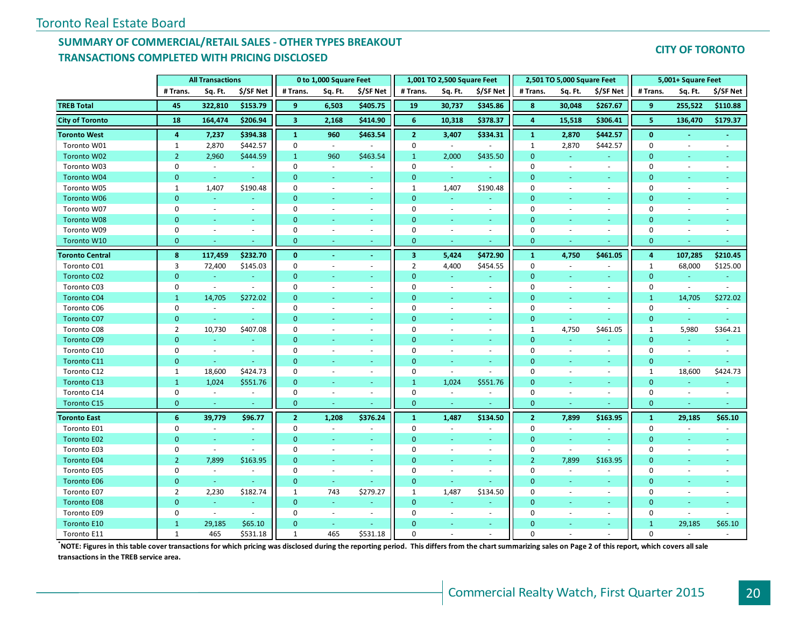# **SUMMARY OF COMMERCIAL/RETAIL SALES - OTHER TYPES BREAKOUT TRANSACTIONS COMPLETED WITH PRICING DISCLOSED**

#### **CITY OF TORONTO**

|                        |                | <b>All Transactions</b>  |                             |                         | 0 to 1,000 Square Feet      |                          |                         | 1,001 TO 2,500 Square Feet |                             |                | 2,501 TO 5,000 Square Feet |                          |              | 5,001+ Square Feet       |                          |
|------------------------|----------------|--------------------------|-----------------------------|-------------------------|-----------------------------|--------------------------|-------------------------|----------------------------|-----------------------------|----------------|----------------------------|--------------------------|--------------|--------------------------|--------------------------|
|                        | # Trans.       | Sq. Ft.                  | \$/SF Net                   | # Trans.                | Sq. Ft.                     | \$/SF Net                | # Trans.                | Sq. Ft.                    | \$/SF Net                   | # Trans.       | Sq. Ft.                    | \$/SF Net                | # Trans.     | Sq. Ft.                  | \$/SF Net                |
| <b>TREB Total</b>      | 45             | 322,810                  | \$153.79                    | 9                       | 6,503                       | \$405.75                 | 19                      | 30,737                     | \$345.86                    | 8              | 30,048                     | \$267.67                 | 9            | 255,522                  | \$110.88                 |
| <b>City of Toronto</b> | 18             | 164,474                  | \$206.94                    | $\overline{\mathbf{3}}$ | 2,168                       | \$414.90                 | $6\phantom{1}$          | 10,318                     | \$378.37                    | $\overline{4}$ | 15,518                     | \$306.41                 | 5            | 136,470                  | \$179.37                 |
| <b>Toronto West</b>    | 4              | 7,237                    | \$394.38                    | $\mathbf{1}$            | 960                         | \$463.54                 | $\overline{2}$          | 3,407                      | \$334.31                    | 1              | 2,870                      | \$442.57                 | $\mathbf{0}$ |                          |                          |
| Toronto W01            | $\mathbf{1}$   | 2,870                    | \$442.57                    | $\Omega$                | $\mathcal{L}_{\mathcal{A}}$ |                          | $\mathbf 0$             | $\omega$                   |                             | $\mathbf{1}$   | 2,870                      | \$442.57                 | $\Omega$     | $\sim$                   | ÷                        |
| Toronto W02            | $\overline{2}$ | 2,960                    | \$444.59                    | $\mathbf{1}$            | 960                         | \$463.54                 | $\mathbf{1}$            | 2,000                      | \$435.50                    | $\mathbf{0}$   | $\omega$                   | $\sim$                   | $\mathbf{0}$ | $\sim$                   |                          |
| Toronto W03            | $\mathbf 0$    | $\sim$                   | $\sim$                      | $\mathbf 0$             | $\sim$                      | $\sim$                   | $\mathbf 0$             | $\sim$                     | $\sim$                      | 0              | $\sim$                     | $\sim$                   | 0            | $\sim$                   |                          |
| Toronto W04            | $\overline{0}$ | $\omega$                 |                             | $\Omega$                |                             | ÷                        | $\mathbf{0}$            | $\omega$                   | $\sim$                      | $\overline{0}$ |                            | u                        | $\Omega$     |                          |                          |
| Toronto W05            | 1              | 1,407                    | \$190.48                    | $\mathbf 0$             | $\overline{\phantom{a}}$    | $\sim$                   | $\mathbf{1}$            | 1,407                      | \$190.48                    | $\mathbf 0$    | $\overline{\phantom{a}}$   | $\blacksquare$           | $\mathbf{0}$ | $\sim$                   |                          |
| Toronto W06            | $\overline{0}$ | ÷                        |                             | $\Omega$                | ÷                           | ÷                        | $\mathbf{0}$            | $\sim$                     |                             | $\mathbf{0}$   |                            | ÷                        | $\Omega$     |                          |                          |
| Toronto W07            | $\mathbf 0$    | $\sim$                   | $\omega$                    | $\mathbf 0$             | ä,                          | $\sim$                   | $\mathbf 0$             | $\blacksquare$             | $\overline{\phantom{a}}$    | $\mathbf 0$    |                            | $\sim$                   | $\mathbf 0$  |                          |                          |
| Toronto W08            | $\Omega$       | ÷                        |                             | $\Omega$                |                             | $\sim$                   | $\overline{0}$          | ÷                          | ÷.                          | $\overline{0}$ |                            | $\sim$                   | $\mathbf{0}$ |                          |                          |
| Toronto W09            | $\pmb{0}$      | $\bar{a}$                | $\sim$                      | $\mathbf 0$             | $\sim$                      | $\blacksquare$           | $\mathbf 0$             | $\sim$                     | $\sim$                      | $\mathbf 0$    | $\bar{a}$                  | $\sim$                   | $\mathbf 0$  |                          |                          |
| Toronto W10            | $\mathbf{0}$   | ÷                        |                             | $\mathbf{0}$            | ÷.                          | $\sim$                   | $\mathbf{0}$            |                            |                             | $\mathbf{0}$   |                            |                          | 0            |                          |                          |
| <b>Toronto Central</b> | 8              | 117,459                  | \$232.70                    | $\bf{0}$                | $\blacksquare$              | $\omega$                 | $\overline{\mathbf{3}}$ | 5,424                      | \$472.90                    | $\mathbf{1}$   | 4,750                      | \$461.05                 | 4            | 107,285                  | \$210.45                 |
| Toronto C01            | 3              | 72,400                   | \$145.03                    | $\mathbf 0$             | $\sim$                      | $\sim$                   | $\overline{2}$          | 4,400                      | \$454.55                    | $\mathbf 0$    | $\sim$                     | ÷.                       | 1            | 68,000                   | \$125.00                 |
| <b>Toronto C02</b>     | $\overline{0}$ | u,                       |                             | $\Omega$                |                             |                          | $\overline{0}$          |                            |                             | $\Omega$       |                            |                          | $\Omega$     |                          |                          |
| Toronto C03            | 0              | $\overline{\phantom{a}}$ |                             | $\mathbf 0$             | ÷,                          | $\overline{\phantom{a}}$ | $\mathbf 0$             | $\overline{\phantom{a}}$   | $\overline{\phantom{a}}$    | $\mathbf 0$    | $\overline{\phantom{a}}$   | $\overline{\phantom{a}}$ | $\mathbf 0$  | $\overline{\phantom{a}}$ |                          |
| <b>Toronto C04</b>     | $\mathbf{1}$   | 14,705                   | \$272.02                    | $\Omega$                |                             | ÷                        | $\overline{0}$          | $\sim$                     | $\omega$                    | $\Omega$       |                            | ÷                        | $\mathbf{1}$ | 14,705                   | \$272.02                 |
| Toronto C06            | $\pmb{0}$      | $\overline{\phantom{a}}$ | $\omega$                    | $\mathbf 0$             | ÷,                          | $\sim$                   | $\mathbf 0$             | $\sim$                     | $\mathcal{L}_{\mathcal{A}}$ | $\mathbf 0$    | $\sim$                     | $\omega$                 | $\mathbf 0$  |                          |                          |
| <b>Toronto C07</b>     | $\overline{0}$ | $\omega$                 |                             | $\Omega$                | ÷.                          | ÷                        | $\overline{0}$          | ÷                          | ÷.                          | $\mathbf{0}$   | ÷                          | ÷                        | 0            | $\sim$                   |                          |
| Toronto C08            | $\overline{2}$ | 10,730                   | \$407.08                    | $\mathbf 0$             | $\sim$                      | $\sim$                   | $\mathbf 0$             | $\sim$                     | $\overline{\phantom{a}}$    | $\mathbf{1}$   | 4,750                      | \$461.05                 | $\mathbf{1}$ | 5,980                    | \$364.21                 |
| <b>Toronto C09</b>     | $\overline{0}$ | $\omega_{\rm c}$         |                             | $\mathbf{0}$            | ٠                           | $\omega$                 | $\mathbf{0}$            | $\omega$                   | ÷.                          | $\mathbf 0$    | $\omega$                   | $\overline{\phantom{a}}$ | 0            | $\overline{\phantom{a}}$ |                          |
| Toronto C10            | $\mathbf 0$    | $\sim$                   | $\omega$                    | $\mathbf 0$             | ÷.                          | $\sim$                   | $\mathbf 0$             | $\sim$                     | $\sim$                      | $\mathbf{0}$   | $\sim$                     | ÷                        | $\mathbf{0}$ | $\sim$                   | $\sim$                   |
| Toronto C11            | $\mathbf{0}$   | $\sim$                   |                             | $\mathbf{0}$            | $\equiv$                    | $\sim$                   | $\mathbf{0}$            | $\sim$                     | $\sim$                      | $\mathbf{0}$   | $\blacksquare$             | $\sim$                   | 0            | $\omega$                 | ٠                        |
| Toronto C12            | 1              | 18,600                   | \$424.73                    | $\mathbf 0$             | ÷                           | $\sim$                   | $\mathbf 0$             | $\sim$                     | $\sim$                      | 0              | ÷.                         | ÷                        | 1            | 18,600                   | \$424.73                 |
| Toronto C13            | $\mathbf{1}$   | 1,024                    | \$551.76                    | $\mathbf{0}$            | ٠                           | $\blacksquare$           | $\mathbf{1}$            | 1,024                      | \$551.76                    | $\mathbf{0}$   |                            | $\omega$                 | $\mathbf{0}$ |                          |                          |
| Toronto C14            | $\mathbf 0$    | $\sim$                   | $\blacksquare$              | $\mathbf 0$             | $\sim$                      | $\overline{\phantom{a}}$ | $\mathbf 0$             | $\blacksquare$             | $\sim$                      | $\mathbf 0$    | $\overline{\phantom{a}}$   | $\blacksquare$           | $\mathbf 0$  | $\sim$                   | $\overline{\phantom{a}}$ |
| Toronto C15            | $\overline{0}$ | u,                       |                             | $\mathbf{0}$            |                             |                          | $\overline{0}$          |                            |                             | $\mathbf{0}$   |                            |                          | $\mathbf{0}$ |                          |                          |
| <b>Toronto East</b>    | 6              | 39,779                   | \$96.77                     | $\mathbf{2}$            | 1,208                       | \$376.24                 | $\mathbf{1}$            | 1,487                      | \$134.50                    | $\overline{2}$ | 7,899                      | \$163.95                 | $\mathbf{1}$ | 29,185                   | \$65.10                  |
| Toronto E01            | $\mathbf 0$    | $\sim$                   | $\sim$                      | $\mathbf 0$             | ÷.                          | $\sim$                   | $\mathbf 0$             | $\sim$                     | $\sim$                      | $\mathbf 0$    | $\overline{\phantom{a}}$   | ÷                        | $\mathbf{0}$ | $\sim$                   |                          |
| <b>Toronto E02</b>     | $\mathbf{0}$   | $\omega$                 |                             | $\mathbf{0}$            | Ξ                           | $\blacksquare$           | $\mathbf{0}$            | $\omega$                   | $\omega_{\rm c}$            | $\mathbf{0}$   | $\omega$                   | $\omega$                 | 0            |                          |                          |
| Toronto E03            | $\mathbf 0$    | $\omega$                 | ÷.                          | $\mathbf 0$             | $\sim$                      | $\sim$                   | $\mathbf 0$             | $\sim$                     | $\sim$                      | $\mathbf 0$    | $\omega$                   | ÷                        | 0            | $\sim$                   | ÷.                       |
| <b>Toronto E04</b>     | $\overline{2}$ | 7,899                    | \$163.95                    | $\mathbf{0}$            | ÷.                          | $\omega$                 | $\mathbf{0}$            | ÷                          | $\sim$                      | $\overline{2}$ | 7,899                      | \$163.95                 | 0            | ÷                        |                          |
| Toronto E05            | $\mathbf 0$    | $\overline{\phantom{a}}$ | $\sim$                      | $\mathbf 0$             | ÷.                          | $\sim$                   | $\mathbf 0$             | $\sim$                     | $\sim$                      | 0              | $\sim$                     | ÷                        | $\mathbf 0$  | $\sim$                   |                          |
| <b>Toronto E06</b>     | $\overline{0}$ | $\omega$ .               |                             | $\Omega$                | $\omega$                    | $\sim$                   | $\overline{0}$          | $\omega$ .                 | ÷.                          | $\mathbf{0}$   | ÷                          | ÷                        | $\Omega$     |                          |                          |
| Toronto E07            | $\overline{2}$ | 2,230                    | \$182.74                    | 1                       | 743                         | \$279.27                 | $\mathbf{1}$            | 1,487                      | \$134.50                    | $\mathbf 0$    | $\overline{\phantom{a}}$   | $\blacksquare$           | $\mathbf 0$  | $\sim$                   | $\overline{\phantom{a}}$ |
| <b>Toronto E08</b>     | $\overline{0}$ | $\sim$                   |                             | $\mathbf{0}$            | ÷                           | $\sim$                   | $\mathbf{0}$            | $\sim$                     | ÷                           | $\mathbf{0}$   |                            | ÷                        | $\mathbf{0}$ | $\sim$                   |                          |
| Toronto E09            | $\mathbf 0$    | $\omega$                 | $\mathcal{L}_{\mathcal{A}}$ | $\mathbf 0$             | $\sim$                      | $\overline{\phantom{a}}$ | $\mathbf 0$             | $\omega$                   | $\sim$                      | $\overline{0}$ |                            | $\overline{\phantom{a}}$ | $\mathbf 0$  | $\blacksquare$           |                          |
| <b>Toronto E10</b>     | $\mathbf{1}$   | 29,185                   | \$65.10                     | $\Omega$                | ÷.                          | $\overline{\phantom{a}}$ | $\Omega$                |                            | $\omega_{\rm c}$            | $\Omega$       |                            | $\sim$                   | $\mathbf{1}$ | 29,185                   | \$65.10                  |
| Toronto E11            | $\mathbf{1}$   | 465                      | \$531.18                    | $\mathbf{1}$            | 465                         | \$531.18                 | $\Omega$                |                            |                             | $\Omega$       |                            |                          | $\Omega$     |                          |                          |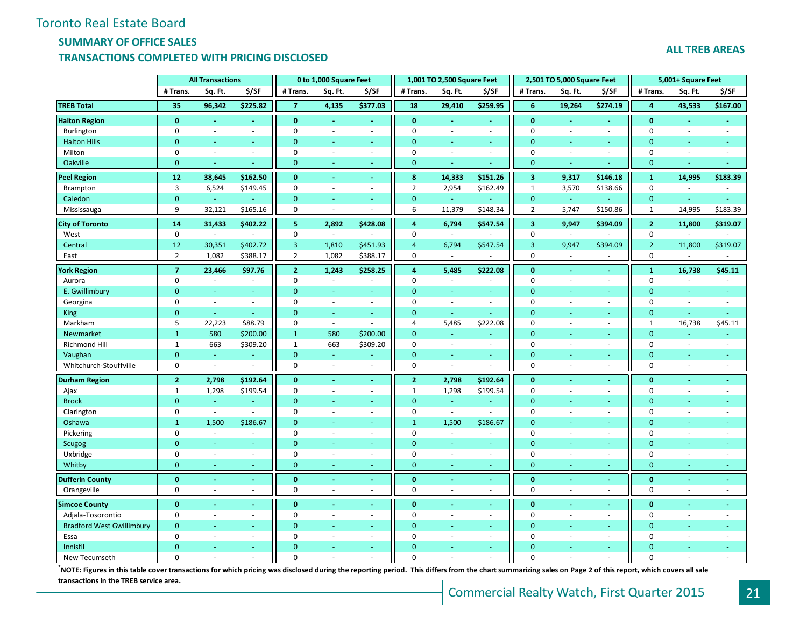# **SUMMARY OF OFFICE SALES**

## **TRANSACTIONS COMPLETED WITH PRICING DISCLOSED**

#### **ALL TREB AREAS**

|                                  |                             | <b>All Transactions</b>     |                          |                                  | 0 to 1,000 Square Feet   |                          |                             | 1,001 TO 2,500 Square Feet     |                          |                             | 2,501 TO 5,000 Square Feet |                          |                             | 5,001+ Square Feet |                          |
|----------------------------------|-----------------------------|-----------------------------|--------------------------|----------------------------------|--------------------------|--------------------------|-----------------------------|--------------------------------|--------------------------|-----------------------------|----------------------------|--------------------------|-----------------------------|--------------------|--------------------------|
|                                  | # Trans.                    | Sq. Ft.                     | \$/SF                    | # Trans.                         | Sq. Ft.                  | \$/SF                    | # Trans.                    | Sq. Ft.                        | \$/SF                    | # Trans.                    | Sq. Ft.                    | \$/SF                    | # Trans.                    | Sq. Ft.            | \$/SF                    |
| <b>TREB Total</b>                | 35                          | 96,342                      | \$225.82                 | $\overline{7}$                   | 4,135                    | \$377.03                 | 18                          | 29,410                         | \$259.95                 | 6                           | 19,264                     | \$274.19                 | $\overline{4}$              | 43,533             | \$167.00                 |
| <b>Halton Region</b>             | $\mathbf{0}$                | $\blacksquare$              | $\omega$                 | $\mathbf{0}$                     | $\sim$                   | $\blacksquare$           | $\mathbf{0}$                | $\sim$                         | $\blacksquare$           | $\mathbf{0}$                | $\sim$                     | $\blacksquare$           | $\mathbf{0}$                | $\sim$             |                          |
| Burlington                       | $\mathbf 0$                 | $\sim$                      | $\sim$                   | $\mathbf 0$                      | $\overline{\phantom{a}}$ | $\sim$                   | $\mathbf 0$                 | $\sim$                         | ä,                       | $\mathbf 0$                 | $\sim$                     | $\overline{\phantom{a}}$ | $\mathbf 0$                 | $\sim$             | ÷,                       |
| <b>Halton Hills</b>              | $\mathbf{0}$                |                             |                          | $\mathbf{0}$                     |                          | $\equiv$                 | $\overline{0}$              |                                | u,                       | $\mathbf{0}$                |                            | ä,                       | $\overline{0}$              |                    |                          |
| Milton                           | $\mathbf 0$                 | $\bar{a}$                   | $\sim$                   | $\mathbf 0$                      | $\omega$                 | $\omega$                 | $\mathbf 0$                 | $\omega$                       | $\sim$                   | $\mathbf 0$                 | $\sim$                     | $\bar{\phantom{a}}$      | $\mathbf 0$                 | $\sim$             |                          |
| Oakville                         | $\mathbf{0}$                | ÷                           | ÷                        | $\mathbf{0}$                     | ÷                        | ÷.                       | $\mathbf{0}$                |                                | ÷                        | $\mathbf{0}$                | ÷.                         | ٠                        | $\mathbf{0}$                |                    |                          |
| <b>Peel Region</b>               | 12                          | 38,645                      | \$162.50                 | $\mathbf{0}$                     | $\blacksquare$           | $\blacksquare$           | 8                           | 14,333                         | \$151.26                 | $\overline{\mathbf{3}}$     | 9,317                      | \$146.18                 | $\mathbf 1$                 | 14,995             | \$183.39                 |
| Brampton                         | $\mathbf{3}$                | 6,524                       | \$149.45                 | $\mathbf 0$                      | $\bar{a}$                | $\sim$                   | $\overline{2}$              | 2,954                          | \$162.49                 | $\mathbf{1}$                | 3,570                      | \$138.66                 | $\mathbf 0$                 | $\sim$             |                          |
| Caledon                          | $\bf{0}$                    | ä,                          |                          | $\mathbf{0}$                     | $\blacksquare$           | $\omega_{\rm c}$         | $\mathbf{0}$                | $\omega_{\rm c}$               |                          | $\bf{0}$                    | $\omega$                   | $\omega$                 | $\mathbf{0}$                |                    | $\equiv$                 |
| Mississauga                      | 9                           | 32,121                      | \$165.16                 | $\mathbf 0$                      | ÷.                       | $\sim$                   | $\sqrt{6}$                  | 11,379                         | \$148.34                 | $\overline{2}$              | 5,747                      | \$150.86                 | $\mathbf{1}$                | 14,995             | \$183.39                 |
| <b>City of Toronto</b>           | 14                          | 31,433                      | \$402.22                 | 5 <sup>1</sup>                   | 2,892                    | \$428.08                 | $\overline{4}$              | 6,794                          | \$547.54                 | $\overline{\mathbf{3}}$     | 9,947                      | \$394.09                 | $\overline{2}$              | 11,800             | \$319.07                 |
| West                             | $\mathbf 0$                 | $\mathcal{L}_{\mathcal{A}}$ |                          | $\mathbf 0$                      | $\overline{\phantom{a}}$ |                          | $\mathbf 0$                 | $\omega$                       |                          | $\mathbf 0$                 | $\sim$                     |                          | $\mathbf 0$                 | $\omega$           |                          |
| Central                          | 12                          | 30,351                      | \$402.72                 | $\overline{3}$                   | 1,810                    | \$451.93                 | $\overline{4}$              | 6,794                          | \$547.54                 | $\overline{3}$              | 9,947                      | \$394.09                 | $\overline{2}$              | 11,800             | \$319.07                 |
| East                             | $\overline{2}$              | 1,082                       | \$388.17                 | $\overline{2}$                   | 1,082                    | \$388.17                 | $\pmb{0}$                   | $\sim$                         | $\sim$                   | $\mathbf 0$                 | $\sim$                     | $\sim$                   | $\mathbf 0$                 | $\overline{a}$     | $\overline{a}$           |
| <b>York Region</b>               | $\overline{7}$              | 23,466                      | \$97.76                  | $\overline{2}$                   | 1,243                    | \$258.25                 | 4                           | 5,485                          | \$222.08                 | $\mathbf{0}$                | $\sim$                     | $\blacksquare$           | $\mathbf{1}$                | 16,738             | \$45.11                  |
| Aurora                           | $\mathbf 0$                 | $\bar{a}$                   | $\overline{\phantom{a}}$ | $\mathbf 0$                      | $\bar{a}$                | ÷                        | $\mathbf 0$                 | $\blacksquare$                 | $\overline{\phantom{a}}$ | $\mathbf 0$                 | $\sim$                     | $\overline{\phantom{a}}$ | $\mathbf 0$                 | $\sim$             |                          |
| E. Gwillimbury                   | $\mathbf{0}$                | ÷                           | ÷                        | $\mathbf{0}$                     | $\sim$                   | ÷                        | $\mathbf{0}$                | ÷                              | ÷                        | $\mathbf{0}$                |                            | ٠                        | $\overline{0}$              | $\sim$             | Ξ                        |
| Georgina                         | $\mathbf 0$                 | $\sim$                      | $\sim$                   | $\mathbf 0$                      | $\sim$                   | $\sim$                   | $\mathbf 0$                 | $\sim$                         | $\sim$                   | $\mathbf 0$                 | $\sim$                     | $\overline{\phantom{a}}$ | $\mathbf 0$                 | $\sim$             | $\overline{\phantom{a}}$ |
| King                             | $\overline{0}$              | ÷.                          | ÷.                       | $\mathbf{0}$                     | ÷.                       | Ξ                        | $\mathbf{0}$                | ÷.                             | ä,                       | $\mathbf{0}$                |                            | ÷.                       | $\overline{0}$              | ÷.                 | Ξ                        |
| Markham                          | 5                           | 22,223                      | \$88.79                  | $\mathbf 0$                      | $\omega$                 | $\sim$                   | $\overline{4}$              | 5,485                          | \$222.08                 | $\mathbf 0$                 | $\sim$                     | $\omega$                 | $\mathbf{1}$                | 16,738             | \$45.11                  |
| Newmarket                        | $\mathbf{1}$                | 580                         | \$200.00                 | $\mathbf{1}$                     | 580                      | \$200.00                 | $\mathbf{0}$                | ÷                              | ä,                       | $\mathbf{0}$                | ÷.                         | ÷,                       | $\mathbf{0}$                | ÷.                 |                          |
| Richmond Hill                    | $\mathbf{1}$                | 663                         | \$309.20                 | $\mathbf{1}$                     | 663                      | \$309.20                 | $\mathbf 0$                 | $\sim$                         | $\mathbf{r}$             | $\mathbf 0$                 | $\sim$                     | ÷.                       | 0                           | $\sim$             | ÷.                       |
| Vaughan                          | $\mathbf{0}$                | ÷.                          | u,                       | $\mathbf{0}$                     | ÷.                       | ÷                        | $\mathbf{0}$                | ÷                              | a.                       | $\mathbf{0}$                |                            | ÷.                       | $\overline{0}$              | $\sim$             | Ξ                        |
| Whitchurch-Stouffville           | $\mathbf 0$                 | $\omega$                    |                          | $\mathbf 0$                      | $\sim$                   | $\bar{a}$                | $\mathbf 0$                 | $\sim$                         | $\overline{a}$           | $\mathbf 0$                 | $\sim$                     | $\overline{\phantom{a}}$ | $\mathbf 0$                 | $\sim$             | $\overline{a}$           |
| <b>Durham Region</b>             | $\overline{2}$              | 2,798                       | \$192.64                 | $\bf{0}$                         | $\omega$                 | $\blacksquare$           | $\overline{2}$              | 2,798                          | \$192.64                 | $\bf{0}$                    |                            | $\blacksquare$           | $\mathbf{0}$                | $\sim$             | ä,                       |
| Ajax                             | $\mathbf{1}$                | 1,298                       | \$199.54                 | $\mathbf 0$                      | $\overline{\phantom{a}}$ | $\sim$                   | $\mathbf{1}$                | 1,298                          | \$199.54                 | $\mathbf 0$                 | $\sim$                     | $\sim$                   | $\mathbf 0$                 | $\sim$             |                          |
| <b>Brock</b>                     | $\mathbf{0}$                | $\omega$                    | ä,                       | $\mathbf{0}$                     | $\sim$                   | $\sim$                   | $\overline{0}$              | $\sim$                         | ÷.                       | $\mathbf{0}$                |                            | $\sim$                   | $\Omega$                    |                    |                          |
| Clarington                       | $\mathbf 0$                 | $\mathcal{L}_{\mathcal{A}}$ | ÷,                       | $\mathbf 0$                      | $\overline{\phantom{a}}$ | $\sim$                   | $\mathbf 0$                 | $\omega$                       | ÷,                       | $\mathbf{0}$                | $\sim$                     | $\bar{\phantom{a}}$      | $\mathbf 0$                 | $\sim$             |                          |
| Oshawa                           | $\mathbf{1}$                | 1,500                       | \$186.67                 | $\mathbf{0}$                     |                          | $\equiv$                 | $\mathbf{1}$                | 1,500                          | \$186.67                 | $\mathbf{0}$                |                            | ÷,                       | $\overline{0}$              |                    |                          |
| Pickering                        | $\mathbf 0$                 | $\sim$                      | $\sim$                   | $\mathbf 0$                      | $\omega$                 | $\overline{\phantom{a}}$ | $\mathbf 0$                 | $\omega$                       | $\overline{\phantom{a}}$ | $\mathbf 0$                 | $\sim$                     | $\bar{\phantom{a}}$      | $\mathbf 0$                 | $\sim$             |                          |
| <b>Scugog</b>                    | $\mathbf{0}$                | ÷                           | ÷                        | $\mathbf{0}$                     | $\sim$                   | ÷.                       | $\mathbf{0}$                | $\sim$                         | ÷.                       | $\mathbf{0}$                |                            | ÷.                       | $\Omega$                    |                    |                          |
| Uxbridge                         | $\mathbf 0$<br>$\mathbf{0}$ | $\blacksquare$<br>÷         | $\sim$<br>÷              | $\boldsymbol{0}$<br>$\mathbf{0}$ | $\overline{\phantom{a}}$ | $\overline{\phantom{a}}$ | $\mathbf 0$<br>$\mathbf{0}$ | $\overline{\phantom{a}}$<br>÷. | $\mathbf{r}$<br>÷        | $\mathbf 0$<br>$\mathbf{0}$ | $\sim$<br>$\sim$           | $\omega$<br>Ξ            | $\mathbf 0$<br>$\mathbf{0}$ | $\sim$<br>$\sim$   |                          |
| Whitby                           |                             |                             |                          |                                  | $\sim$                   | ٠                        |                             |                                |                          |                             |                            |                          |                             |                    | ٠                        |
| <b>Dufferin County</b>           | $\bf{0}$                    | $\omega$                    | ä,                       | $\bf{0}$                         | $\omega$                 | Ξ                        | $\bf{0}$                    |                                | ä,                       | $\bf{0}$                    |                            | $\blacksquare$           | $\bf{0}$                    | $\sim$             | $\omega$                 |
| Orangeville                      | $\mathbf 0$                 | ÷.                          | ä,                       | $\mathbf 0$                      | $\sim$                   | $\bar{a}$                | $\mathbf 0$                 | $\sim$                         | ÷.                       | $\mathbf 0$                 |                            | ÷.                       | $\mathbf 0$                 | $\sim$             |                          |
| <b>Simcoe County</b>             | $\mathbf{0}$                |                             |                          | $\mathbf{0}$                     |                          | $\blacksquare$           | $\mathbf{0}$                |                                | $\blacksquare$           | $\mathbf{0}$                |                            | $\blacksquare$           | $\mathbf{0}$                |                    |                          |
| Adjala-Tosorontio                | $\mathbf 0$                 | $\sim$                      | $\sim$                   | $\mathbf 0$                      | $\bar{a}$                | $\sim$                   | $\mathbf 0$                 | $\sim$                         | $\omega$                 | $\mathbf 0$                 | $\sim$                     | $\omega$                 | $\mathbf 0$                 | $\sim$             |                          |
| <b>Bradford West Gwillimbury</b> | $\mathbf{0}$                | ÷                           | $\omega$                 | $\mathbf{0}$                     | $\omega$                 | $\omega_{\rm c}$         | $\mathbf{0}$                | $\sim$                         | $\omega_{\rm c}$         | $\mathbf{0}$                |                            | $\sim$                   | $\overline{0}$              |                    |                          |
| Essa                             | $\mathbf 0$                 | $\sim$                      | $\sim$                   | $\mathbf 0$                      | $\sim$                   | $\sim$                   | $\mathbf 0$                 | ÷.                             | $\overline{\phantom{a}}$ | 0                           |                            | $\sim$                   | 0                           | $\overline{a}$     |                          |
| Innisfil                         | $\Omega$<br>$\Omega$        |                             |                          | $\Omega$<br>$\Omega$             |                          | ÷<br>$\bar{a}$           | $\Omega$<br>$\Omega$        |                                | ÷                        | $\Omega$<br>$\Omega$        |                            | ٠                        | $\Omega$<br>$\Omega$        |                    |                          |
| New Tecumseth                    |                             |                             |                          |                                  |                          |                          |                             |                                |                          |                             |                            |                          |                             |                    |                          |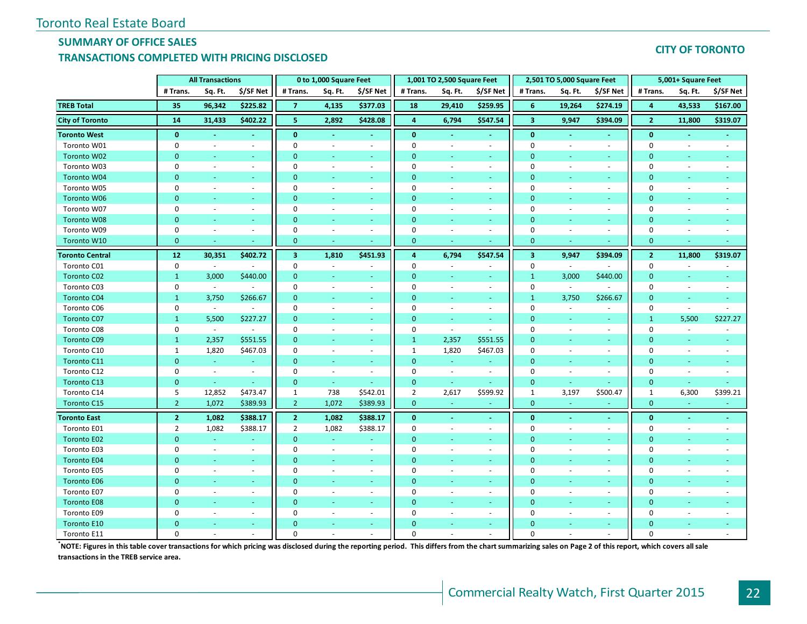# **SUMMARY OF OFFICE SALES**

## **TRANSACTIONS COMPLETED WITH PRICING DISCLOSED**

#### **CITY OF TORONTO**

|                        |                  | <b>All Transactions</b>  |                          |                         | 0 to 1,000 Square Feet   |                          |                | 1,001 TO 2,500 Square Feet |                  |                         | 2,501 TO 5,000 Square Feet |                          |                | 5,001+ Square Feet       |           |
|------------------------|------------------|--------------------------|--------------------------|-------------------------|--------------------------|--------------------------|----------------|----------------------------|------------------|-------------------------|----------------------------|--------------------------|----------------|--------------------------|-----------|
|                        | # Trans.         | Sq. Ft.                  | \$/SF Net                | # Trans.                | Sq. Ft.                  | \$/SF Net                | # Trans.       | Sq. Ft.                    | \$/SF Net        | # Trans.                | Sq. Ft.                    | \$/SF Net                | # Trans.       | Sq. Ft.                  | \$/SF Net |
| <b>TREB Total</b>      | 35               | 96,342                   | \$225.82                 | 7                       | 4,135                    | \$377.03                 | 18             | 29,410                     | \$259.95         | 6                       | 19,264                     | \$274.19                 | 4              | 43,533                   | \$167.00  |
| <b>City of Toronto</b> | 14               | 31,433                   | \$402.22                 | 5                       | 2,892                    | \$428.08                 | $\overline{4}$ | 6,794                      | \$547.54         | $\overline{\mathbf{3}}$ | 9,947                      | \$394.09                 | 2 <sup>1</sup> | 11,800                   | \$319.07  |
| <b>Toronto West</b>    | $\mathbf{0}$     | $\blacksquare$           |                          | $\bf{0}$                |                          | ٠                        | $\mathbf{0}$   |                            |                  | $\bf{0}$                |                            | ٠                        | $\bf{0}$       |                          |           |
| Toronto W01            | $\mathbf 0$      | $\sim$                   | $\omega$                 | $\Omega$                | ÷.                       | $\sim$                   | $\Omega$       | ÷                          | $\blacksquare$   | $\Omega$                | $\sim$                     | ÷.                       | $\Omega$       | $\sim$                   |           |
| Toronto W02            | $\mathbf{0}$     | $\sim$                   | $\sim$                   | $\mathbf{0}$            | ÷                        | $\sim$                   | $\overline{0}$ | $\sim$                     | $\sim$           | $\mathbf{0}$            | ٠                          | $\sim$                   | $\mathbf{0}$   | $\omega$                 |           |
| Toronto W03            | $\Omega$         | $\sim$                   | $\sim$                   | $\mathbf 0$             | $\sim$                   | $\sim$                   | $\mathbf 0$    | ÷                          | $\sim$           | $\pmb{0}$               | ÷.                         | $\sim$                   | $\mathbf 0$    | $\sim$                   |           |
| Toronto W04            | $\overline{0}$   |                          |                          | $\Omega$                | ٠                        | $\omega$                 | $\overline{0}$ |                            | ÷.               | $\overline{0}$          |                            | $\sim$                   | $\mathbf{0}$   |                          |           |
| Toronto W05            | $\mathbf 0$      | $\overline{\phantom{a}}$ | $\sim$                   | $\Omega$                | $\overline{\phantom{a}}$ | $\blacksquare$           | $\mathbf 0$    | $\overline{\phantom{a}}$   | $\sim$           | $\mathbf 0$             | $\overline{\phantom{a}}$   | $\sim$                   | $\mathbf 0$    | $\sim$                   |           |
| <b>Toronto W06</b>     | $\mathbf{0}$     | ÷                        |                          | $\Omega$                |                          | ÷                        | $\overline{0}$ | ÷.                         | ÷                | $\overline{0}$          |                            | u,                       | $\mathbf{0}$   | ÷                        |           |
| Toronto W07            | $\mathbf 0$      | $\sim$                   | $\sim$                   | $\mathbf 0$             | ä,                       | $\sim$                   | $\mathbf 0$    | $\sim$                     | $\mathbf{r}$     | $\mathbf{0}$            |                            | ÷.                       | $\mathbf 0$    |                          |           |
| Toronto W08            | $\Omega$         | ÷                        |                          | $\Omega$                | ÷                        | ÷                        | $\mathbf{0}$   | $\sim$                     | u.               | $\overline{0}$          |                            | $\sim$                   | $\mathbf{0}$   | ÷                        |           |
| Toronto W09            | $\mathbf 0$      | $\sim$                   | $\sim$                   | $\mathbf 0$             | $\sim$                   | $\blacksquare$           | 0              | $\sim$                     | $\blacksquare$   | $\boldsymbol{0}$        |                            | $\overline{\phantom{a}}$ | $\pmb{0}$      | ÷.                       |           |
| Toronto W10            | $\overline{0}$   | $\omega$                 |                          | $\mathbf{0}$            |                          |                          | $\mathbf{0}$   |                            |                  | $\mathbf{0}$            |                            |                          | $\mathbf{0}$   |                          |           |
| <b>Toronto Central</b> | 12               | 30,351                   | \$402.72                 | $\overline{\mathbf{3}}$ | 1,810                    | \$451.93                 | $\overline{4}$ | 6,794                      | \$547.54         | $\overline{\mathbf{3}}$ | 9,947                      | \$394.09                 | 2 <sup>7</sup> | 11,800                   | \$319.07  |
| Toronto C01            | $\mathbf 0$      | $\sim$                   |                          | $\mathbf{0}$            | ä,                       | $\sim$                   | $\mathbf 0$    | ÷                          | $\sim$           | 0                       | $\sim$                     |                          | $\pmb{0}$      | $\overline{\phantom{a}}$ |           |
| <b>Toronto C02</b>     | $\mathbf{1}$     | 3,000                    | \$440.00                 | $\Omega$                |                          |                          | $\Omega$       |                            |                  | $\mathbf{1}$            | 3,000                      | \$440.00                 | $\mathbf{0}$   |                          |           |
| Toronto C03            | $\mathbf 0$      | $\sim$                   |                          | $\mathbf 0$             | ÷,                       | $\overline{\phantom{a}}$ | $\mathbf 0$    | $\overline{\phantom{a}}$   | $\omega$         | $\boldsymbol{0}$        | $\sim$                     | ÷.                       | $\mathbf{0}$   | $\overline{\phantom{a}}$ |           |
| <b>Toronto C04</b>     | $\mathbf{1}$     | 3,750                    | \$266.67                 | $\Omega$                |                          | ÷                        | $\overline{0}$ | ÷.                         | ÷.               | $\mathbf{1}$            | 3,750                      | \$266.67                 | $\mathbf{0}$   | ÷                        |           |
| Toronto C06            | $\mathbf 0$      | $\omega$                 |                          | $\mathbf 0$             |                          | $\omega$                 | $\mathbf 0$    | $\overline{\phantom{a}}$   | $\omega$         | $\mathbf{0}$            |                            |                          | $\pmb{0}$      | $\sim$                   |           |
| <b>Toronto C07</b>     | $\mathbf{1}$     | 5,500                    | \$227.27                 | $\Omega$                | ÷.                       | $\sim$                   | $\overline{0}$ | $\omega$                   | $\omega$ .       | $\mathbf{0}$            | $\sim$                     | $\sim$                   | $\mathbf{1}$   | 5,500                    | \$227.27  |
| Toronto C08            | $\boldsymbol{0}$ | $\sim$                   | $\sim$                   | $\mathbf 0$             | $\sim$                   | $\sim$                   | 0              | $\sim$                     | $\sim$           | $\boldsymbol{0}$        | $\sim$                     | $\overline{\phantom{a}}$ | $\pmb{0}$      | $\sim$                   |           |
| <b>Toronto C09</b>     | $\mathbf{1}$     | 2,357                    | \$551.55                 | $\mathbf{0}$            | $\equiv$                 | $\omega$                 | $\mathbf{1}$   | 2,357                      | \$551.55         | $\mathbf{0}$            |                            | ÷                        | $\mathbf{0}$   | ÷,                       |           |
| Toronto C10            | $\mathbf{1}$     | 1,820                    | \$467.03                 | $\mathbf{0}$            | $\bar{a}$                | ÷.                       | $\mathbf{1}$   | 1,820                      | \$467.03         | $\mathbf 0$             | ÷.                         | ÷.                       | $\mathbf{0}$   | $\omega$                 |           |
| Toronto C11            | $\mathbf{0}$     | $\omega$                 |                          | $\mathbf{0}$            | ÷                        | $\sim$                   | $\mathbf{0}$   | $\omega$                   | $\omega_{\rm c}$ | $\mathbf{0}$            | ٠                          | $\sim$                   | $\mathbf{0}$   | $\blacksquare$           |           |
| Toronto C12            | $\mathbf 0$      | $\blacksquare$           | $\overline{\phantom{a}}$ | $\mathbf 0$             | $\sim$                   | $\sim$                   | $\mathbf 0$    | $\sim$                     | $\omega$         | $\mathbf 0$             | $\sim$                     | $\sim$                   | $\mathbf{0}$   | ÷.                       |           |
| Toronto C13            | $\mathbf{0}$     | ä,                       |                          | $\mathbf{0}$            | $\omega$                 | ÷                        | $\mathbf{0}$   | $\omega$                   |                  | $\overline{0}$          |                            |                          | $\mathbf{0}$   | ÷                        |           |
| Toronto C14            | 5                | 12,852                   | \$473.47                 | 1                       | 738                      | \$542.01                 | $\overline{2}$ | 2,617                      | \$599.92         | $\mathbf{1}$            | 3,197                      | \$500.47                 | $\mathbf{1}$   | 6,300                    | \$399.21  |
| Toronto C15            | $\overline{2}$   | 1,072                    | \$389.93                 | 2 <sup>1</sup>          | 1,072                    | \$389.93                 | $\mathbf{0}$   |                            |                  | $\mathbf{0}$            |                            |                          | $\mathbf{0}$   | i.                       |           |
| <b>Toronto East</b>    | 2 <sup>1</sup>   | 1,082                    | \$388.17                 | 2 <sup>7</sup>          | 1,082                    | \$388.17                 | $\mathbf{0}$   | $\blacksquare$             | $\omega$         | $\bf{0}$                | $\blacksquare$             | $\blacksquare$           | $\bf{0}$       | $\sim$                   | $\sim$    |
| Toronto E01            | $\overline{2}$   | 1,082                    | \$388.17                 | $\overline{2}$          | 1,082                    | \$388.17                 | $\mathbf 0$    | $\sim$                     | $\mathbf{r}$     | $\mathbf 0$             |                            | ÷.                       | $\mathbf{0}$   | $\sim$                   |           |
| <b>Toronto E02</b>     | $\mathbf{0}$     | $\omega$                 |                          | $\mathbf{0}$            | $\equiv$                 | ٠                        | $\mathbf 0$    | $\omega$                   | $\sim$           | $\mathbf{0}$            |                            | ÷                        | $\mathbf{0}$   | ÷,                       |           |
| Toronto E03            | 0                | $\sim$                   | $\omega$                 | $\mathbf 0$             | $\sim$                   | $\sim$                   | $\Omega$       | ÷                          | $\sim$           | $\mathbf 0$             | $\sim$                     | ÷.                       | $\mathbf{0}$   | $\sim$                   |           |
| <b>Toronto E04</b>     | $\mathbf{0}$     | u,                       | $\sim$                   | $\mathbf{0}$            | $\equiv$                 | $\omega$                 | $\mathbf{0}$   | $\sim$                     | $\omega$ .       | $\mathbf{0}$            | ٠                          | ÷.                       | $\mathbf{0}$   | ÷                        |           |
| Toronto E05            | $\Omega$         | $\sim$                   | ÷.                       | $\Omega$                | ä,                       | $\blacksquare$           | $\mathbf 0$    | ÷                          | $\sim$           | $\mathbf 0$             | $\overline{\phantom{a}}$   | ÷.                       | $\mathbf 0$    | $\overline{\phantom{a}}$ |           |
| <b>Toronto E06</b>     | $\Omega$         | ÷                        |                          | $\Omega$                |                          | ÷.                       | $\Omega$       |                            | ÷.               | $\Omega$                |                            | $\sim$                   | $\mathbf{0}$   | ÷                        |           |
| Toronto E07            | $\mathbf 0$      | $\overline{\phantom{a}}$ | $\overline{\phantom{a}}$ | $\mathbf 0$             | $\overline{\phantom{a}}$ | $\overline{\phantom{a}}$ | 0              | $\overline{\phantom{a}}$   | $\sim$           | $\mathbf 0$             |                            | $\blacksquare$           | $\mathbf 0$    | $\overline{\phantom{a}}$ |           |
| <b>Toronto E08</b>     | $\mathbf{0}$     | ÷.                       |                          | $\Omega$                | ÷.                       | ÷.                       | $\mathbf{0}$   | u.                         | $\sim$           | $\mathbf{0}$            |                            | ÷.                       | $\mathbf{0}$   | ÷                        |           |
| Toronto E09            | $\Omega$         | $\sim$                   | ÷.                       | $\mathbf 0$             | ÷                        | $\overline{\phantom{a}}$ | $\mathbf 0$    |                            | $\omega$         | $\pmb{0}$               |                            | $\sim$                   | $\mathbf 0$    |                          |           |
| Toronto E10            | $\Omega$         |                          |                          | $\Omega$                | ٠                        | $\omega$                 | $\Omega$       |                            | ÷.               | $\Omega$                |                            | $\sim$                   | $\mathbf{0}$   |                          |           |
| Toronto E11            | $\Omega$         |                          |                          | $\Omega$                |                          |                          | $\Omega$       |                            |                  | $\Omega$                |                            |                          | $\Omega$       |                          |           |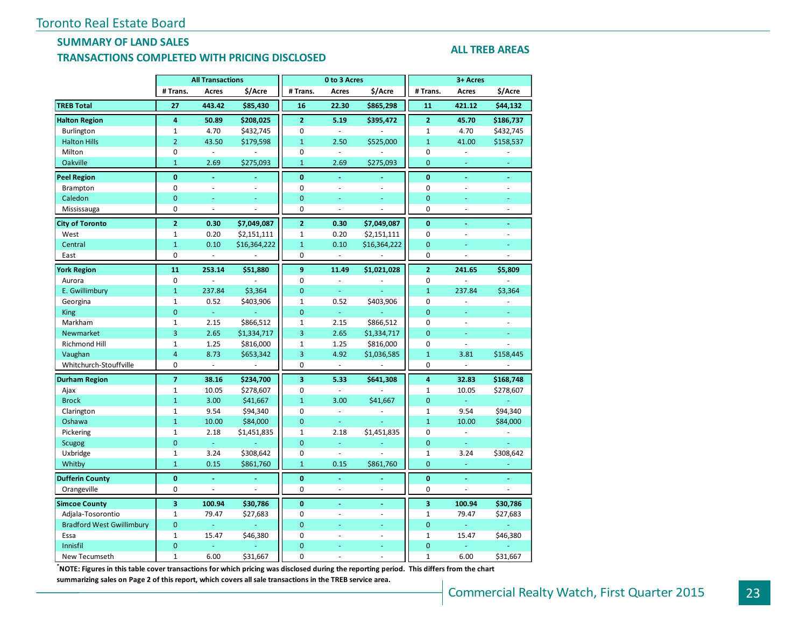## **SUMMARY OF LAND SALES TRANSACTIONS COMPLETED WITH PRICING DISCLOSED**

#### **ALL TREB AREAS**

|                                  |                | <b>All Transactions</b>     |                          |                         | 0 to 3 Acres                |                |                         | 3+ Acres                 |                |
|----------------------------------|----------------|-----------------------------|--------------------------|-------------------------|-----------------------------|----------------|-------------------------|--------------------------|----------------|
|                                  | # Trans.       | Acres                       | \$/Acre                  | # Trans.                | Acres                       | \$/Acre        | # Trans.                | Acres                    | \$/Acre        |
| <b>TREB Total</b>                | 27             | 443.42                      | \$85,430                 | 16                      | 22.30                       | \$865,298      | 11                      | 421.12                   | \$44,132       |
| <b>Halton Region</b>             | 4              | 50.89                       | \$208,025                | $\overline{2}$          | 5.19                        | \$395,472      | $\overline{2}$          | 45.70                    | \$186,737      |
| Burlington                       | $\mathbf{1}$   | 4.70                        | \$432,745                | $\mathbf 0$             | $\overline{\phantom{a}}$    |                | $\mathbf 1$             | 4.70                     | \$432,745      |
| <b>Halton Hills</b>              | $\overline{2}$ | 43.50                       | \$179,598                | $\mathbf{1}$            | 2.50                        | \$525,000      | $\overline{1}$          | 41.00                    | \$158,537      |
| Milton                           | $\mathbf 0$    | $\mathbb{Z}^2$              |                          | $\mathbf 0$             | $\overline{\phantom{a}}$    |                | 0                       | ÷.                       |                |
| Oakville                         | $\mathbf{1}$   | 2.69                        | \$275,093                | $\mathbf{1}$            | 2.69                        | \$275,093      | 0                       | $\blacksquare$           | ä,             |
| <b>Peel Region</b>               | $\mathbf{0}$   | $\Box$                      |                          | $\mathbf{0}$            | ä,                          |                | $\bf{0}$                | Ξ                        | $\blacksquare$ |
| Brampton                         | 0              | $\overline{a}$              | ÷,                       | $\mathbf 0$             | $\overline{\phantom{a}}$    | $\overline{a}$ | 0                       |                          | L.             |
| Caledon                          | $\overline{0}$ | Ξ                           |                          | $\overline{0}$          | ä,                          | ÷              | $\overline{0}$          | ä,                       | L.             |
| Mississauga                      | 0              | $\overline{\phantom{a}}$    | $\overline{\phantom{a}}$ | 0                       | $\Box$                      | ÷,             | 0                       | ÷,                       | ÷,             |
| <b>City of Toronto</b>           | $\overline{2}$ | 0.30                        | \$7,049,087              | $\overline{2}$          | 0.30                        | \$7,049,087    | $\mathbf{0}$            | ä,                       | ä,             |
| West                             | $\mathbf{1}$   | 0.20                        | \$2,151,111              | 1                       | 0.20                        | \$2,151,111    | 0                       | $\overline{\phantom{a}}$ | ÷,             |
| Central                          | $\mathbf{1}$   | 0.10                        | \$16,364,222             | $\mathbf{1}$            | 0.10                        | \$16,364,222   | $\overline{0}$          |                          |                |
| East                             | 0              | $\omega$                    |                          | 0                       | $\sim$                      | ÷,             | 0                       | ä,                       | ÷,             |
| <b>York Region</b>               | 11             | 253.14                      | \$51,880                 | 9                       | 11.49                       | \$1,021,028    | $\overline{2}$          | 241.65                   | \$5,809        |
| Aurora                           | 0              | ÷,                          |                          | $\mathbf 0$             | $\omega$                    |                | 0                       |                          |                |
| E. Gwillimbury                   | $\mathbf{1}$   | 237.84                      | \$3,364                  | $\Omega$                | $\omega$                    | ÷.             | $\mathbf{1}$            | 237.84                   | \$3,364        |
| Georgina                         | $\mathbf{1}$   | 0.52                        | \$403,906                | $\mathbf{1}$            | 0.52                        | \$403,906      | 0                       | ÷,                       |                |
| <b>King</b>                      | $\mathbf{0}$   | $\omega$                    |                          | $\mathbf{0}$            | ä,                          |                | $\overline{0}$          | ä,                       | ä,             |
| Markham                          | $\mathbf{1}$   | 2.15                        | \$866,512                | $\mathbf{1}$            | 2.15                        | \$866,512      | $\Omega$                | ä,                       |                |
| Newmarket                        | $\overline{3}$ | 2.65                        | \$1,334,717              | 3                       | 2.65                        | \$1,334,717    | $\overline{0}$          | L.                       | L.             |
| Richmond Hill                    | $\mathbf 1$    | 1.25                        | \$816,000                | $\mathbf{1}$            | 1.25                        | \$816,000      | 0                       | $\overline{\phantom{a}}$ | L,             |
| Vaughan                          | $\overline{4}$ | 8.73                        | \$653,342                | $\overline{3}$          | 4.92                        | \$1,036,585    | $\overline{1}$          | 3.81                     | \$158,445      |
| Whitchurch-Stouffville           | 0              | $\mathcal{L}_{\mathcal{A}}$ | $\Box$                   | 0                       | $\mathcal{L}_{\mathcal{A}}$ | ÷,             | 0                       | $\blacksquare$           | ÷,             |
| <b>Durham Region</b>             | $\overline{7}$ | 38.16                       | \$234,700                | $\overline{\mathbf{3}}$ | 5.33                        | \$641,308      | $\overline{\mathbf{4}}$ | 32.83                    | \$168,748      |
| Ajax                             | $\mathbf 1$    | 10.05                       | \$278,607                | $\mathbf 0$             | $\overline{\phantom{a}}$    |                | $\mathbf{1}$            | 10.05                    | \$278,607      |
| <b>Brock</b>                     | $\mathbf{1}$   | 3.00                        | \$41,667                 | $\mathbf{1}$            | 3.00                        | \$41,667       | $\mathbf{0}$            | ä,                       | L.             |
| Clarington                       | $\mathbf{1}$   | 9.54                        | \$94,340                 | $\mathbf 0$             | $\overline{\phantom{a}}$    | ÷,             | $\mathbf{1}$            | 9.54                     | \$94,340       |
| Oshawa                           | $\mathbf{1}$   | 10.00                       | \$84,000                 | $\overline{0}$          | ÷.                          |                | $\overline{1}$          | 10.00                    | \$84,000       |
| Pickering                        | $\mathbf{1}$   | 2.18                        | \$1,451,835              | $\mathbf{1}$            | 2.18                        | \$1,451,835    | 0                       | $\overline{\phantom{a}}$ |                |
| <b>Scugog</b>                    | $\overline{0}$ | $\omega$                    |                          | $\overline{0}$          | Ξ                           |                | $\overline{0}$          | ÷,                       |                |
| Uxbridge                         | $\mathbf 1$    | 3.24                        | \$308,642                | $\pmb{0}$               | $\blacksquare$              | L.             | 1                       | 3.24                     | \$308,642      |
| Whitby                           | $\mathbf{1}$   | 0.15                        | \$861,760                | $\mathbf{1}$            | 0.15                        | \$861,760      | $\mathbf{0}$            | u,                       |                |
| <b>Dufferin County</b>           | $\mathbf{0}$   | Ξ                           |                          | $\mathbf{0}$            | ä,                          |                | $\bf{0}$                |                          | L,             |
| Orangeville                      | 0              | $\overline{\phantom{a}}$    | L.                       | 0                       | $\bar{\phantom{a}}$         | ä,             | 0                       | ÷,                       | ä,             |
| <b>Simcoe County</b>             | 3              | 100.94                      | \$30,786                 | $\mathbf{0}$            | ÷                           | ÷              | 3                       | 100.94                   | \$30,786       |
| Adjala-Tosorontio                | $\mathbf{1}$   | 79.47                       | \$27,683                 | $\mathbf 0$             | $\blacksquare$              | $\bar{a}$      | $\mathbf{1}$            | 79.47                    | \$27,683       |
| <b>Bradford West Gwillimbury</b> | $\overline{0}$ | $\omega$                    |                          | $\overline{0}$          | u,                          | ÷.             | $\overline{0}$          | $\omega$                 |                |
| Essa                             | $\mathbf{1}$   | 15.47                       | \$46,380                 | $\mathbf 0$             | L.                          | ÷.             | 1                       | 15.47                    | \$46,380       |
| Innisfil                         | $\overline{0}$ | ä,                          |                          | $\overline{0}$          | ÷                           | ÷              | $\overline{0}$          | ÷.                       |                |
| New Tecumseth                    | $\mathbf{1}$   | 6.00                        | \$31,667                 | 0                       | ä,                          | ÷,             | $\mathbf{1}$            | 6.00                     | \$31,667       |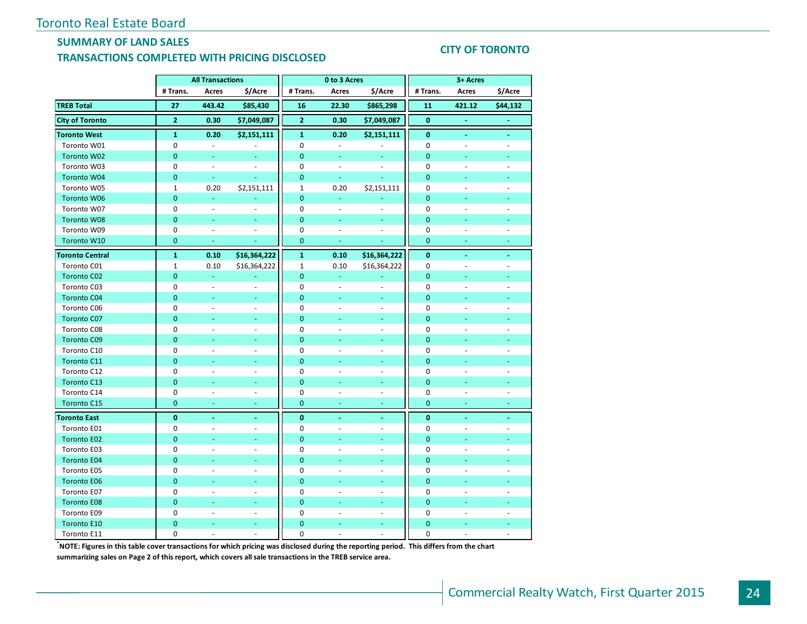### **SUMMARY OF LAND SALES TRANSACTIONS COMPLETED WITH PRICING DISCLOSED**

#### **CITY OF TORONTO**

|                        | <b>All Transactions</b> |                          |                          | 0 to 3 Acres   |                |                          | 3+ Acres       |                     |                          |
|------------------------|-------------------------|--------------------------|--------------------------|----------------|----------------|--------------------------|----------------|---------------------|--------------------------|
|                        | # Trans.                | Acres                    | \$/Acre                  | # Trans.       | Acres          | \$/Acre                  | # Trans.       | Acres               | \$/Acre                  |
| <b>TREB Total</b>      | 27                      | 443.42                   | \$85,430                 | 16             | 22.30          | \$865,298                | 11             | 421.12              | \$44,132                 |
| <b>City of Toronto</b> | $\mathbf 2$             | 0.30                     | \$7,049,087              | $\overline{2}$ | 0.30           | \$7,049,087              | $\bf{0}$       | $\omega$            | $\blacksquare$           |
| <b>Toronto West</b>    | $\mathbf{1}$            | 0.20                     | \$2,151,111              | $\mathbf{1}$   | 0.20           | \$2,151,111              | $\bf{0}$       | $\omega$            | $\blacksquare$           |
| Toronto W01            | 0                       | $\equiv$                 |                          | $\pmb{0}$      | ä,             |                          | $\pmb{0}$      | $\bar{\phantom{a}}$ | $\overline{a}$           |
| Toronto W02            | $\mathbf 0$             | ä,                       |                          | $\mathbf{0}$   | u              |                          | $\mathbf{0}$   |                     |                          |
| Toronto W03            | $\mathbf 0$             | $\blacksquare$           |                          | $\mathbf 0$    | $\blacksquare$ |                          | $\mathbf 0$    |                     |                          |
| <b>Toronto W04</b>     | $\mathbf 0$             | ÷                        |                          | $\mathbf{0}$   | u              |                          | $\overline{0}$ |                     |                          |
| Toronto W05            | $\mathbf{1}$            | 0.20                     | \$2,151,111              | $\mathbf{1}$   | 0.20           | \$2,151,111              | $\mathbf 0$    |                     |                          |
| Toronto W06            | $\mathbf{0}$            | ä,                       |                          | $\mathbf{0}$   | u              |                          | $\mathbf 0$    |                     |                          |
| Toronto W07            | $\mathbf 0$             | $\overline{\phantom{a}}$ |                          | $\mathbf 0$    | $\blacksquare$ | ÷.                       | $\mathbf 0$    | ä,                  |                          |
| <b>Toronto W08</b>     | $\mathbf{0}$            | Ξ                        | ÷,                       | $\mathbf{0}$   | Ξ              |                          | $\mathbf{0}$   | u,                  | ÷,                       |
| Toronto W09            | 0                       | $\sim$                   | $\overline{\phantom{a}}$ | 0              | ä,             | $\sim$                   | 0              | ä,                  | ÷,                       |
| Toronto W10            | $\mathbf{0}$            | $\blacksquare$           |                          | $\overline{0}$ | $\blacksquare$ |                          | $\overline{0}$ |                     |                          |
| <b>Toronto Central</b> | $\mathbf{1}$            | 0.10                     | \$16,364,222             | $\mathbf{1}$   | 0.10           | \$16,364,222             | $\bf{0}$       |                     |                          |
| Toronto C01            | $\mathbf 1$             | 0.10                     | \$16,364,222             | $\mathbf 1$    | 0.10           | \$16,364,222             | $\mathbf 0$    |                     |                          |
| <b>Toronto C02</b>     | 0                       | Ξ                        |                          | $\mathbf{0}$   | Ξ              |                          | $\overline{0}$ |                     |                          |
| Toronto C03            | 0                       | $\bar{a}$                | ÷.                       | $\mathbf 0$    | $\blacksquare$ | $\overline{a}$           | $\mathbf 0$    |                     |                          |
| <b>Toronto C04</b>     | $\mathbf 0$             | ٠                        | ٠                        | $\mathbf{0}$   | ٠              | ٠                        | 0              |                     |                          |
| Toronto C06            | 0                       | $\bar{a}$                | ÷.                       | $\mathbf 0$    | ÷,             | $\omega$                 | $\mathbf 0$    | ä,                  | ÷,                       |
| <b>Toronto C07</b>     | $\mathbf 0$             | Ξ                        | ÷,                       | $\mathbf{0}$   |                | $\blacksquare$           | $\mathbf{0}$   |                     |                          |
| Toronto C08            | 0                       | ÷.                       | $\sim$                   | $\mathbf 0$    | ÷.             | $\sim$                   | $\mathbf 0$    | ÷.                  | ÷,                       |
| <b>Toronto C09</b>     | $\overline{0}$          | ä,                       | ÷                        | $\mathbf{0}$   | Ξ              | ÷                        | $\overline{0}$ | ÷                   |                          |
| Toronto C10            | 0                       | $\bar{a}$                | ÷.                       | $\mathbf 0$    | ä,             | $\omega$                 | 0              | ä,                  |                          |
| Toronto C11            | $\mathbf{0}$            |                          |                          | $\mathbf{0}$   |                |                          | $\overline{0}$ |                     |                          |
| Toronto C12            | 0                       |                          | $\overline{\phantom{a}}$ | $\mathbf 0$    |                | $\overline{\phantom{a}}$ | 0              |                     |                          |
| <b>Toronto C13</b>     | $\mathbf{0}$            |                          | ä,                       | $\overline{0}$ |                | ÷                        | $\overline{0}$ |                     |                          |
| Toronto C14            | $\mathbf 0$             | ÷,                       | $\overline{\phantom{a}}$ | $\mathbf 0$    | ÷,             | ÷,                       | $\mathbf 0$    | ÷,                  | $\blacksquare$           |
| <b>Toronto C15</b>     | $\mathbf{0}$            | ٠                        | ÷                        | $\mathbf{0}$   | ÷              | ÷                        | $\overline{0}$ | ÷                   | $\overline{\phantom{a}}$ |
| <b>Toronto East</b>    | $\bf{0}$                | $\blacksquare$           | $\blacksquare$           | $\bf{0}$       | $\blacksquare$ | $\blacksquare$           | $\bf{0}$       | Ξ                   | $\blacksquare$           |
| Toronto E01            | 0                       | $\sim$                   | $\sim$                   | $\mathbf 0$    | $\sim$         | ÷.                       | 0              | ÷.                  | $\sim$                   |
| <b>Toronto E02</b>     | $\mathbf{0}$            | ÷.                       | u.                       | $\mathbf{0}$   | Ξ              | ÷                        | $\mathbf{0}$   | L.                  |                          |
| Toronto E03            | 0                       | $\bar{a}$                | ÷.                       | $\mathbf 0$    | ä,             | $\omega$                 | 0              | ä,                  | ÷.                       |
| <b>Toronto E04</b>     | $\overline{0}$          |                          |                          | $\mathbf{0}$   |                |                          | $\overline{0}$ |                     |                          |
| Toronto E05            | 0                       | ÷,                       |                          | $\mathbf 0$    |                | $\overline{\phantom{a}}$ | 0              |                     |                          |
| <b>Toronto E06</b>     | $\mathbf{0}$            |                          | ä,                       | $\mathbf{0}$   |                | ÷                        | $\overline{0}$ |                     |                          |
| Toronto E07            | $\mathbf 0$             | ÷,                       | $\overline{\phantom{a}}$ | $\mathbf 0$    | ä,             | $\omega$                 | $\mathbf 0$    | L.                  | ÷,                       |
| <b>Toronto E08</b>     | $\mathbf{0}$            | ä,                       | ٠                        | $\mathbf{0}$   |                | ٠                        | $\mathbf{0}$   |                     |                          |
| Toronto E09            | $\mathbf 0$             |                          | $\overline{a}$           | $\mathbf 0$    |                | $\bar{\phantom{a}}$      | $\mathbf 0$    |                     |                          |
| <b>Toronto E10</b>     | 0                       |                          | Ξ                        | $\mathbf{0}$   |                | $\overline{\phantom{a}}$ | $\mathbf 0$    |                     |                          |
| Toronto E11            | 0                       | $\overline{a}$           | $\overline{a}$           | $\mathbf 0$    | $\overline{a}$ | $\mathcal{L}$            | 0              | $\overline{a}$      | $\overline{a}$           |